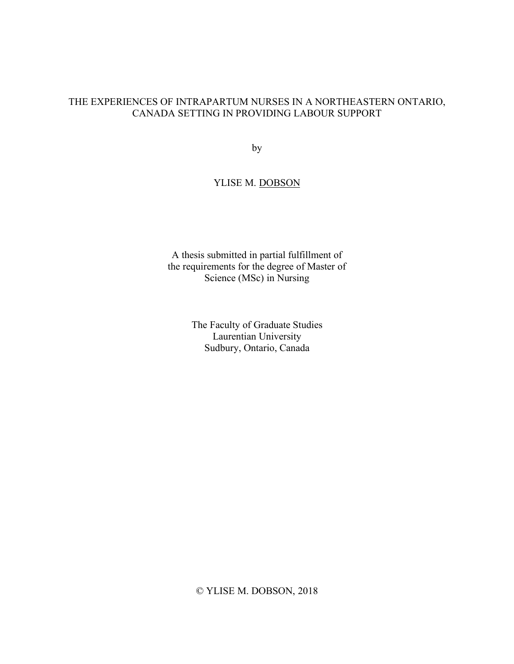### THE EXPERIENCES OF INTRAPARTUM NURSES IN A NORTHEASTERN ONTARIO, CANADA SETTING IN PROVIDING LABOUR SUPPORT

by

## YLISE M. DOBSON

A thesis submitted in partial fulfillment of the requirements for the degree of Master of Science (MSc) in Nursing

> The Faculty of Graduate Studies Laurentian University Sudbury, Ontario, Canada

© YLISE M. DOBSON, 2018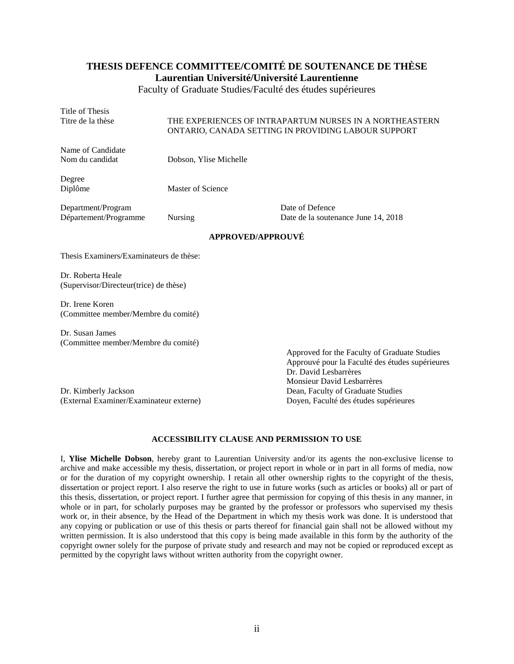# **THESIS DEFENCE COMMITTEE/COMITÉ DE SOUTENANCE DE THÈSE**

**Laurentian Université/Université Laurentienne**

Faculty of Graduate Studies/Faculté des études supérieures

Title of Thesis<br>Titre de la thèse THE EXPERIENCES OF INTRAPARTUM NURSES IN A NORTHEASTERN ONTARIO, CANADA SETTING IN PROVIDING LABOUR SUPPORT Name of Candidate Nom du candidat Dobson, Ylise Michelle Degree Diplôme Master of Science Department/Program Date of Defence Département/Programme Nursing Date de la soutenance June 14, 2018 **APPROVED/APPROUVÉ** Thesis Examiners/Examinateurs de thèse:

Dr. Roberta Heale (Supervisor/Directeur(trice) de thèse)

Dr. Irene Koren (Committee member/Membre du comité)

Dr. Susan James (Committee member/Membre du comité)

Dr. Kimberly Jackson Dean, Faculty of Graduate Studies (External Examiner/Examinateur externe) Doyen, Faculté des études supérieures

Approved for the Faculty of Graduate Studies Approuvé pour la Faculté des études supérieures Dr. David Lesbarrères Monsieur David Lesbarrères

#### **ACCESSIBILITY CLAUSE AND PERMISSION TO USE**

I, **Ylise Michelle Dobson**, hereby grant to Laurentian University and/or its agents the non-exclusive license to archive and make accessible my thesis, dissertation, or project report in whole or in part in all forms of media, now or for the duration of my copyright ownership. I retain all other ownership rights to the copyright of the thesis, dissertation or project report. I also reserve the right to use in future works (such as articles or books) all or part of this thesis, dissertation, or project report. I further agree that permission for copying of this thesis in any manner, in whole or in part, for scholarly purposes may be granted by the professor or professors who supervised my thesis work or, in their absence, by the Head of the Department in which my thesis work was done. It is understood that any copying or publication or use of this thesis or parts thereof for financial gain shall not be allowed without my written permission. It is also understood that this copy is being made available in this form by the authority of the copyright owner solely for the purpose of private study and research and may not be copied or reproduced except as permitted by the copyright laws without written authority from the copyright owner.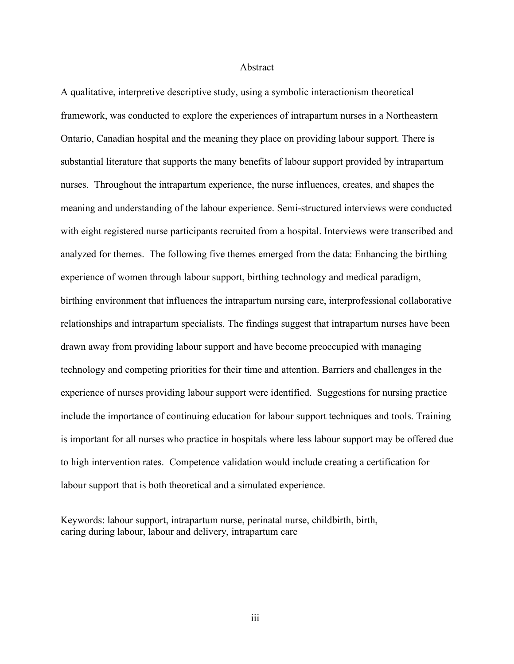#### Abstract

A qualitative, interpretive descriptive study, using a symbolic interactionism theoretical framework, was conducted to explore the experiences of intrapartum nurses in a Northeastern Ontario, Canadian hospital and the meaning they place on providing labour support. There is substantial literature that supports the many benefits of labour support provided by intrapartum nurses. Throughout the intrapartum experience, the nurse influences, creates, and shapes the meaning and understanding of the labour experience. Semi-structured interviews were conducted with eight registered nurse participants recruited from a hospital. Interviews were transcribed and analyzed for themes. The following five themes emerged from the data: Enhancing the birthing experience of women through labour support, birthing technology and medical paradigm, birthing environment that influences the intrapartum nursing care, interprofessional collaborative relationships and intrapartum specialists. The findings suggest that intrapartum nurses have been drawn away from providing labour support and have become preoccupied with managing technology and competing priorities for their time and attention. Barriers and challenges in the experience of nurses providing labour support were identified. Suggestions for nursing practice include the importance of continuing education for labour support techniques and tools. Training is important for all nurses who practice in hospitals where less labour support may be offered due to high intervention rates. Competence validation would include creating a certification for labour support that is both theoretical and a simulated experience.

Keywords: labour support, intrapartum nurse, perinatal nurse, childbirth, birth, caring during labour, labour and delivery, intrapartum care

iii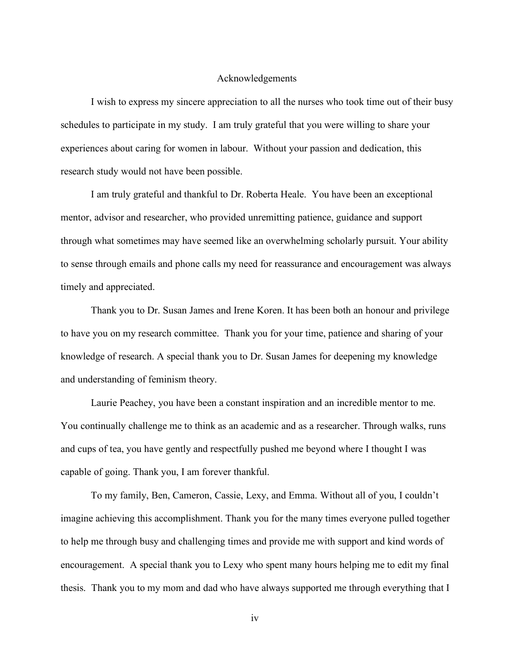#### Acknowledgements

I wish to express my sincere appreciation to all the nurses who took time out of their busy schedules to participate in my study. I am truly grateful that you were willing to share your experiences about caring for women in labour. Without your passion and dedication, this research study would not have been possible.

I am truly grateful and thankful to Dr. Roberta Heale. You have been an exceptional mentor, advisor and researcher, who provided unremitting patience, guidance and support through what sometimes may have seemed like an overwhelming scholarly pursuit. Your ability to sense through emails and phone calls my need for reassurance and encouragement was always timely and appreciated.

Thank you to Dr. Susan James and Irene Koren. It has been both an honour and privilege to have you on my research committee. Thank you for your time, patience and sharing of your knowledge of research. A special thank you to Dr. Susan James for deepening my knowledge and understanding of feminism theory.

Laurie Peachey, you have been a constant inspiration and an incredible mentor to me. You continually challenge me to think as an academic and as a researcher. Through walks, runs and cups of tea, you have gently and respectfully pushed me beyond where I thought I was capable of going. Thank you, I am forever thankful.

To my family, Ben, Cameron, Cassie, Lexy, and Emma. Without all of you, I couldn't imagine achieving this accomplishment. Thank you for the many times everyone pulled together to help me through busy and challenging times and provide me with support and kind words of encouragement. A special thank you to Lexy who spent many hours helping me to edit my final thesis. Thank you to my mom and dad who have always supported me through everything that I

iv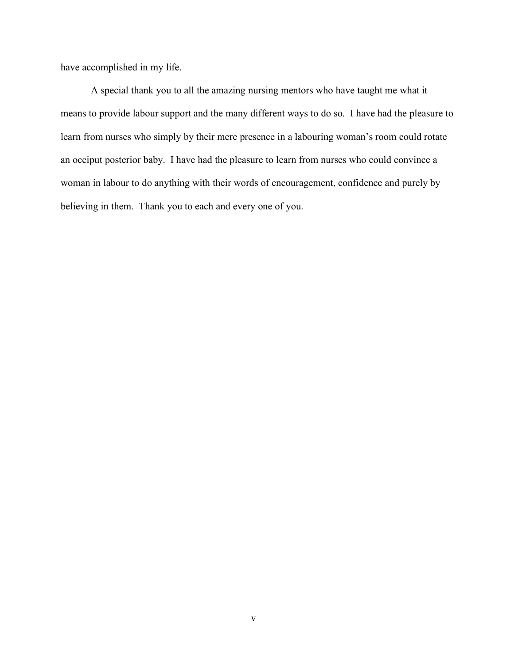have accomplished in my life.

A special thank you to all the amazing nursing mentors who have taught me what it means to provide labour support and the many different ways to do so. I have had the pleasure to learn from nurses who simply by their mere presence in a labouring woman's room could rotate an occiput posterior baby. I have had the pleasure to learn from nurses who could convince a woman in labour to do anything with their words of encouragement, confidence and purely by believing in them. Thank you to each and every one of you.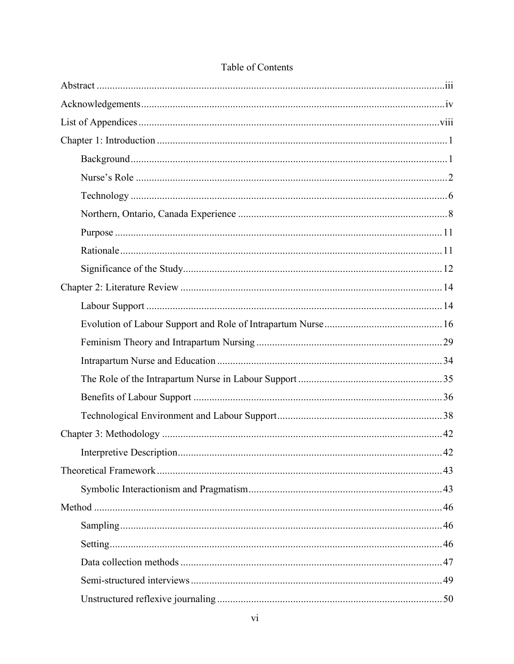| .42 |
|-----|
|     |
|     |
|     |
|     |
|     |
|     |
|     |
|     |

## Table of Contents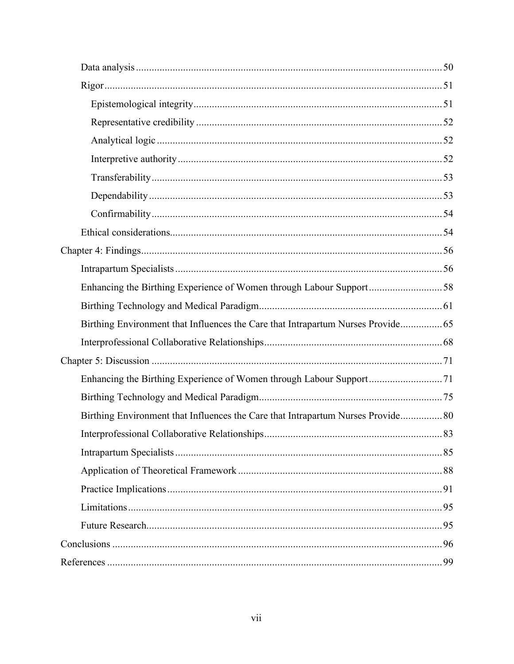| Enhancing the Birthing Experience of Women through Labour Support58              |  |
|----------------------------------------------------------------------------------|--|
|                                                                                  |  |
| Birthing Environment that Influences the Care that Intrapartum Nurses Provide    |  |
|                                                                                  |  |
|                                                                                  |  |
|                                                                                  |  |
|                                                                                  |  |
| Birthing Environment that Influences the Care that Intrapartum Nurses Provide 80 |  |
|                                                                                  |  |
|                                                                                  |  |
|                                                                                  |  |
|                                                                                  |  |
|                                                                                  |  |
|                                                                                  |  |
|                                                                                  |  |
|                                                                                  |  |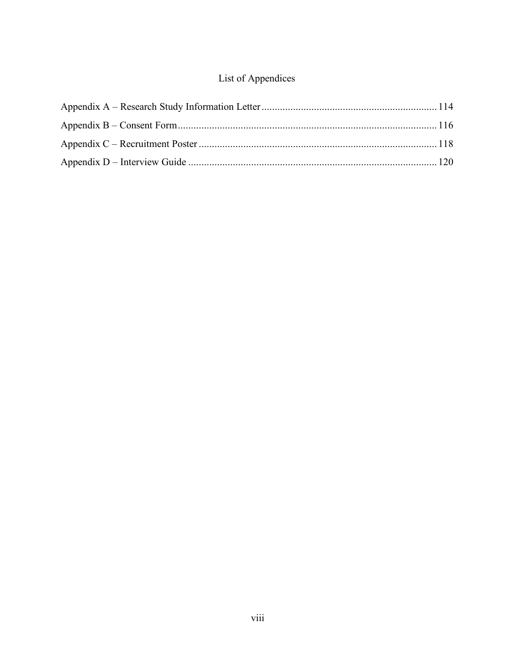## List of Appendices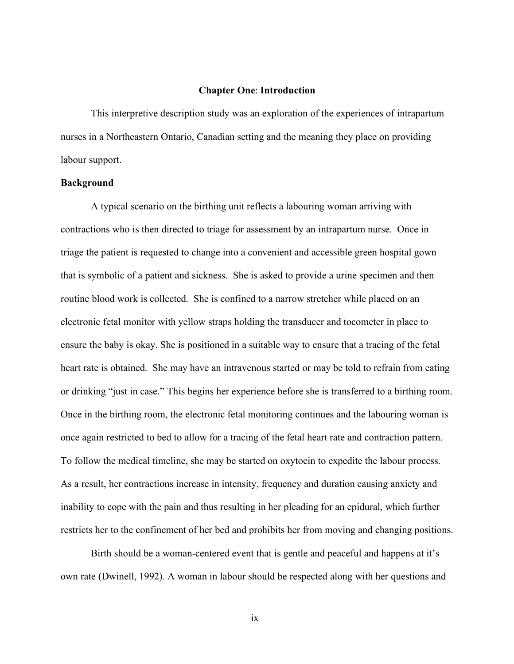#### **Chapter One**: **Introduction**

This interpretive description study was an exploration of the experiences of intrapartum nurses in a Northeastern Ontario, Canadian setting and the meaning they place on providing labour support.

#### **Background**

A typical scenario on the birthing unit reflects a labouring woman arriving with contractions who is then directed to triage for assessment by an intrapartum nurse. Once in triage the patient is requested to change into a convenient and accessible green hospital gown that is symbolic of a patient and sickness. She is asked to provide a urine specimen and then routine blood work is collected. She is confined to a narrow stretcher while placed on an electronic fetal monitor with yellow straps holding the transducer and tocometer in place to ensure the baby is okay. She is positioned in a suitable way to ensure that a tracing of the fetal heart rate is obtained. She may have an intravenous started or may be told to refrain from eating or drinking "just in case." This begins her experience before she is transferred to a birthing room. Once in the birthing room, the electronic fetal monitoring continues and the labouring woman is once again restricted to bed to allow for a tracing of the fetal heart rate and contraction pattern. To follow the medical timeline, she may be started on oxytocin to expedite the labour process. As a result, her contractions increase in intensity, frequency and duration causing anxiety and inability to cope with the pain and thus resulting in her pleading for an epidural, which further restricts her to the confinement of her bed and prohibits her from moving and changing positions.

Birth should be a woman-centered event that is gentle and peaceful and happens at it's own rate (Dwinell, 1992). A woman in labour should be respected along with her questions and

ix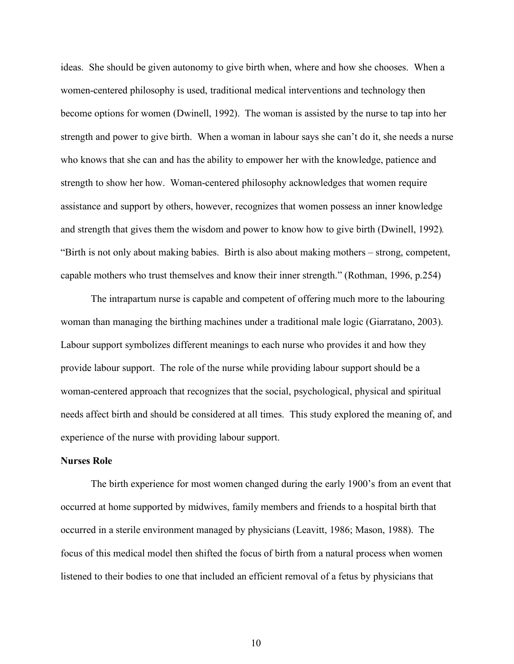ideas. She should be given autonomy to give birth when, where and how she chooses. When a women-centered philosophy is used, traditional medical interventions and technology then become options for women (Dwinell, 1992). The woman is assisted by the nurse to tap into her strength and power to give birth. When a woman in labour says she can't do it, she needs a nurse who knows that she can and has the ability to empower her with the knowledge, patience and strength to show her how. Woman-centered philosophy acknowledges that women require assistance and support by others, however, recognizes that women possess an inner knowledge and strength that gives them the wisdom and power to know how to give birth (Dwinell, 1992)*.* "Birth is not only about making babies. Birth is also about making mothers – strong, competent, capable mothers who trust themselves and know their inner strength." (Rothman, 1996, p.254)

The intrapartum nurse is capable and competent of offering much more to the labouring woman than managing the birthing machines under a traditional male logic (Giarratano, 2003). Labour support symbolizes different meanings to each nurse who provides it and how they provide labour support. The role of the nurse while providing labour support should be a woman-centered approach that recognizes that the social, psychological, physical and spiritual needs affect birth and should be considered at all times. This study explored the meaning of, and experience of the nurse with providing labour support.

#### **Nurses Role**

The birth experience for most women changed during the early 1900's from an event that occurred at home supported by midwives, family members and friends to a hospital birth that occurred in a sterile environment managed by physicians (Leavitt, 1986; Mason, 1988). The focus of this medical model then shifted the focus of birth from a natural process when women listened to their bodies to one that included an efficient removal of a fetus by physicians that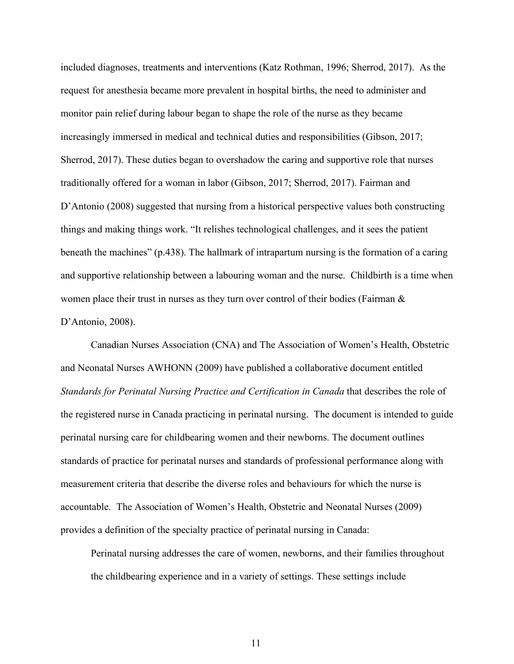included diagnoses, treatments and interventions (Katz Rothman, 1996; Sherrod, 2017). As the request for anesthesia became more prevalent in hospital births, the need to administer and monitor pain relief during labour began to shape the role of the nurse as they became increasingly immersed in medical and technical duties and responsibilities (Gibson, 2017; Sherrod, 2017). These duties began to overshadow the caring and supportive role that nurses traditionally offered for a woman in labor (Gibson, 2017; Sherrod, 2017). Fairman and D'Antonio (2008) suggested that nursing from a historical perspective values both constructing things and making things work. "It relishes technological challenges, and it sees the patient beneath the machines" (p.438). The hallmark of intrapartum nursing is the formation of a caring and supportive relationship between a labouring woman and the nurse. Childbirth is a time when women place their trust in nurses as they turn over control of their bodies (Fairman & D'Antonio, 2008).

Canadian Nurses Association (CNA) and The Association of Women's Health, Obstetric and Neonatal Nurses AWHONN (2009) have published a collaborative document entitled *Standards for Perinatal Nursing Practice and Certification in Canada* that describes the role of the registered nurse in Canada practicing in perinatal nursing. The document is intended to guide perinatal nursing care for childbearing women and their newborns. The document outlines standards of practice for perinatal nurses and standards of professional performance along with measurement criteria that describe the diverse roles and behaviours for which the nurse is accountable. The Association of Women's Health, Obstetric and Neonatal Nurses (2009) provides a definition of the specialty practice of perinatal nursing in Canada:

Perinatal nursing addresses the care of women, newborns, and their families throughout the childbearing experience and in a variety of settings. These settings include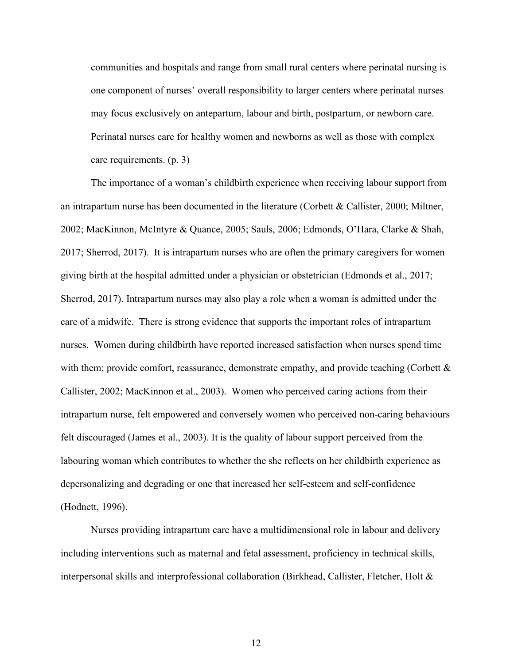communities and hospitals and range from small rural centers where perinatal nursing is one component of nurses' overall responsibility to larger centers where perinatal nurses may focus exclusively on antepartum, labour and birth, postpartum, or newborn care. Perinatal nurses care for healthy women and newborns as well as those with complex care requirements. (p. 3)

The importance of a woman's childbirth experience when receiving labour support from an intrapartum nurse has been documented in the literature (Corbett & Callister, 2000; Miltner, 2002; MacKinnon, McIntyre & Quance, 2005; Sauls, 2006; Edmonds, O'Hara, Clarke & Shah, 2017; Sherrod, 2017). It is intrapartum nurses who are often the primary caregivers for women giving birth at the hospital admitted under a physician or obstetrician (Edmonds et al., 2017; Sherrod, 2017). Intrapartum nurses may also play a role when a woman is admitted under the care of a midwife. There is strong evidence that supports the important roles of intrapartum nurses. Women during childbirth have reported increased satisfaction when nurses spend time with them; provide comfort, reassurance, demonstrate empathy, and provide teaching (Corbett & Callister, 2002; MacKinnon et al., 2003). Women who perceived caring actions from their intrapartum nurse, felt empowered and conversely women who perceived non-caring behaviours felt discouraged (James et al., 2003). It is the quality of labour support perceived from the labouring woman which contributes to whether the she reflects on her childbirth experience as depersonalizing and degrading or one that increased her self-esteem and self-confidence (Hodnett, 1996).

Nurses providing intrapartum care have a multidimensional role in labour and delivery including interventions such as maternal and fetal assessment, proficiency in technical skills, interpersonal skills and interprofessional collaboration (Birkhead, Callister, Fletcher, Holt &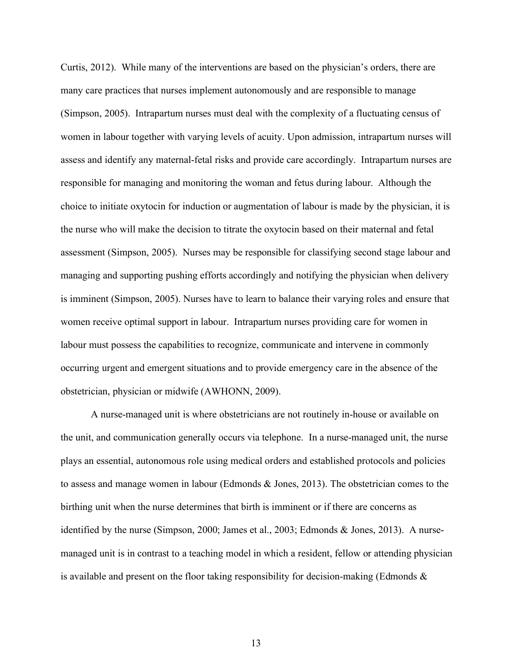Curtis, 2012). While many of the interventions are based on the physician's orders, there are many care practices that nurses implement autonomously and are responsible to manage (Simpson, 2005). Intrapartum nurses must deal with the complexity of a fluctuating census of women in labour together with varying levels of acuity. Upon admission, intrapartum nurses will assess and identify any maternal-fetal risks and provide care accordingly. Intrapartum nurses are responsible for managing and monitoring the woman and fetus during labour. Although the choice to initiate oxytocin for induction or augmentation of labour is made by the physician, it is the nurse who will make the decision to titrate the oxytocin based on their maternal and fetal assessment (Simpson, 2005). Nurses may be responsible for classifying second stage labour and managing and supporting pushing efforts accordingly and notifying the physician when delivery is imminent (Simpson, 2005). Nurses have to learn to balance their varying roles and ensure that women receive optimal support in labour. Intrapartum nurses providing care for women in labour must possess the capabilities to recognize, communicate and intervene in commonly occurring urgent and emergent situations and to provide emergency care in the absence of the obstetrician, physician or midwife (AWHONN, 2009).

A nurse-managed unit is where obstetricians are not routinely in-house or available on the unit, and communication generally occurs via telephone. In a nurse-managed unit, the nurse plays an essential, autonomous role using medical orders and established protocols and policies to assess and manage women in labour (Edmonds & Jones, 2013). The obstetrician comes to the birthing unit when the nurse determines that birth is imminent or if there are concerns as identified by the nurse (Simpson, 2000; James et al., 2003; Edmonds & Jones, 2013). A nursemanaged unit is in contrast to a teaching model in which a resident, fellow or attending physician is available and present on the floor taking responsibility for decision-making (Edmonds  $\&$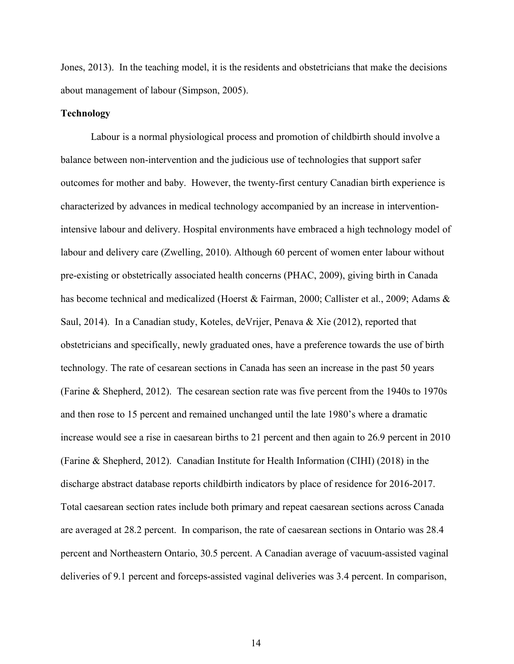Jones, 2013). In the teaching model, it is the residents and obstetricians that make the decisions about management of labour (Simpson, 2005).

#### **Technology**

Labour is a normal physiological process and promotion of childbirth should involve a balance between non-intervention and the judicious use of technologies that support safer outcomes for mother and baby. However, the twenty-first century Canadian birth experience is characterized by advances in medical technology accompanied by an increase in interventionintensive labour and delivery. Hospital environments have embraced a high technology model of labour and delivery care (Zwelling, 2010). Although 60 percent of women enter labour without pre-existing or obstetrically associated health concerns (PHAC, 2009), giving birth in Canada has become technical and medicalized (Hoerst & Fairman, 2000; Callister et al., 2009; Adams & Saul, 2014). In a Canadian study, Koteles, deVrijer, Penava & Xie (2012), reported that obstetricians and specifically, newly graduated ones, have a preference towards the use of birth technology. The rate of cesarean sections in Canada has seen an increase in the past 50 years (Farine & Shepherd, 2012). The cesarean section rate was five percent from the 1940s to 1970s and then rose to 15 percent and remained unchanged until the late 1980's where a dramatic increase would see a rise in caesarean births to 21 percent and then again to 26.9 percent in 2010 (Farine & Shepherd, 2012). Canadian Institute for Health Information (CIHI) (2018) in the discharge abstract database reports childbirth indicators by place of residence for 2016-2017. Total caesarean section rates include both primary and repeat caesarean sections across Canada are averaged at 28.2 percent. In comparison, the rate of caesarean sections in Ontario was 28.4 percent and Northeastern Ontario, 30.5 percent. A Canadian average of vacuum-assisted vaginal deliveries of 9.1 percent and forceps-assisted vaginal deliveries was 3.4 percent. In comparison,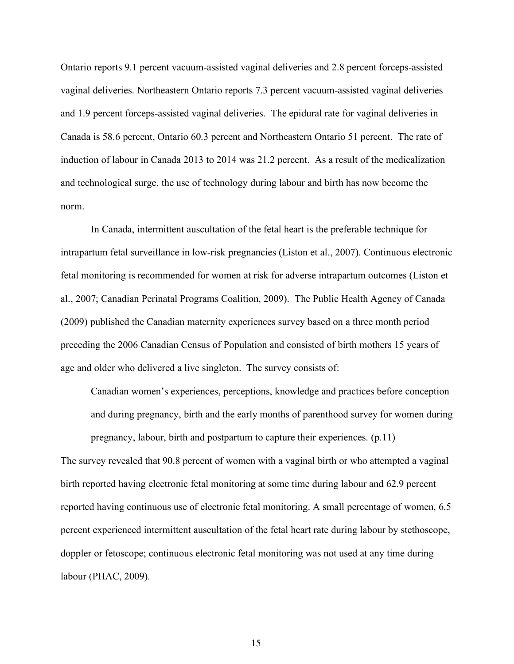Ontario reports 9.1 percent vacuum-assisted vaginal deliveries and 2.8 percent forceps-assisted vaginal deliveries. Northeastern Ontario reports 7.3 percent vacuum-assisted vaginal deliveries and 1.9 percent forceps-assisted vaginal deliveries. The epidural rate for vaginal deliveries in Canada is 58.6 percent, Ontario 60.3 percent and Northeastern Ontario 51 percent. The rate of induction of labour in Canada 2013 to 2014 was 21.2 percent. As a result of the medicalization and technological surge, the use of technology during labour and birth has now become the norm.

In Canada, intermittent auscultation of the fetal heart is the preferable technique for intrapartum fetal surveillance in low-risk pregnancies (Liston et al., 2007). Continuous electronic fetal monitoring is recommended for women at risk for adverse intrapartum outcomes (Liston et al., 2007; Canadian Perinatal Programs Coalition, 2009). The Public Health Agency of Canada (2009) published the Canadian maternity experiences survey based on a three month period preceding the 2006 Canadian Census of Population and consisted of birth mothers 15 years of age and older who delivered a live singleton. The survey consists of:

Canadian women's experiences, perceptions, knowledge and practices before conception and during pregnancy, birth and the early months of parenthood survey for women during pregnancy, labour, birth and postpartum to capture their experiences. (p.11)

The survey revealed that 90.8 percent of women with a vaginal birth or who attempted a vaginal birth reported having electronic fetal monitoring at some time during labour and 62.9 percent reported having continuous use of electronic fetal monitoring. A small percentage of women, 6.5 percent experienced intermittent auscultation of the fetal heart rate during labour by stethoscope, doppler or fetoscope; continuous electronic fetal monitoring was not used at any time during labour (PHAC, 2009).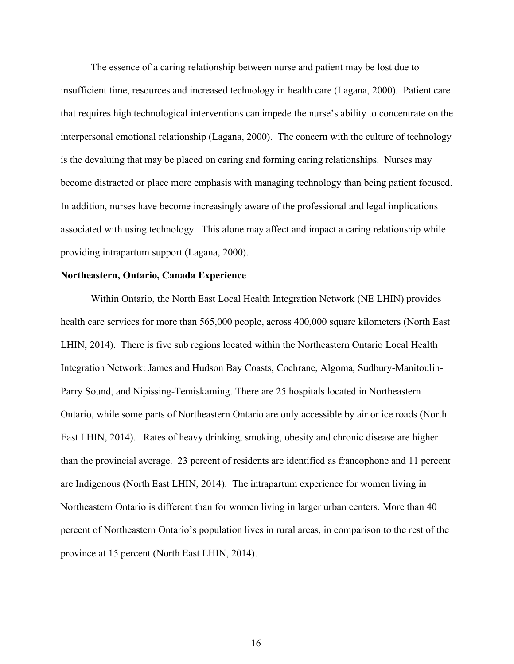The essence of a caring relationship between nurse and patient may be lost due to insufficient time, resources and increased technology in health care (Lagana, 2000). Patient care that requires high technological interventions can impede the nurse's ability to concentrate on the interpersonal emotional relationship (Lagana, 2000). The concern with the culture of technology is the devaluing that may be placed on caring and forming caring relationships. Nurses may become distracted or place more emphasis with managing technology than being patient focused. In addition, nurses have become increasingly aware of the professional and legal implications associated with using technology. This alone may affect and impact a caring relationship while providing intrapartum support (Lagana, 2000).

#### **Northeastern, Ontario, Canada Experience**

Within Ontario, the North East Local Health Integration Network (NE LHIN) provides health care services for more than 565,000 people, across 400,000 square kilometers (North East LHIN, 2014). There is five sub regions located within the Northeastern Ontario Local Health Integration Network: James and Hudson Bay Coasts, Cochrane, Algoma, Sudbury-Manitoulin-Parry Sound, and Nipissing-Temiskaming. There are 25 hospitals located in Northeastern Ontario, while some parts of Northeastern Ontario are only accessible by air or ice roads (North East LHIN, 2014). Rates of heavy drinking, smoking, obesity and chronic disease are higher than the provincial average. 23 percent of residents are identified as francophone and 11 percent are Indigenous (North East LHIN, 2014). The intrapartum experience for women living in Northeastern Ontario is different than for women living in larger urban centers. More than 40 percent of Northeastern Ontario's population lives in rural areas, in comparison to the rest of the province at 15 percent (North East LHIN, 2014).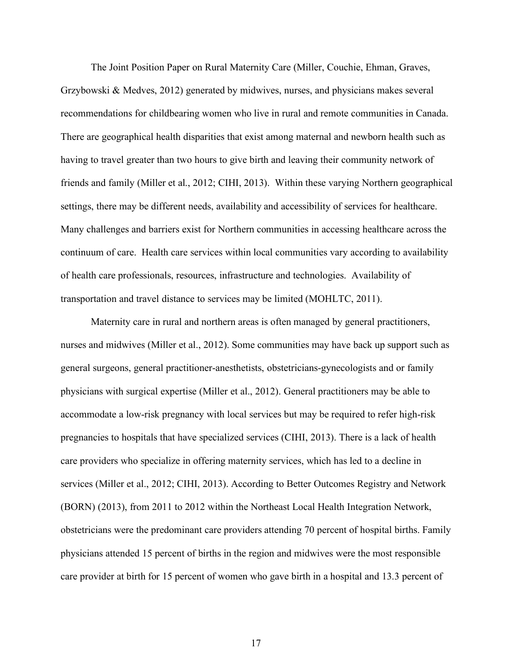The Joint Position Paper on Rural Maternity Care (Miller, Couchie, Ehman, Graves, Grzybowski & Medves, 2012) generated by midwives, nurses, and physicians makes several recommendations for childbearing women who live in rural and remote communities in Canada. There are geographical health disparities that exist among maternal and newborn health such as having to travel greater than two hours to give birth and leaving their community network of friends and family (Miller et al., 2012; CIHI, 2013). Within these varying Northern geographical settings, there may be different needs, availability and accessibility of services for healthcare. Many challenges and barriers exist for Northern communities in accessing healthcare across the continuum of care. Health care services within local communities vary according to availability of health care professionals, resources, infrastructure and technologies. Availability of transportation and travel distance to services may be limited (MOHLTC, 2011).

Maternity care in rural and northern areas is often managed by general practitioners, nurses and midwives (Miller et al., 2012). Some communities may have back up support such as general surgeons, general practitioner-anesthetists, obstetricians-gynecologists and or family physicians with surgical expertise (Miller et al., 2012). General practitioners may be able to accommodate a low-risk pregnancy with local services but may be required to refer high-risk pregnancies to hospitals that have specialized services (CIHI, 2013). There is a lack of health care providers who specialize in offering maternity services, which has led to a decline in services (Miller et al., 2012; CIHI, 2013). According to Better Outcomes Registry and Network (BORN) (2013), from 2011 to 2012 within the Northeast Local Health Integration Network, obstetricians were the predominant care providers attending 70 percent of hospital births. Family physicians attended 15 percent of births in the region and midwives were the most responsible care provider at birth for 15 percent of women who gave birth in a hospital and 13.3 percent of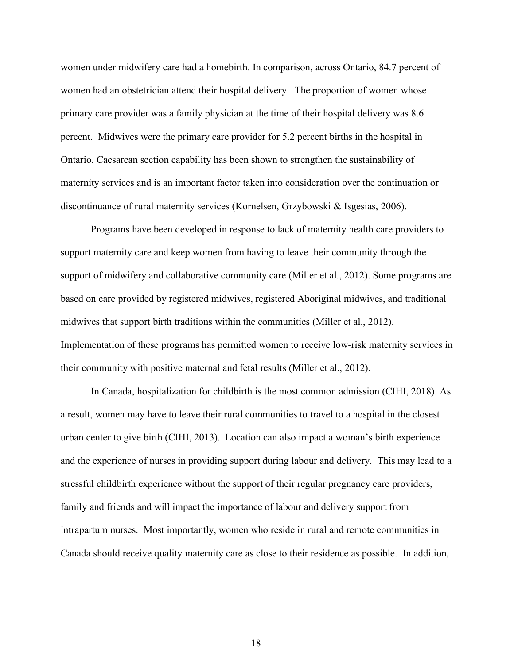women under midwifery care had a homebirth. In comparison, across Ontario, 84.7 percent of women had an obstetrician attend their hospital delivery. The proportion of women whose primary care provider was a family physician at the time of their hospital delivery was 8.6 percent. Midwives were the primary care provider for 5.2 percent births in the hospital in Ontario. Caesarean section capability has been shown to strengthen the sustainability of maternity services and is an important factor taken into consideration over the continuation or discontinuance of rural maternity services (Kornelsen, Grzybowski & Isgesias, 2006).

Programs have been developed in response to lack of maternity health care providers to support maternity care and keep women from having to leave their community through the support of midwifery and collaborative community care (Miller et al., 2012). Some programs are based on care provided by registered midwives, registered Aboriginal midwives, and traditional midwives that support birth traditions within the communities (Miller et al., 2012). Implementation of these programs has permitted women to receive low-risk maternity services in their community with positive maternal and fetal results (Miller et al., 2012).

In Canada, hospitalization for childbirth is the most common admission (CIHI, 2018). As a result, women may have to leave their rural communities to travel to a hospital in the closest urban center to give birth (CIHI, 2013). Location can also impact a woman's birth experience and the experience of nurses in providing support during labour and delivery. This may lead to a stressful childbirth experience without the support of their regular pregnancy care providers, family and friends and will impact the importance of labour and delivery support from intrapartum nurses. Most importantly, women who reside in rural and remote communities in Canada should receive quality maternity care as close to their residence as possible. In addition,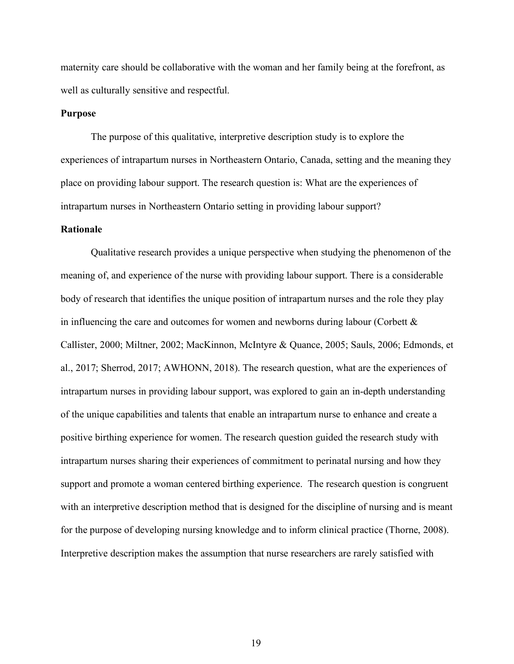maternity care should be collaborative with the woman and her family being at the forefront, as well as culturally sensitive and respectful.

#### **Purpose**

The purpose of this qualitative, interpretive description study is to explore the experiences of intrapartum nurses in Northeastern Ontario, Canada, setting and the meaning they place on providing labour support. The research question is: What are the experiences of intrapartum nurses in Northeastern Ontario setting in providing labour support?

#### **Rationale**

Qualitative research provides a unique perspective when studying the phenomenon of the meaning of, and experience of the nurse with providing labour support. There is a considerable body of research that identifies the unique position of intrapartum nurses and the role they play in influencing the care and outcomes for women and newborns during labour (Corbett  $\&$ Callister, 2000; Miltner, 2002; MacKinnon, McIntyre & Quance, 2005; Sauls, 2006; Edmonds, et al., 2017; Sherrod, 2017; AWHONN, 2018). The research question, what are the experiences of intrapartum nurses in providing labour support, was explored to gain an in-depth understanding of the unique capabilities and talents that enable an intrapartum nurse to enhance and create a positive birthing experience for women. The research question guided the research study with intrapartum nurses sharing their experiences of commitment to perinatal nursing and how they support and promote a woman centered birthing experience. The research question is congruent with an interpretive description method that is designed for the discipline of nursing and is meant for the purpose of developing nursing knowledge and to inform clinical practice (Thorne, 2008). Interpretive description makes the assumption that nurse researchers are rarely satisfied with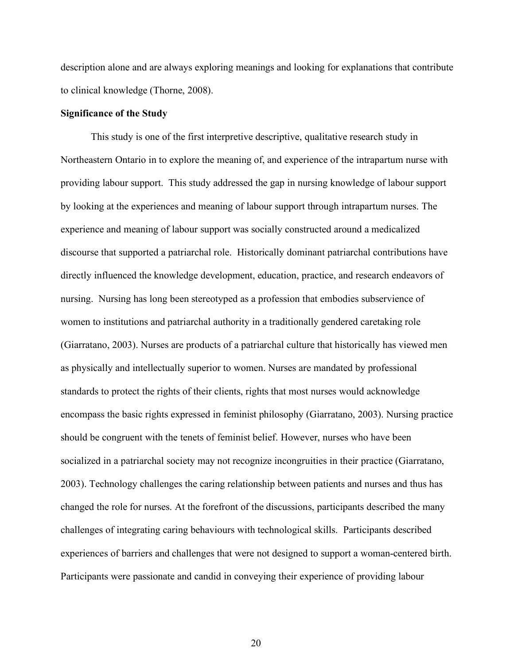description alone and are always exploring meanings and looking for explanations that contribute to clinical knowledge (Thorne, 2008).

#### **Significance of the Study**

This study is one of the first interpretive descriptive, qualitative research study in Northeastern Ontario in to explore the meaning of, and experience of the intrapartum nurse with providing labour support. This study addressed the gap in nursing knowledge of labour support by looking at the experiences and meaning of labour support through intrapartum nurses. The experience and meaning of labour support was socially constructed around a medicalized discourse that supported a patriarchal role. Historically dominant patriarchal contributions have directly influenced the knowledge development, education, practice, and research endeavors of nursing. Nursing has long been stereotyped as a profession that embodies subservience of women to institutions and patriarchal authority in a traditionally gendered caretaking role (Giarratano, 2003). Nurses are products of a patriarchal culture that historically has viewed men as physically and intellectually superior to women. Nurses are mandated by professional standards to protect the rights of their clients, rights that most nurses would acknowledge encompass the basic rights expressed in feminist philosophy (Giarratano, 2003). Nursing practice should be congruent with the tenets of feminist belief. However, nurses who have been socialized in a patriarchal society may not recognize incongruities in their practice (Giarratano, 2003). Technology challenges the caring relationship between patients and nurses and thus has changed the role for nurses. At the forefront of the discussions, participants described the many challenges of integrating caring behaviours with technological skills. Participants described experiences of barriers and challenges that were not designed to support a woman-centered birth. Participants were passionate and candid in conveying their experience of providing labour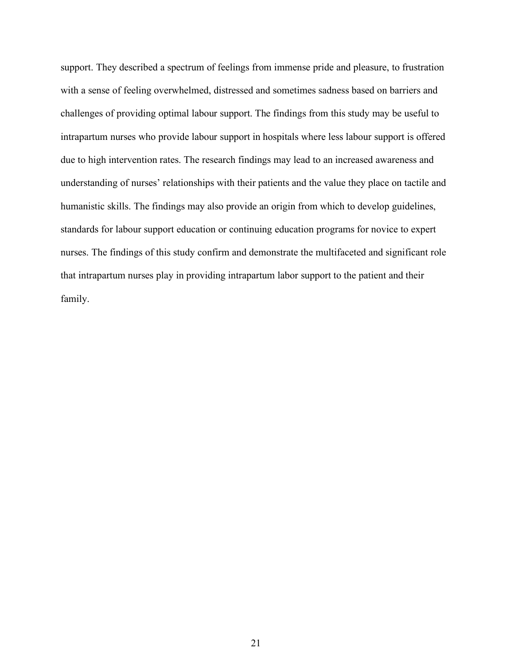support. They described a spectrum of feelings from immense pride and pleasure, to frustration with a sense of feeling overwhelmed, distressed and sometimes sadness based on barriers and challenges of providing optimal labour support. The findings from this study may be useful to intrapartum nurses who provide labour support in hospitals where less labour support is offered due to high intervention rates. The research findings may lead to an increased awareness and understanding of nurses' relationships with their patients and the value they place on tactile and humanistic skills. The findings may also provide an origin from which to develop guidelines, standards for labour support education or continuing education programs for novice to expert nurses. The findings of this study confirm and demonstrate the multifaceted and significant role that intrapartum nurses play in providing intrapartum labor support to the patient and their family.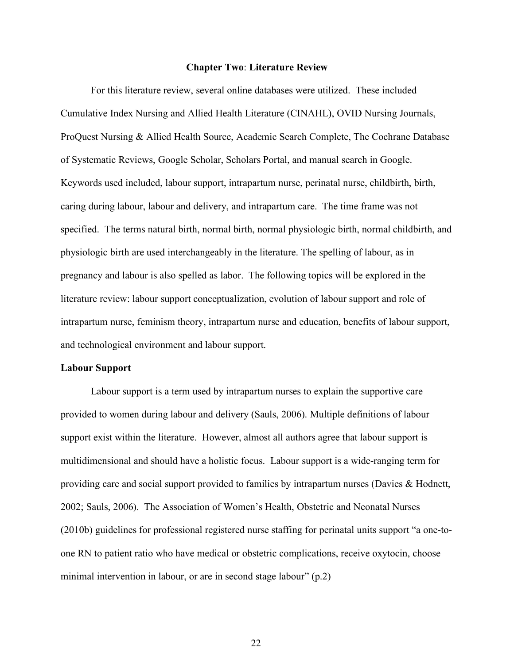#### **Chapter Two**: **Literature Review**

For this literature review, several online databases were utilized. These included Cumulative Index Nursing and Allied Health Literature (CINAHL), OVID Nursing Journals, ProQuest Nursing & Allied Health Source, Academic Search Complete, The Cochrane Database of Systematic Reviews, Google Scholar, Scholars Portal, and manual search in Google. Keywords used included, labour support, intrapartum nurse, perinatal nurse, childbirth, birth, caring during labour, labour and delivery, and intrapartum care. The time frame was not specified. The terms natural birth, normal birth, normal physiologic birth, normal childbirth, and physiologic birth are used interchangeably in the literature. The spelling of labour, as in pregnancy and labour is also spelled as labor. The following topics will be explored in the literature review: labour support conceptualization, evolution of labour support and role of intrapartum nurse, feminism theory, intrapartum nurse and education, benefits of labour support, and technological environment and labour support.

#### **Labour Support**

Labour support is a term used by intrapartum nurses to explain the supportive care provided to women during labour and delivery (Sauls, 2006). Multiple definitions of labour support exist within the literature. However, almost all authors agree that labour support is multidimensional and should have a holistic focus. Labour support is a wide-ranging term for providing care and social support provided to families by intrapartum nurses (Davies & Hodnett, 2002; Sauls, 2006). The Association of Women's Health, Obstetric and Neonatal Nurses (2010b) guidelines for professional registered nurse staffing for perinatal units support "a one-toone RN to patient ratio who have medical or obstetric complications, receive oxytocin, choose minimal intervention in labour, or are in second stage labour" (p.2)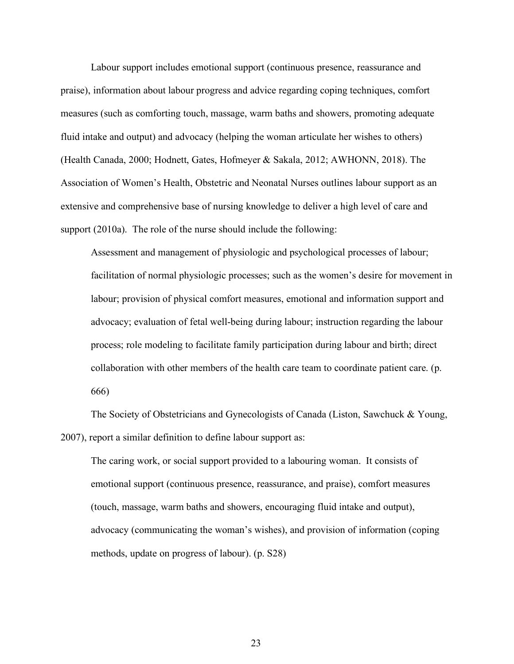Labour support includes emotional support (continuous presence, reassurance and praise), information about labour progress and advice regarding coping techniques, comfort measures (such as comforting touch, massage, warm baths and showers, promoting adequate fluid intake and output) and advocacy (helping the woman articulate her wishes to others) (Health Canada, 2000; Hodnett, Gates, Hofmeyer & Sakala, 2012; AWHONN, 2018). The Association of Women's Health, Obstetric and Neonatal Nurses outlines labour support as an extensive and comprehensive base of nursing knowledge to deliver a high level of care and support (2010a). The role of the nurse should include the following:

Assessment and management of physiologic and psychological processes of labour; facilitation of normal physiologic processes; such as the women's desire for movement in labour; provision of physical comfort measures, emotional and information support and advocacy; evaluation of fetal well-being during labour; instruction regarding the labour process; role modeling to facilitate family participation during labour and birth; direct collaboration with other members of the health care team to coordinate patient care. (p. 666)

The Society of Obstetricians and Gynecologists of Canada (Liston, Sawchuck & Young, 2007), report a similar definition to define labour support as:

The caring work, or social support provided to a labouring woman. It consists of emotional support (continuous presence, reassurance, and praise), comfort measures (touch, massage, warm baths and showers, encouraging fluid intake and output), advocacy (communicating the woman's wishes), and provision of information (coping methods, update on progress of labour). (p. S28)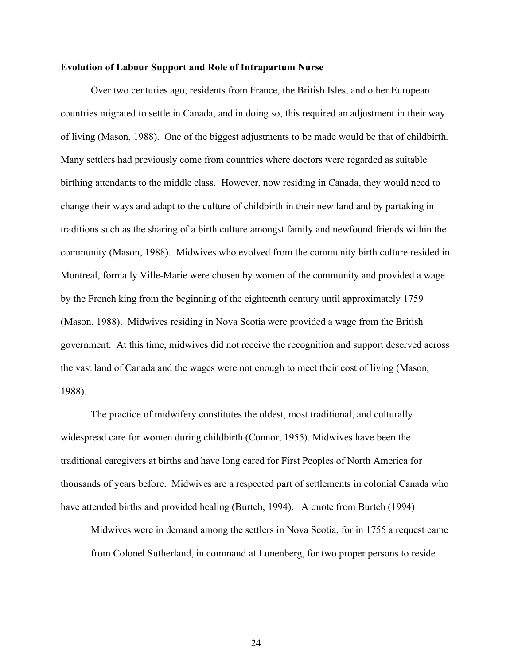#### **Evolution of Labour Support and Role of Intrapartum Nurse**

Over two centuries ago, residents from France, the British Isles, and other European countries migrated to settle in Canada, and in doing so, this required an adjustment in their way of living (Mason, 1988). One of the biggest adjustments to be made would be that of childbirth. Many settlers had previously come from countries where doctors were regarded as suitable birthing attendants to the middle class. However, now residing in Canada, they would need to change their ways and adapt to the culture of childbirth in their new land and by partaking in traditions such as the sharing of a birth culture amongst family and newfound friends within the community (Mason, 1988). Midwives who evolved from the community birth culture resided in Montreal, formally Ville-Marie were chosen by women of the community and provided a wage by the French king from the beginning of the eighteenth century until approximately 1759 (Mason, 1988). Midwives residing in Nova Scotia were provided a wage from the British government. At this time, midwives did not receive the recognition and support deserved across the vast land of Canada and the wages were not enough to meet their cost of living (Mason, 1988).

The practice of midwifery constitutes the oldest, most traditional, and culturally widespread care for women during childbirth (Connor, 1955). Midwives have been the traditional caregivers at births and have long cared for First Peoples of North America for thousands of years before. Midwives are a respected part of settlements in colonial Canada who have attended births and provided healing (Burtch, 1994). A quote from Burtch (1994)

Midwives were in demand among the settlers in Nova Scotia, for in 1755 a request came from Colonel Sutherland, in command at Lunenberg, for two proper persons to reside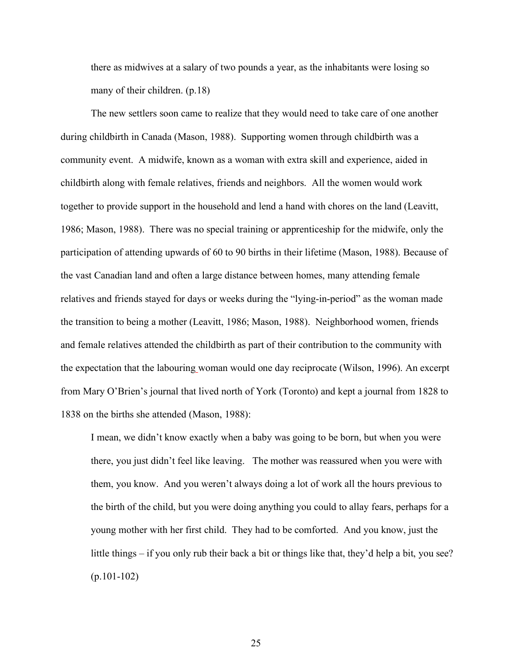there as midwives at a salary of two pounds a year, as the inhabitants were losing so many of their children. (p.18)

The new settlers soon came to realize that they would need to take care of one another during childbirth in Canada (Mason, 1988). Supporting women through childbirth was a community event. A midwife, known as a woman with extra skill and experience, aided in childbirth along with female relatives, friends and neighbors. All the women would work together to provide support in the household and lend a hand with chores on the land (Leavitt, 1986; Mason, 1988). There was no special training or apprenticeship for the midwife, only the participation of attending upwards of 60 to 90 births in their lifetime (Mason, 1988). Because of the vast Canadian land and often a large distance between homes, many attending female relatives and friends stayed for days or weeks during the "lying-in-period" as the woman made the transition to being a mother (Leavitt, 1986; Mason, 1988). Neighborhood women, friends and female relatives attended the childbirth as part of their contribution to the community with the expectation that the labouring woman would one day reciprocate (Wilson, 1996). An excerpt from Mary O'Brien's journal that lived north of York (Toronto) and kept a journal from 1828 to 1838 on the births she attended (Mason, 1988):

I mean, we didn't know exactly when a baby was going to be born, but when you were there, you just didn't feel like leaving. The mother was reassured when you were with them, you know. And you weren't always doing a lot of work all the hours previous to the birth of the child, but you were doing anything you could to allay fears, perhaps for a young mother with her first child. They had to be comforted. And you know, just the little things – if you only rub their back a bit or things like that, they'd help a bit, you see? (p.101-102)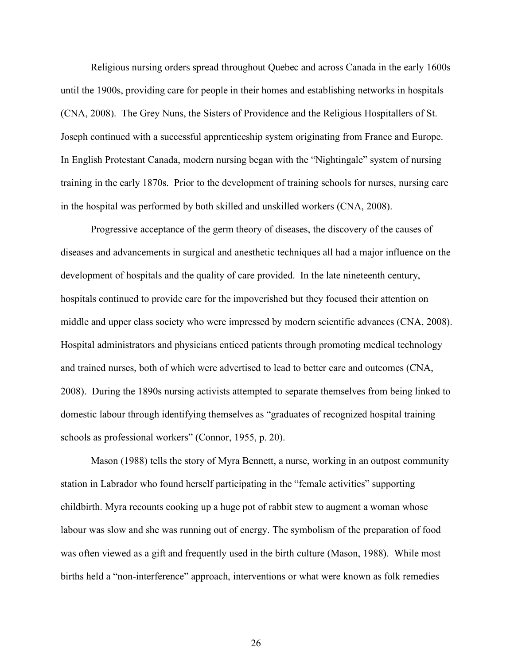Religious nursing orders spread throughout Quebec and across Canada in the early 1600s until the 1900s, providing care for people in their homes and establishing networks in hospitals (CNA, 2008). The Grey Nuns, the Sisters of Providence and the Religious Hospitallers of St. Joseph continued with a successful apprenticeship system originating from France and Europe. In English Protestant Canada, modern nursing began with the "Nightingale" system of nursing training in the early 1870s. Prior to the development of training schools for nurses, nursing care in the hospital was performed by both skilled and unskilled workers (CNA, 2008).

Progressive acceptance of the germ theory of diseases, the discovery of the causes of diseases and advancements in surgical and anesthetic techniques all had a major influence on the development of hospitals and the quality of care provided. In the late nineteenth century, hospitals continued to provide care for the impoverished but they focused their attention on middle and upper class society who were impressed by modern scientific advances (CNA, 2008). Hospital administrators and physicians enticed patients through promoting medical technology and trained nurses, both of which were advertised to lead to better care and outcomes (CNA, 2008). During the 1890s nursing activists attempted to separate themselves from being linked to domestic labour through identifying themselves as "graduates of recognized hospital training schools as professional workers" (Connor, 1955, p. 20).

Mason (1988) tells the story of Myra Bennett, a nurse, working in an outpost community station in Labrador who found herself participating in the "female activities" supporting childbirth. Myra recounts cooking up a huge pot of rabbit stew to augment a woman whose labour was slow and she was running out of energy. The symbolism of the preparation of food was often viewed as a gift and frequently used in the birth culture (Mason, 1988). While most births held a "non-interference" approach, interventions or what were known as folk remedies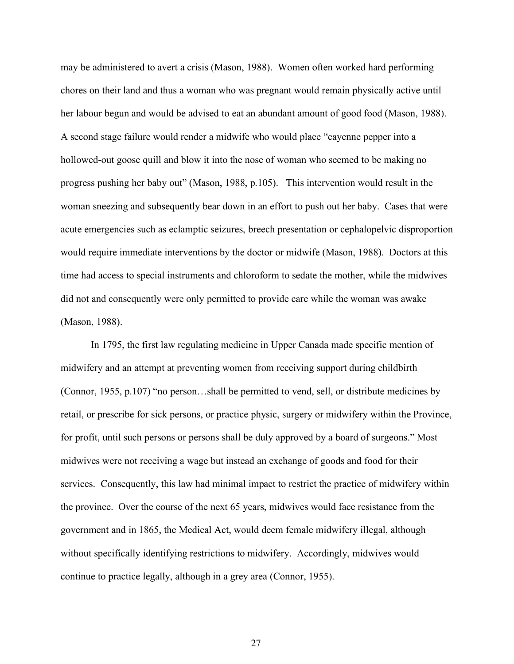may be administered to avert a crisis (Mason, 1988). Women often worked hard performing chores on their land and thus a woman who was pregnant would remain physically active until her labour begun and would be advised to eat an abundant amount of good food (Mason, 1988). A second stage failure would render a midwife who would place "cayenne pepper into a hollowed-out goose quill and blow it into the nose of woman who seemed to be making no progress pushing her baby out" (Mason, 1988, p.105). This intervention would result in the woman sneezing and subsequently bear down in an effort to push out her baby. Cases that were acute emergencies such as eclamptic seizures, breech presentation or cephalopelvic disproportion would require immediate interventions by the doctor or midwife (Mason, 1988). Doctors at this time had access to special instruments and chloroform to sedate the mother, while the midwives did not and consequently were only permitted to provide care while the woman was awake (Mason, 1988).

In 1795, the first law regulating medicine in Upper Canada made specific mention of midwifery and an attempt at preventing women from receiving support during childbirth (Connor, 1955, p.107) "no person…shall be permitted to vend, sell, or distribute medicines by retail, or prescribe for sick persons, or practice physic, surgery or midwifery within the Province, for profit, until such persons or persons shall be duly approved by a board of surgeons." Most midwives were not receiving a wage but instead an exchange of goods and food for their services. Consequently, this law had minimal impact to restrict the practice of midwifery within the province. Over the course of the next 65 years, midwives would face resistance from the government and in 1865, the Medical Act, would deem female midwifery illegal, although without specifically identifying restrictions to midwifery. Accordingly, midwives would continue to practice legally, although in a grey area (Connor, 1955).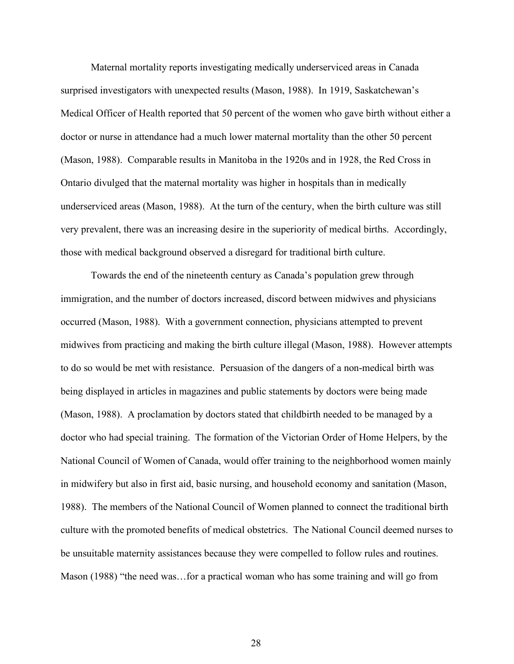Maternal mortality reports investigating medically underserviced areas in Canada surprised investigators with unexpected results (Mason, 1988). In 1919, Saskatchewan's Medical Officer of Health reported that 50 percent of the women who gave birth without either a doctor or nurse in attendance had a much lower maternal mortality than the other 50 percent (Mason, 1988). Comparable results in Manitoba in the 1920s and in 1928, the Red Cross in Ontario divulged that the maternal mortality was higher in hospitals than in medically underserviced areas (Mason, 1988). At the turn of the century, when the birth culture was still very prevalent, there was an increasing desire in the superiority of medical births. Accordingly, those with medical background observed a disregard for traditional birth culture.

Towards the end of the nineteenth century as Canada's population grew through immigration, and the number of doctors increased, discord between midwives and physicians occurred (Mason, 1988). With a government connection, physicians attempted to prevent midwives from practicing and making the birth culture illegal (Mason, 1988). However attempts to do so would be met with resistance. Persuasion of the dangers of a non-medical birth was being displayed in articles in magazines and public statements by doctors were being made (Mason, 1988). A proclamation by doctors stated that childbirth needed to be managed by a doctor who had special training. The formation of the Victorian Order of Home Helpers, by the National Council of Women of Canada, would offer training to the neighborhood women mainly in midwifery but also in first aid, basic nursing, and household economy and sanitation (Mason, 1988). The members of the National Council of Women planned to connect the traditional birth culture with the promoted benefits of medical obstetrics. The National Council deemed nurses to be unsuitable maternity assistances because they were compelled to follow rules and routines. Mason (1988) "the need was…for a practical woman who has some training and will go from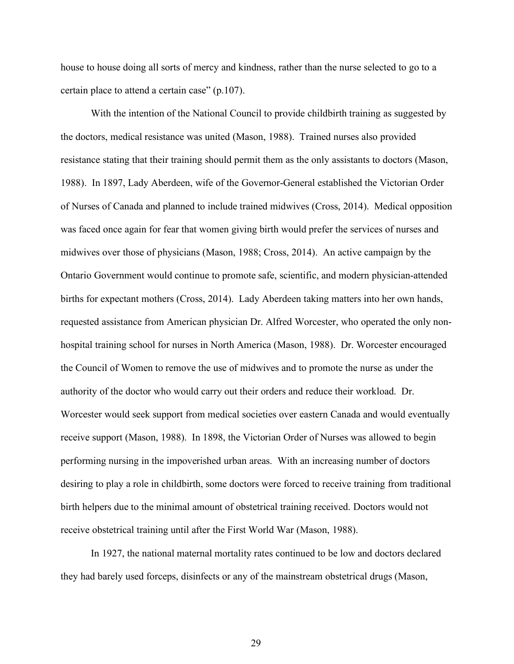house to house doing all sorts of mercy and kindness, rather than the nurse selected to go to a certain place to attend a certain case" (p.107).

With the intention of the National Council to provide childbirth training as suggested by the doctors, medical resistance was united (Mason, 1988). Trained nurses also provided resistance stating that their training should permit them as the only assistants to doctors (Mason, 1988). In 1897, Lady Aberdeen, wife of the Governor-General established the Victorian Order of Nurses of Canada and planned to include trained midwives (Cross, 2014). Medical opposition was faced once again for fear that women giving birth would prefer the services of nurses and midwives over those of physicians (Mason, 1988; Cross, 2014). An active campaign by the Ontario Government would continue to promote safe, scientific, and modern physician-attended births for expectant mothers (Cross, 2014). Lady Aberdeen taking matters into her own hands, requested assistance from American physician Dr. Alfred Worcester, who operated the only nonhospital training school for nurses in North America (Mason, 1988). Dr. Worcester encouraged the Council of Women to remove the use of midwives and to promote the nurse as under the authority of the doctor who would carry out their orders and reduce their workload. Dr. Worcester would seek support from medical societies over eastern Canada and would eventually receive support (Mason, 1988). In 1898, the Victorian Order of Nurses was allowed to begin performing nursing in the impoverished urban areas. With an increasing number of doctors desiring to play a role in childbirth, some doctors were forced to receive training from traditional birth helpers due to the minimal amount of obstetrical training received. Doctors would not receive obstetrical training until after the First World War (Mason, 1988).

In 1927, the national maternal mortality rates continued to be low and doctors declared they had barely used forceps, disinfects or any of the mainstream obstetrical drugs (Mason,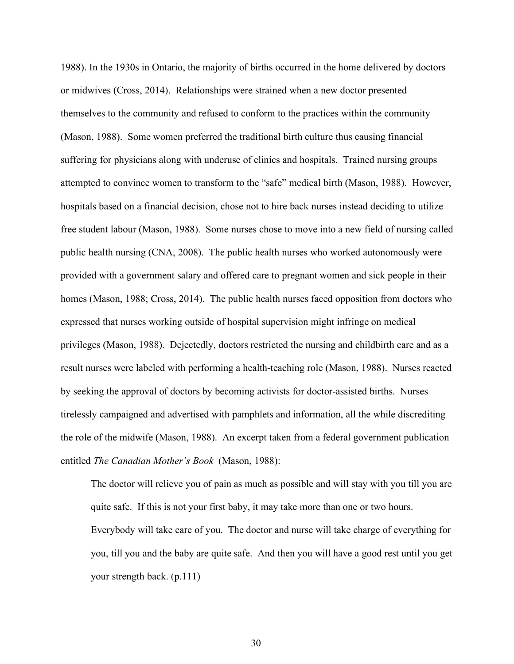1988). In the 1930s in Ontario, the majority of births occurred in the home delivered by doctors or midwives (Cross, 2014). Relationships were strained when a new doctor presented themselves to the community and refused to conform to the practices within the community (Mason, 1988). Some women preferred the traditional birth culture thus causing financial suffering for physicians along with underuse of clinics and hospitals. Trained nursing groups attempted to convince women to transform to the "safe" medical birth (Mason, 1988). However, hospitals based on a financial decision, chose not to hire back nurses instead deciding to utilize free student labour (Mason, 1988). Some nurses chose to move into a new field of nursing called public health nursing (CNA, 2008). The public health nurses who worked autonomously were provided with a government salary and offered care to pregnant women and sick people in their homes (Mason, 1988; Cross, 2014). The public health nurses faced opposition from doctors who expressed that nurses working outside of hospital supervision might infringe on medical privileges (Mason, 1988). Dejectedly, doctors restricted the nursing and childbirth care and as a result nurses were labeled with performing a health-teaching role (Mason, 1988). Nurses reacted by seeking the approval of doctors by becoming activists for doctor-assisted births. Nurses tirelessly campaigned and advertised with pamphlets and information, all the while discrediting the role of the midwife (Mason, 1988). An excerpt taken from a federal government publication entitled *The Canadian Mother's Book* (Mason, 1988):

The doctor will relieve you of pain as much as possible and will stay with you till you are quite safe. If this is not your first baby, it may take more than one or two hours. Everybody will take care of you. The doctor and nurse will take charge of everything for you, till you and the baby are quite safe. And then you will have a good rest until you get your strength back. (p.111)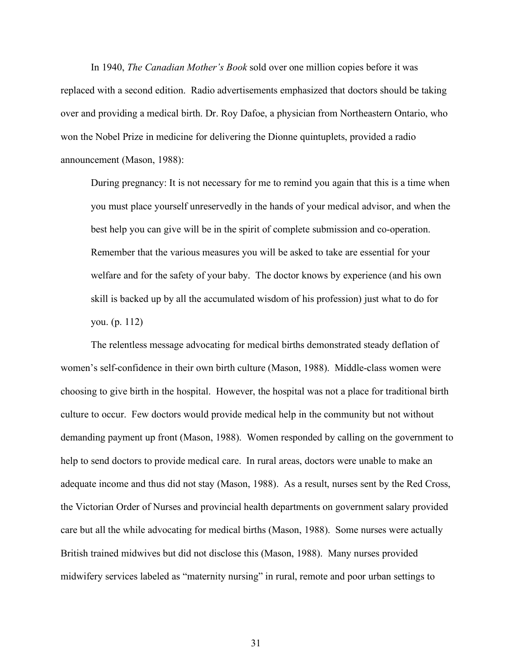In 1940, *The Canadian Mother's Book* sold over one million copies before it was replaced with a second edition. Radio advertisements emphasized that doctors should be taking over and providing a medical birth. Dr. Roy Dafoe, a physician from Northeastern Ontario, who won the Nobel Prize in medicine for delivering the Dionne quintuplets, provided a radio announcement (Mason, 1988):

During pregnancy: It is not necessary for me to remind you again that this is a time when you must place yourself unreservedly in the hands of your medical advisor, and when the best help you can give will be in the spirit of complete submission and co-operation. Remember that the various measures you will be asked to take are essential for your welfare and for the safety of your baby. The doctor knows by experience (and his own skill is backed up by all the accumulated wisdom of his profession) just what to do for you. (p. 112)

The relentless message advocating for medical births demonstrated steady deflation of women's self-confidence in their own birth culture (Mason, 1988). Middle-class women were choosing to give birth in the hospital. However, the hospital was not a place for traditional birth culture to occur. Few doctors would provide medical help in the community but not without demanding payment up front (Mason, 1988). Women responded by calling on the government to help to send doctors to provide medical care. In rural areas, doctors were unable to make an adequate income and thus did not stay (Mason, 1988). As a result, nurses sent by the Red Cross, the Victorian Order of Nurses and provincial health departments on government salary provided care but all the while advocating for medical births (Mason, 1988). Some nurses were actually British trained midwives but did not disclose this (Mason, 1988). Many nurses provided midwifery services labeled as "maternity nursing" in rural, remote and poor urban settings to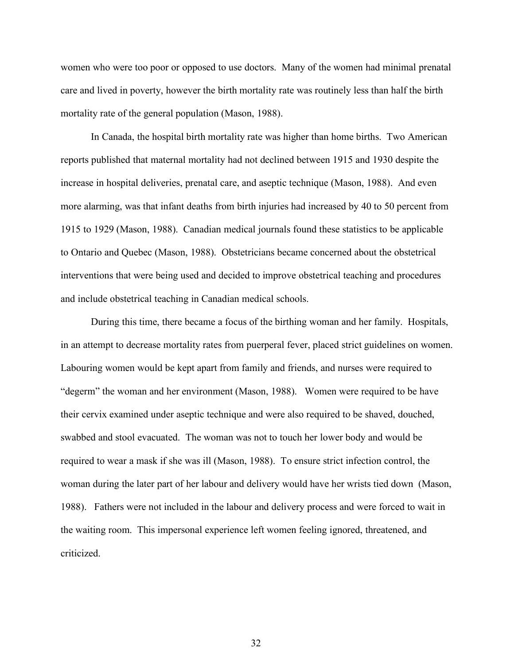women who were too poor or opposed to use doctors. Many of the women had minimal prenatal care and lived in poverty, however the birth mortality rate was routinely less than half the birth mortality rate of the general population (Mason, 1988).

In Canada, the hospital birth mortality rate was higher than home births. Two American reports published that maternal mortality had not declined between 1915 and 1930 despite the increase in hospital deliveries, prenatal care, and aseptic technique (Mason, 1988). And even more alarming, was that infant deaths from birth injuries had increased by 40 to 50 percent from 1915 to 1929 (Mason, 1988). Canadian medical journals found these statistics to be applicable to Ontario and Quebec (Mason, 1988). Obstetricians became concerned about the obstetrical interventions that were being used and decided to improve obstetrical teaching and procedures and include obstetrical teaching in Canadian medical schools.

During this time, there became a focus of the birthing woman and her family. Hospitals, in an attempt to decrease mortality rates from puerperal fever, placed strict guidelines on women. Labouring women would be kept apart from family and friends, and nurses were required to "degerm" the woman and her environment (Mason, 1988). Women were required to be have their cervix examined under aseptic technique and were also required to be shaved, douched, swabbed and stool evacuated. The woman was not to touch her lower body and would be required to wear a mask if she was ill (Mason, 1988). To ensure strict infection control, the woman during the later part of her labour and delivery would have her wrists tied down (Mason, 1988). Fathers were not included in the labour and delivery process and were forced to wait in the waiting room. This impersonal experience left women feeling ignored, threatened, and criticized.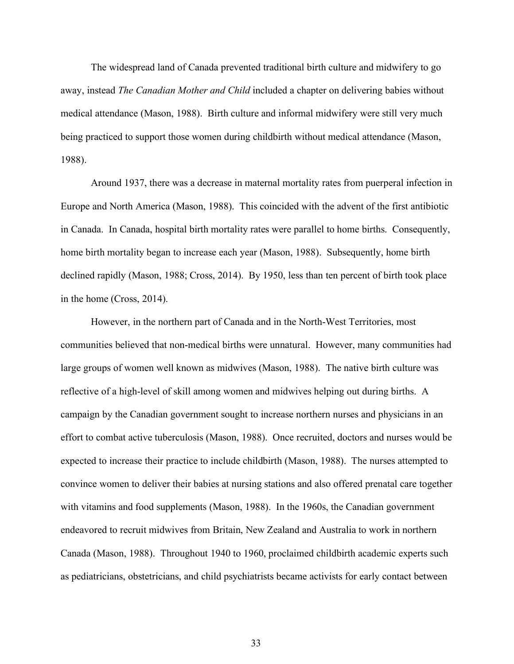The widespread land of Canada prevented traditional birth culture and midwifery to go away, instead *The Canadian Mother and Child* included a chapter on delivering babies without medical attendance (Mason, 1988). Birth culture and informal midwifery were still very much being practiced to support those women during childbirth without medical attendance (Mason, 1988).

Around 1937, there was a decrease in maternal mortality rates from puerperal infection in Europe and North America (Mason, 1988). This coincided with the advent of the first antibiotic in Canada. In Canada, hospital birth mortality rates were parallel to home births. Consequently, home birth mortality began to increase each year (Mason, 1988). Subsequently, home birth declined rapidly (Mason, 1988; Cross, 2014). By 1950, less than ten percent of birth took place in the home (Cross, 2014).

However, in the northern part of Canada and in the North-West Territories, most communities believed that non-medical births were unnatural. However, many communities had large groups of women well known as midwives (Mason, 1988). The native birth culture was reflective of a high-level of skill among women and midwives helping out during births. A campaign by the Canadian government sought to increase northern nurses and physicians in an effort to combat active tuberculosis (Mason, 1988). Once recruited, doctors and nurses would be expected to increase their practice to include childbirth (Mason, 1988). The nurses attempted to convince women to deliver their babies at nursing stations and also offered prenatal care together with vitamins and food supplements (Mason, 1988). In the 1960s, the Canadian government endeavored to recruit midwives from Britain, New Zealand and Australia to work in northern Canada (Mason, 1988). Throughout 1940 to 1960, proclaimed childbirth academic experts such as pediatricians, obstetricians, and child psychiatrists became activists for early contact between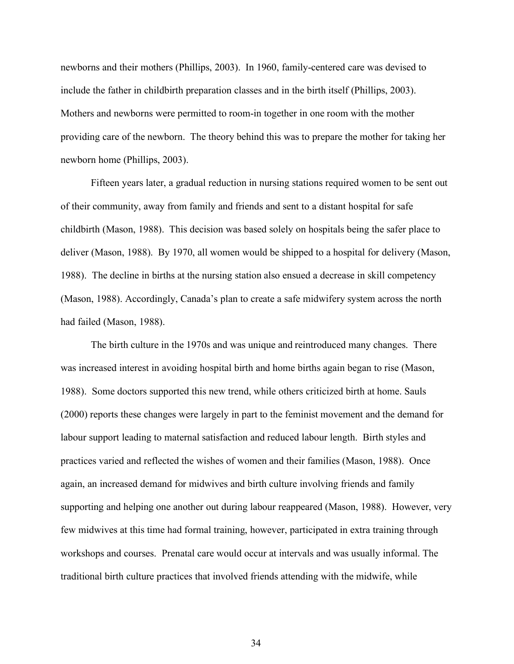newborns and their mothers (Phillips, 2003). In 1960, family-centered care was devised to include the father in childbirth preparation classes and in the birth itself (Phillips, 2003). Mothers and newborns were permitted to room-in together in one room with the mother providing care of the newborn. The theory behind this was to prepare the mother for taking her newborn home (Phillips, 2003).

Fifteen years later, a gradual reduction in nursing stations required women to be sent out of their community, away from family and friends and sent to a distant hospital for safe childbirth (Mason, 1988). This decision was based solely on hospitals being the safer place to deliver (Mason, 1988). By 1970, all women would be shipped to a hospital for delivery (Mason, 1988). The decline in births at the nursing station also ensued a decrease in skill competency (Mason, 1988). Accordingly, Canada's plan to create a safe midwifery system across the north had failed (Mason, 1988).

The birth culture in the 1970s and was unique and reintroduced many changes. There was increased interest in avoiding hospital birth and home births again began to rise (Mason, 1988). Some doctors supported this new trend, while others criticized birth at home. Sauls (2000) reports these changes were largely in part to the feminist movement and the demand for labour support leading to maternal satisfaction and reduced labour length. Birth styles and practices varied and reflected the wishes of women and their families (Mason, 1988). Once again, an increased demand for midwives and birth culture involving friends and family supporting and helping one another out during labour reappeared (Mason, 1988). However, very few midwives at this time had formal training, however, participated in extra training through workshops and courses. Prenatal care would occur at intervals and was usually informal. The traditional birth culture practices that involved friends attending with the midwife, while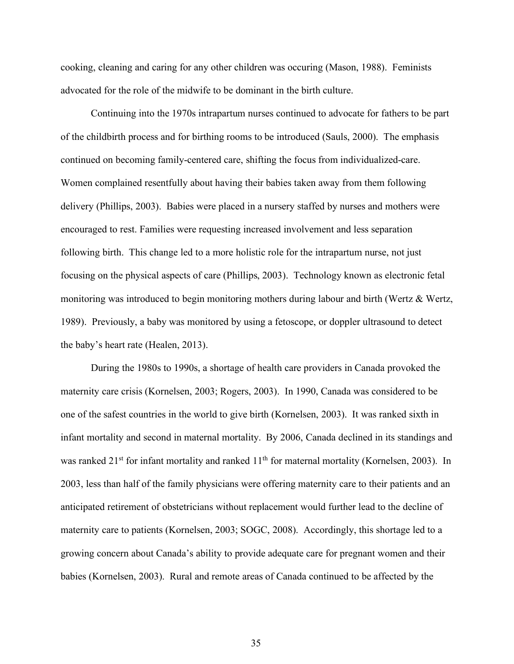cooking, cleaning and caring for any other children was occuring (Mason, 1988). Feminists advocated for the role of the midwife to be dominant in the birth culture.

Continuing into the 1970s intrapartum nurses continued to advocate for fathers to be part of the childbirth process and for birthing rooms to be introduced (Sauls, 2000). The emphasis continued on becoming family-centered care, shifting the focus from individualized-care. Women complained resentfully about having their babies taken away from them following delivery (Phillips, 2003). Babies were placed in a nursery staffed by nurses and mothers were encouraged to rest. Families were requesting increased involvement and less separation following birth. This change led to a more holistic role for the intrapartum nurse, not just focusing on the physical aspects of care (Phillips, 2003). Technology known as electronic fetal monitoring was introduced to begin monitoring mothers during labour and birth (Wertz & Wertz, 1989). Previously, a baby was monitored by using a fetoscope, or doppler ultrasound to detect the baby's heart rate (Healen, 2013).

During the 1980s to 1990s, a shortage of health care providers in Canada provoked the maternity care crisis (Kornelsen, 2003; Rogers, 2003). In 1990, Canada was considered to be one of the safest countries in the world to give birth (Kornelsen, 2003). It was ranked sixth in infant mortality and second in maternal mortality. By 2006, Canada declined in its standings and was ranked 21<sup>st</sup> for infant mortality and ranked 11<sup>th</sup> for maternal mortality (Kornelsen, 2003). In 2003, less than half of the family physicians were offering maternity care to their patients and an anticipated retirement of obstetricians without replacement would further lead to the decline of maternity care to patients (Kornelsen, 2003; SOGC, 2008). Accordingly, this shortage led to a growing concern about Canada's ability to provide adequate care for pregnant women and their babies (Kornelsen, 2003). Rural and remote areas of Canada continued to be affected by the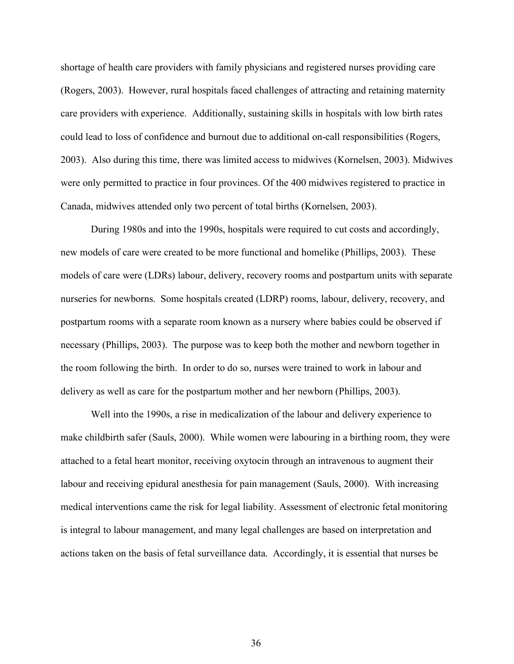shortage of health care providers with family physicians and registered nurses providing care (Rogers, 2003). However, rural hospitals faced challenges of attracting and retaining maternity care providers with experience. Additionally, sustaining skills in hospitals with low birth rates could lead to loss of confidence and burnout due to additional on-call responsibilities (Rogers, 2003). Also during this time, there was limited access to midwives (Kornelsen, 2003). Midwives were only permitted to practice in four provinces. Of the 400 midwives registered to practice in Canada, midwives attended only two percent of total births (Kornelsen, 2003).

During 1980s and into the 1990s, hospitals were required to cut costs and accordingly, new models of care were created to be more functional and homelike (Phillips, 2003). These models of care were (LDRs) labour, delivery, recovery rooms and postpartum units with separate nurseries for newborns. Some hospitals created (LDRP) rooms, labour, delivery, recovery, and postpartum rooms with a separate room known as a nursery where babies could be observed if necessary (Phillips, 2003). The purpose was to keep both the mother and newborn together in the room following the birth. In order to do so, nurses were trained to work in labour and delivery as well as care for the postpartum mother and her newborn (Phillips, 2003).

Well into the 1990s, a rise in medicalization of the labour and delivery experience to make childbirth safer (Sauls, 2000). While women were labouring in a birthing room, they were attached to a fetal heart monitor, receiving oxytocin through an intravenous to augment their labour and receiving epidural anesthesia for pain management (Sauls, 2000). With increasing medical interventions came the risk for legal liability. Assessment of electronic fetal monitoring is integral to labour management, and many legal challenges are based on interpretation and actions taken on the basis of fetal surveillance data. Accordingly, it is essential that nurses be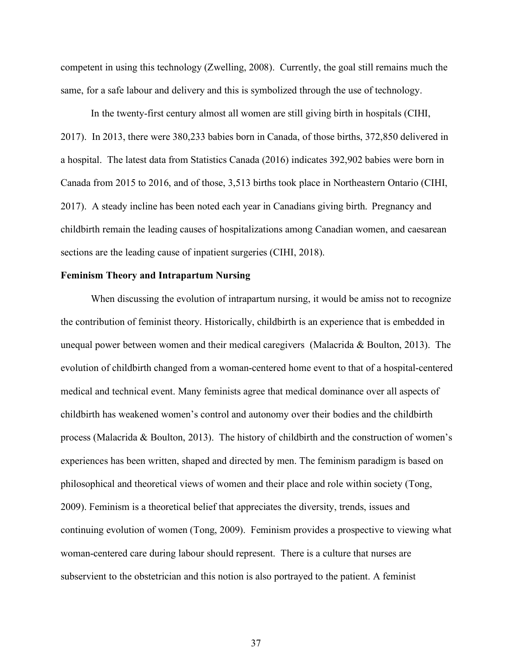competent in using this technology (Zwelling, 2008). Currently, the goal still remains much the same, for a safe labour and delivery and this is symbolized through the use of technology.

In the twenty-first century almost all women are still giving birth in hospitals (CIHI, 2017). In 2013, there were 380,233 babies born in Canada, of those births, 372,850 delivered in a hospital. The latest data from Statistics Canada (2016) indicates 392,902 babies were born in Canada from 2015 to 2016, and of those, 3,513 births took place in Northeastern Ontario (CIHI, 2017). A steady incline has been noted each year in Canadians giving birth. Pregnancy and childbirth remain the leading causes of hospitalizations among Canadian women, and caesarean sections are the leading cause of inpatient surgeries (CIHI, 2018).

## **Feminism Theory and Intrapartum Nursing**

When discussing the evolution of intrapartum nursing, it would be amiss not to recognize the contribution of feminist theory. Historically, childbirth is an experience that is embedded in unequal power between women and their medical caregivers (Malacrida & Boulton, 2013). The evolution of childbirth changed from a woman-centered home event to that of a hospital-centered medical and technical event. Many feminists agree that medical dominance over all aspects of childbirth has weakened women's control and autonomy over their bodies and the childbirth process (Malacrida & Boulton, 2013). The history of childbirth and the construction of women's experiences has been written, shaped and directed by men. The feminism paradigm is based on philosophical and theoretical views of women and their place and role within society (Tong, 2009). Feminism is a theoretical belief that appreciates the diversity, trends, issues and continuing evolution of women (Tong, 2009). Feminism provides a prospective to viewing what woman-centered care during labour should represent. There is a culture that nurses are subservient to the obstetrician and this notion is also portrayed to the patient. A feminist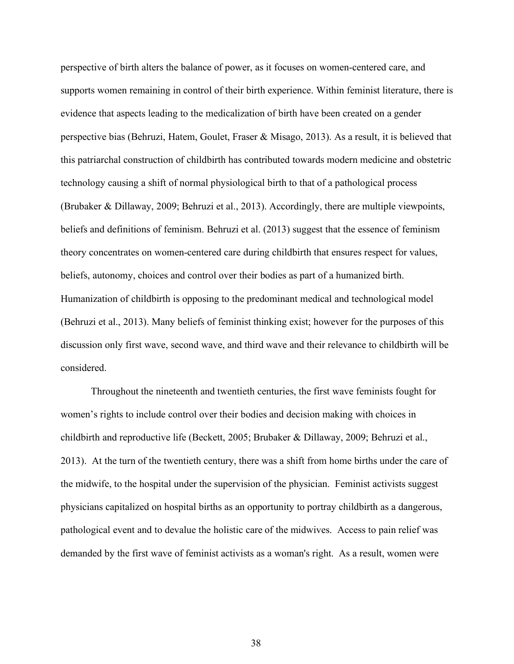perspective of birth alters the balance of power, as it focuses on women-centered care, and supports women remaining in control of their birth experience. Within feminist literature, there is evidence that aspects leading to the medicalization of birth have been created on a gender perspective bias (Behruzi, Hatem, Goulet, Fraser & Misago, 2013). As a result, it is believed that this patriarchal construction of childbirth has contributed towards modern medicine and obstetric technology causing a shift of normal physiological birth to that of a pathological process (Brubaker & Dillaway, 2009; Behruzi et al., 2013). Accordingly, there are multiple viewpoints, beliefs and definitions of feminism. Behruzi et al. (2013) suggest that the essence of feminism theory concentrates on women-centered care during childbirth that ensures respect for values, beliefs, autonomy, choices and control over their bodies as part of a humanized birth. Humanization of childbirth is opposing to the predominant medical and technological model (Behruzi et al., 2013). Many beliefs of feminist thinking exist; however for the purposes of this discussion only first wave, second wave, and third wave and their relevance to childbirth will be considered.

Throughout the nineteenth and twentieth centuries, the first wave feminists fought for women's rights to include control over their bodies and decision making with choices in childbirth and reproductive life (Beckett, 2005; Brubaker & Dillaway, 2009; Behruzi et al., 2013). At the turn of the twentieth century, there was a shift from home births under the care of the midwife, to the hospital under the supervision of the physician. Feminist activists suggest physicians capitalized on hospital births as an opportunity to portray childbirth as a dangerous, pathological event and to devalue the holistic care of the midwives. Access to pain relief was demanded by the first wave of feminist activists as a woman's right. As a result, women were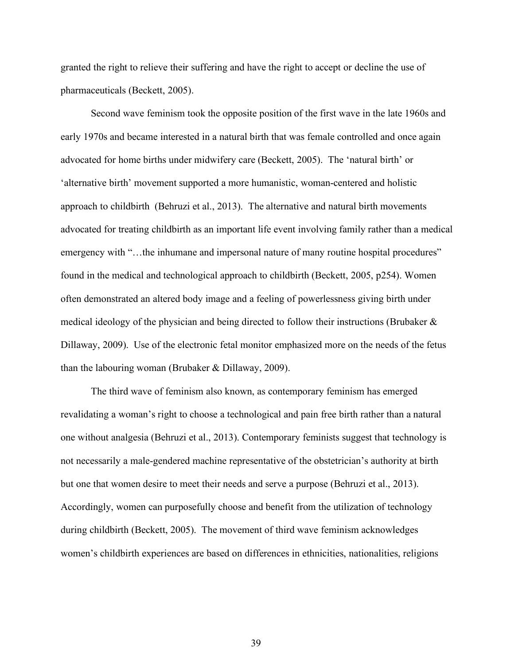granted the right to relieve their suffering and have the right to accept or decline the use of pharmaceuticals (Beckett, 2005).

Second wave feminism took the opposite position of the first wave in the late 1960s and early 1970s and became interested in a natural birth that was female controlled and once again advocated for home births under midwifery care (Beckett, 2005). The 'natural birth' or 'alternative birth' movement supported a more humanistic, woman-centered and holistic approach to childbirth (Behruzi et al., 2013). The alternative and natural birth movements advocated for treating childbirth as an important life event involving family rather than a medical emergency with "...the inhumane and impersonal nature of many routine hospital procedures" found in the medical and technological approach to childbirth (Beckett, 2005, p254). Women often demonstrated an altered body image and a feeling of powerlessness giving birth under medical ideology of the physician and being directed to follow their instructions (Brubaker & Dillaway, 2009). Use of the electronic fetal monitor emphasized more on the needs of the fetus than the labouring woman (Brubaker & Dillaway, 2009).

The third wave of feminism also known, as contemporary feminism has emerged revalidating a woman's right to choose a technological and pain free birth rather than a natural one without analgesia (Behruzi et al., 2013). Contemporary feminists suggest that technology is not necessarily a male-gendered machine representative of the obstetrician's authority at birth but one that women desire to meet their needs and serve a purpose (Behruzi et al., 2013). Accordingly, women can purposefully choose and benefit from the utilization of technology during childbirth (Beckett, 2005). The movement of third wave feminism acknowledges women's childbirth experiences are based on differences in ethnicities, nationalities, religions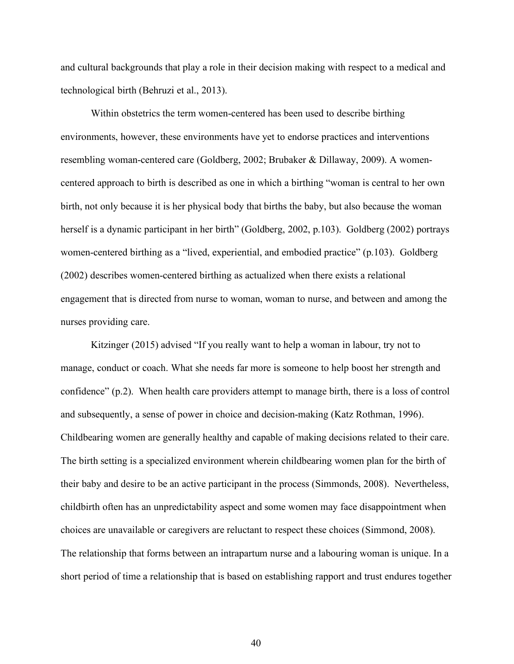and cultural backgrounds that play a role in their decision making with respect to a medical and technological birth (Behruzi et al., 2013).

Within obstetrics the term women-centered has been used to describe birthing environments, however, these environments have yet to endorse practices and interventions resembling woman-centered care (Goldberg, 2002; Brubaker & Dillaway, 2009). A womencentered approach to birth is described as one in which a birthing "woman is central to her own birth, not only because it is her physical body that births the baby, but also because the woman herself is a dynamic participant in her birth" (Goldberg, 2002, p.103). Goldberg (2002) portrays women-centered birthing as a "lived, experiential, and embodied practice" (p.103). Goldberg (2002) describes women-centered birthing as actualized when there exists a relational engagement that is directed from nurse to woman, woman to nurse, and between and among the nurses providing care.

Kitzinger (2015) advised "If you really want to help a woman in labour, try not to manage, conduct or coach. What she needs far more is someone to help boost her strength and confidence" (p.2). When health care providers attempt to manage birth, there is a loss of control and subsequently, a sense of power in choice and decision-making (Katz Rothman, 1996). Childbearing women are generally healthy and capable of making decisions related to their care. The birth setting is a specialized environment wherein childbearing women plan for the birth of their baby and desire to be an active participant in the process (Simmonds, 2008). Nevertheless, childbirth often has an unpredictability aspect and some women may face disappointment when choices are unavailable or caregivers are reluctant to respect these choices (Simmond, 2008). The relationship that forms between an intrapartum nurse and a labouring woman is unique. In a short period of time a relationship that is based on establishing rapport and trust endures together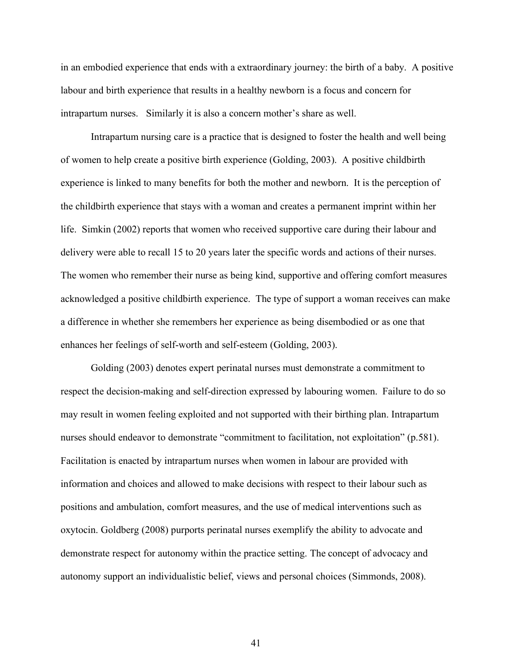in an embodied experience that ends with a extraordinary journey: the birth of a baby. A positive labour and birth experience that results in a healthy newborn is a focus and concern for intrapartum nurses. Similarly it is also a concern mother's share as well.

Intrapartum nursing care is a practice that is designed to foster the health and well being of women to help create a positive birth experience (Golding, 2003). A positive childbirth experience is linked to many benefits for both the mother and newborn. It is the perception of the childbirth experience that stays with a woman and creates a permanent imprint within her life. Simkin (2002) reports that women who received supportive care during their labour and delivery were able to recall 15 to 20 years later the specific words and actions of their nurses. The women who remember their nurse as being kind, supportive and offering comfort measures acknowledged a positive childbirth experience. The type of support a woman receives can make a difference in whether she remembers her experience as being disembodied or as one that enhances her feelings of self-worth and self-esteem (Golding, 2003).

Golding (2003) denotes expert perinatal nurses must demonstrate a commitment to respect the decision-making and self-direction expressed by labouring women. Failure to do so may result in women feeling exploited and not supported with their birthing plan. Intrapartum nurses should endeavor to demonstrate "commitment to facilitation, not exploitation" (p.581). Facilitation is enacted by intrapartum nurses when women in labour are provided with information and choices and allowed to make decisions with respect to their labour such as positions and ambulation, comfort measures, and the use of medical interventions such as oxytocin. Goldberg (2008) purports perinatal nurses exemplify the ability to advocate and demonstrate respect for autonomy within the practice setting. The concept of advocacy and autonomy support an individualistic belief, views and personal choices (Simmonds, 2008).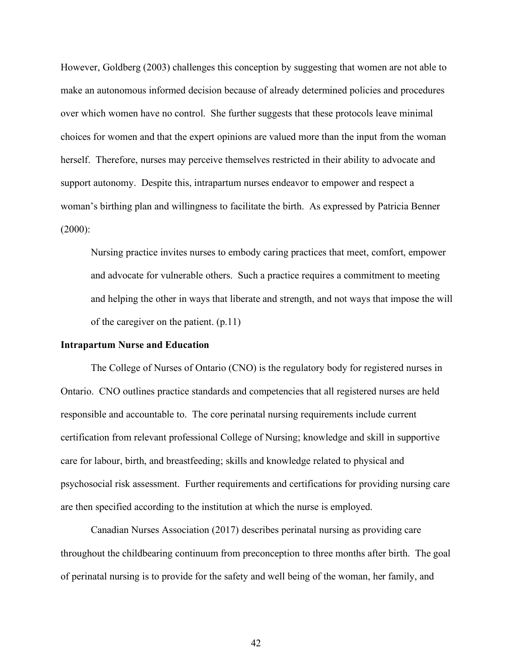However, Goldberg (2003) challenges this conception by suggesting that women are not able to make an autonomous informed decision because of already determined policies and procedures over which women have no control. She further suggests that these protocols leave minimal choices for women and that the expert opinions are valued more than the input from the woman herself. Therefore, nurses may perceive themselves restricted in their ability to advocate and support autonomy. Despite this, intrapartum nurses endeavor to empower and respect a woman's birthing plan and willingness to facilitate the birth. As expressed by Patricia Benner  $(2000)$ :

Nursing practice invites nurses to embody caring practices that meet, comfort, empower and advocate for vulnerable others. Such a practice requires a commitment to meeting and helping the other in ways that liberate and strength, and not ways that impose the will of the caregiver on the patient. (p.11)

### **Intrapartum Nurse and Education**

The College of Nurses of Ontario (CNO) is the regulatory body for registered nurses in Ontario. CNO outlines practice standards and competencies that all registered nurses are held responsible and accountable to. The core perinatal nursing requirements include current certification from relevant professional College of Nursing; knowledge and skill in supportive care for labour, birth, and breastfeeding; skills and knowledge related to physical and psychosocial risk assessment. Further requirements and certifications for providing nursing care are then specified according to the institution at which the nurse is employed.

Canadian Nurses Association (2017) describes perinatal nursing as providing care throughout the childbearing continuum from preconception to three months after birth. The goal of perinatal nursing is to provide for the safety and well being of the woman, her family, and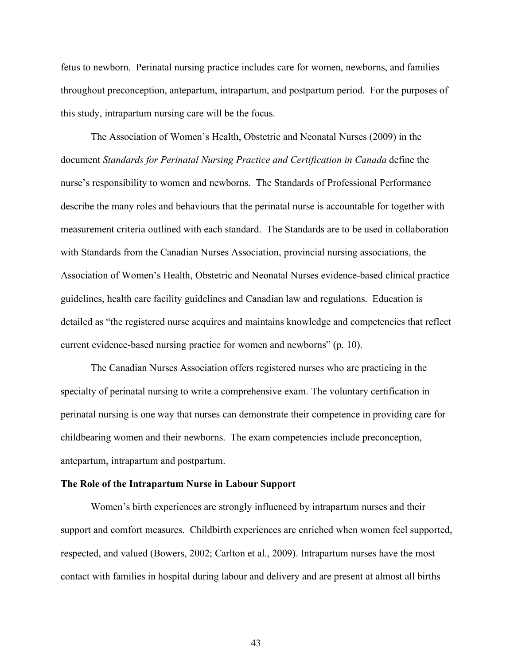fetus to newborn. Perinatal nursing practice includes care for women, newborns, and families throughout preconception, antepartum, intrapartum, and postpartum period. For the purposes of this study, intrapartum nursing care will be the focus.

The Association of Women's Health, Obstetric and Neonatal Nurses (2009) in the document *Standards for Perinatal Nursing Practice and Certification in Canada* define the nurse's responsibility to women and newborns. The Standards of Professional Performance describe the many roles and behaviours that the perinatal nurse is accountable for together with measurement criteria outlined with each standard. The Standards are to be used in collaboration with Standards from the Canadian Nurses Association, provincial nursing associations, the Association of Women's Health, Obstetric and Neonatal Nurses evidence-based clinical practice guidelines, health care facility guidelines and Canadian law and regulations. Education is detailed as "the registered nurse acquires and maintains knowledge and competencies that reflect current evidence-based nursing practice for women and newborns" (p. 10).

The Canadian Nurses Association offers registered nurses who are practicing in the specialty of perinatal nursing to write a comprehensive exam. The voluntary certification in perinatal nursing is one way that nurses can demonstrate their competence in providing care for childbearing women and their newborns. The exam competencies include preconception, antepartum, intrapartum and postpartum.

# **The Role of the Intrapartum Nurse in Labour Support**

Women's birth experiences are strongly influenced by intrapartum nurses and their support and comfort measures. Childbirth experiences are enriched when women feel supported, respected, and valued (Bowers, 2002; Carlton et al., 2009). Intrapartum nurses have the most contact with families in hospital during labour and delivery and are present at almost all births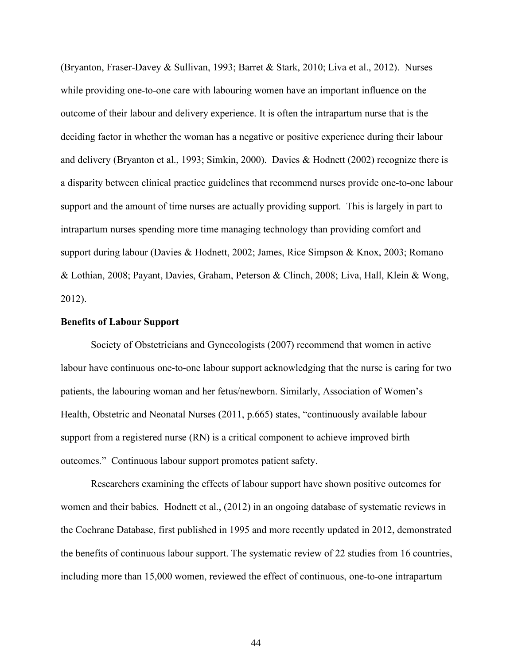(Bryanton, Fraser-Davey & Sullivan, 1993; Barret & Stark, 2010; Liva et al., 2012). Nurses while providing one-to-one care with labouring women have an important influence on the outcome of their labour and delivery experience. It is often the intrapartum nurse that is the deciding factor in whether the woman has a negative or positive experience during their labour and delivery (Bryanton et al., 1993; Simkin, 2000). Davies & Hodnett (2002) recognize there is a disparity between clinical practice guidelines that recommend nurses provide one-to-one labour support and the amount of time nurses are actually providing support. This is largely in part to intrapartum nurses spending more time managing technology than providing comfort and support during labour (Davies & Hodnett, 2002; James, Rice Simpson & Knox, 2003; Romano & Lothian, 2008; Payant, Davies, Graham, Peterson & Clinch, 2008; Liva, Hall, Klein & Wong, 2012).

#### **Benefits of Labour Support**

Society of Obstetricians and Gynecologists (2007) recommend that women in active labour have continuous one-to-one labour support acknowledging that the nurse is caring for two patients, the labouring woman and her fetus/newborn. Similarly, Association of Women's Health, Obstetric and Neonatal Nurses (2011, p.665) states, "continuously available labour support from a registered nurse (RN) is a critical component to achieve improved birth outcomes." Continuous labour support promotes patient safety.

Researchers examining the effects of labour support have shown positive outcomes for women and their babies. Hodnett et al., (2012) in an ongoing database of systematic reviews in the Cochrane Database, first published in 1995 and more recently updated in 2012, demonstrated the benefits of continuous labour support. The systematic review of 22 studies from 16 countries, including more than 15,000 women, reviewed the effect of continuous, one-to-one intrapartum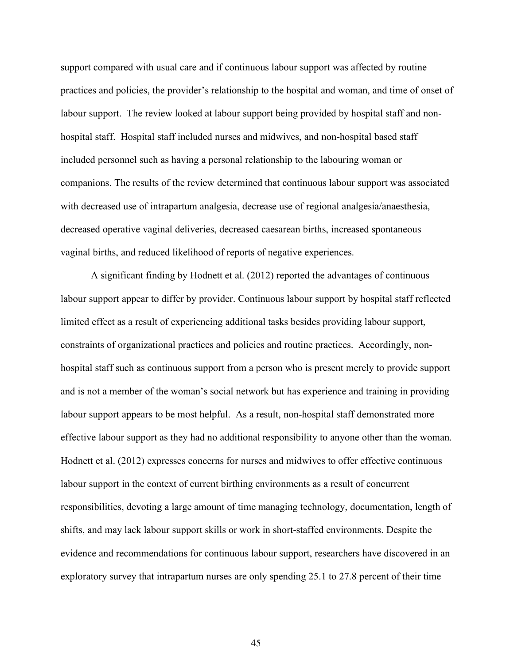support compared with usual care and if continuous labour support was affected by routine practices and policies, the provider's relationship to the hospital and woman, and time of onset of labour support. The review looked at labour support being provided by hospital staff and nonhospital staff. Hospital staff included nurses and midwives, and non-hospital based staff included personnel such as having a personal relationship to the labouring woman or companions. The results of the review determined that continuous labour support was associated with decreased use of intrapartum analgesia, decrease use of regional analgesia/anaesthesia, decreased operative vaginal deliveries, decreased caesarean births, increased spontaneous vaginal births, and reduced likelihood of reports of negative experiences.

A significant finding by Hodnett et al. (2012) reported the advantages of continuous labour support appear to differ by provider. Continuous labour support by hospital staff reflected limited effect as a result of experiencing additional tasks besides providing labour support, constraints of organizational practices and policies and routine practices. Accordingly, nonhospital staff such as continuous support from a person who is present merely to provide support and is not a member of the woman's social network but has experience and training in providing labour support appears to be most helpful. As a result, non-hospital staff demonstrated more effective labour support as they had no additional responsibility to anyone other than the woman. Hodnett et al. (2012) expresses concerns for nurses and midwives to offer effective continuous labour support in the context of current birthing environments as a result of concurrent responsibilities, devoting a large amount of time managing technology, documentation, length of shifts, and may lack labour support skills or work in short-staffed environments. Despite the evidence and recommendations for continuous labour support, researchers have discovered in an exploratory survey that intrapartum nurses are only spending 25.1 to 27.8 percent of their time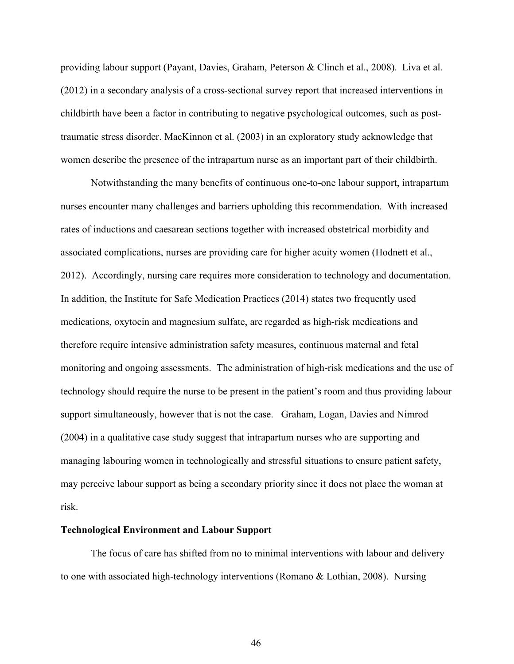providing labour support (Payant, Davies, Graham, Peterson & Clinch et al., 2008). Liva et al. (2012) in a secondary analysis of a cross-sectional survey report that increased interventions in childbirth have been a factor in contributing to negative psychological outcomes, such as posttraumatic stress disorder. MacKinnon et al. (2003) in an exploratory study acknowledge that women describe the presence of the intrapartum nurse as an important part of their childbirth.

Notwithstanding the many benefits of continuous one-to-one labour support, intrapartum nurses encounter many challenges and barriers upholding this recommendation. With increased rates of inductions and caesarean sections together with increased obstetrical morbidity and associated complications, nurses are providing care for higher acuity women (Hodnett et al., 2012). Accordingly, nursing care requires more consideration to technology and documentation. In addition, the Institute for Safe Medication Practices (2014) states two frequently used medications, oxytocin and magnesium sulfate, are regarded as high-risk medications and therefore require intensive administration safety measures, continuous maternal and fetal monitoring and ongoing assessments. The administration of high-risk medications and the use of technology should require the nurse to be present in the patient's room and thus providing labour support simultaneously, however that is not the case. Graham, Logan, Davies and Nimrod (2004) in a qualitative case study suggest that intrapartum nurses who are supporting and managing labouring women in technologically and stressful situations to ensure patient safety, may perceive labour support as being a secondary priority since it does not place the woman at risk.

## **Technological Environment and Labour Support**

The focus of care has shifted from no to minimal interventions with labour and delivery to one with associated high-technology interventions (Romano & Lothian, 2008). Nursing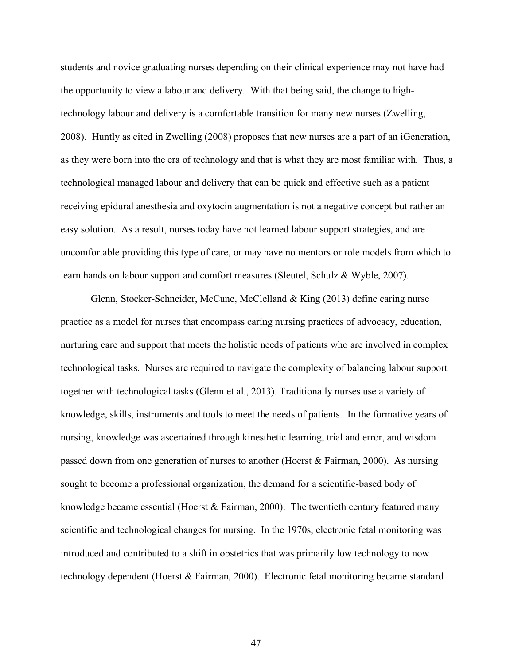students and novice graduating nurses depending on their clinical experience may not have had the opportunity to view a labour and delivery. With that being said, the change to hightechnology labour and delivery is a comfortable transition for many new nurses (Zwelling, 2008). Huntly as cited in Zwelling (2008) proposes that new nurses are a part of an iGeneration, as they were born into the era of technology and that is what they are most familiar with. Thus, a technological managed labour and delivery that can be quick and effective such as a patient receiving epidural anesthesia and oxytocin augmentation is not a negative concept but rather an easy solution. As a result, nurses today have not learned labour support strategies, and are uncomfortable providing this type of care, or may have no mentors or role models from which to learn hands on labour support and comfort measures (Sleutel, Schulz & Wyble, 2007).

Glenn, Stocker-Schneider, McCune, McClelland & King (2013) define caring nurse practice as a model for nurses that encompass caring nursing practices of advocacy, education, nurturing care and support that meets the holistic needs of patients who are involved in complex technological tasks. Nurses are required to navigate the complexity of balancing labour support together with technological tasks (Glenn et al., 2013). Traditionally nurses use a variety of knowledge, skills, instruments and tools to meet the needs of patients. In the formative years of nursing, knowledge was ascertained through kinesthetic learning, trial and error, and wisdom passed down from one generation of nurses to another (Hoerst & Fairman, 2000). As nursing sought to become a professional organization, the demand for a scientific-based body of knowledge became essential (Hoerst & Fairman, 2000). The twentieth century featured many scientific and technological changes for nursing. In the 1970s, electronic fetal monitoring was introduced and contributed to a shift in obstetrics that was primarily low technology to now technology dependent (Hoerst & Fairman, 2000). Electronic fetal monitoring became standard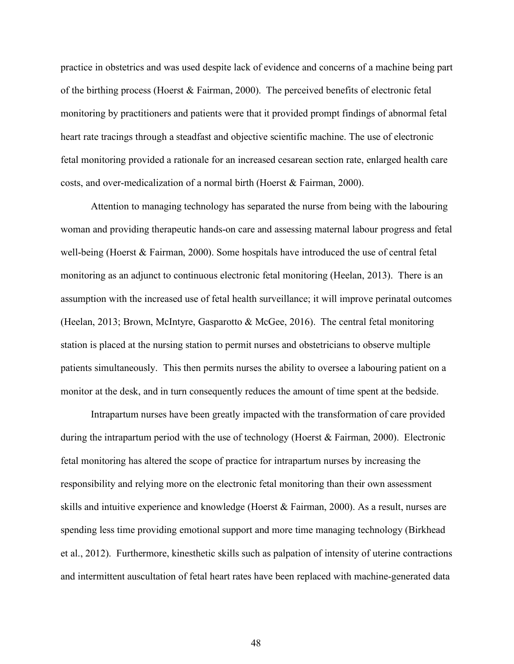practice in obstetrics and was used despite lack of evidence and concerns of a machine being part of the birthing process (Hoerst & Fairman, 2000). The perceived benefits of electronic fetal monitoring by practitioners and patients were that it provided prompt findings of abnormal fetal heart rate tracings through a steadfast and objective scientific machine. The use of electronic fetal monitoring provided a rationale for an increased cesarean section rate, enlarged health care costs, and over-medicalization of a normal birth (Hoerst & Fairman, 2000).

Attention to managing technology has separated the nurse from being with the labouring woman and providing therapeutic hands-on care and assessing maternal labour progress and fetal well-being (Hoerst & Fairman, 2000). Some hospitals have introduced the use of central fetal monitoring as an adjunct to continuous electronic fetal monitoring (Heelan, 2013). There is an assumption with the increased use of fetal health surveillance; it will improve perinatal outcomes (Heelan, 2013; Brown, McIntyre, Gasparotto & McGee, 2016). The central fetal monitoring station is placed at the nursing station to permit nurses and obstetricians to observe multiple patients simultaneously. This then permits nurses the ability to oversee a labouring patient on a monitor at the desk, and in turn consequently reduces the amount of time spent at the bedside.

Intrapartum nurses have been greatly impacted with the transformation of care provided during the intrapartum period with the use of technology (Hoerst & Fairman, 2000). Electronic fetal monitoring has altered the scope of practice for intrapartum nurses by increasing the responsibility and relying more on the electronic fetal monitoring than their own assessment skills and intuitive experience and knowledge (Hoerst & Fairman, 2000). As a result, nurses are spending less time providing emotional support and more time managing technology (Birkhead et al., 2012). Furthermore, kinesthetic skills such as palpation of intensity of uterine contractions and intermittent auscultation of fetal heart rates have been replaced with machine-generated data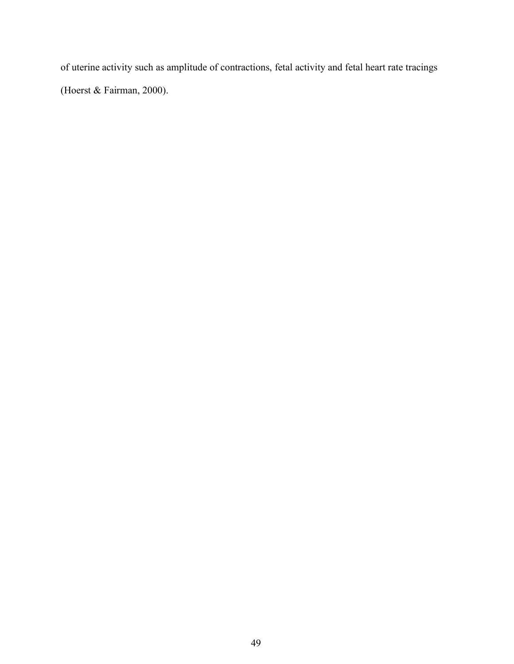of uterine activity such as amplitude of contractions, fetal activity and fetal heart rate tracings (Hoerst & Fairman, 2000).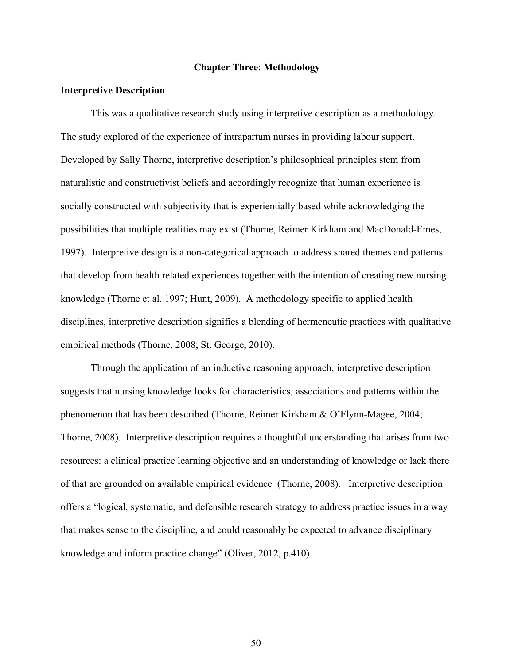### **Chapter Three**: **Methodology**

### **Interpretive Description**

This was a qualitative research study using interpretive description as a methodology. The study explored of the experience of intrapartum nurses in providing labour support. Developed by Sally Thorne, interpretive description's philosophical principles stem from naturalistic and constructivist beliefs and accordingly recognize that human experience is socially constructed with subjectivity that is experientially based while acknowledging the possibilities that multiple realities may exist (Thorne, Reimer Kirkham and MacDonald-Emes, 1997). Interpretive design is a non-categorical approach to address shared themes and patterns that develop from health related experiences together with the intention of creating new nursing knowledge (Thorne et al. 1997; Hunt, 2009). A methodology specific to applied health disciplines, interpretive description signifies a blending of hermeneutic practices with qualitative empirical methods (Thorne, 2008; St. George, 2010).

Through the application of an inductive reasoning approach, interpretive description suggests that nursing knowledge looks for characteristics, associations and patterns within the phenomenon that has been described (Thorne, Reimer Kirkham & O'Flynn-Magee, 2004; Thorne, 2008). Interpretive description requires a thoughtful understanding that arises from two resources: a clinical practice learning objective and an understanding of knowledge or lack there of that are grounded on available empirical evidence (Thorne, 2008). Interpretive description offers a "logical, systematic, and defensible research strategy to address practice issues in a way that makes sense to the discipline, and could reasonably be expected to advance disciplinary knowledge and inform practice change" (Oliver, 2012, p.410).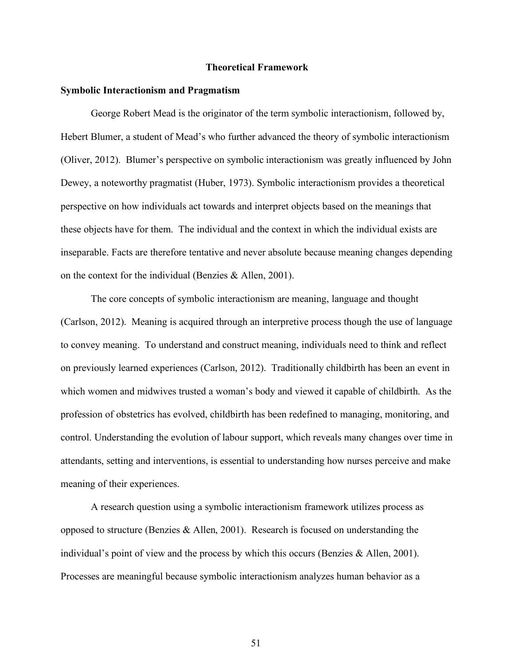### **Theoretical Framework**

#### **Symbolic Interactionism and Pragmatism**

George Robert Mead is the originator of the term symbolic interactionism, followed by, Hebert Blumer, a student of Mead's who further advanced the theory of symbolic interactionism (Oliver, 2012). Blumer's perspective on symbolic interactionism was greatly influenced by John Dewey, a noteworthy pragmatist (Huber, 1973). Symbolic interactionism provides a theoretical perspective on how individuals act towards and interpret objects based on the meanings that these objects have for them. The individual and the context in which the individual exists are inseparable. Facts are therefore tentative and never absolute because meaning changes depending on the context for the individual (Benzies & Allen, 2001).

The core concepts of symbolic interactionism are meaning, language and thought (Carlson, 2012). Meaning is acquired through an interpretive process though the use of language to convey meaning. To understand and construct meaning, individuals need to think and reflect on previously learned experiences (Carlson, 2012). Traditionally childbirth has been an event in which women and midwives trusted a woman's body and viewed it capable of childbirth. As the profession of obstetrics has evolved, childbirth has been redefined to managing, monitoring, and control. Understanding the evolution of labour support, which reveals many changes over time in attendants, setting and interventions, is essential to understanding how nurses perceive and make meaning of their experiences.

A research question using a symbolic interactionism framework utilizes process as opposed to structure (Benzies & Allen, 2001). Research is focused on understanding the individual's point of view and the process by which this occurs (Benzies  $\&$  Allen, 2001). Processes are meaningful because symbolic interactionism analyzes human behavior as a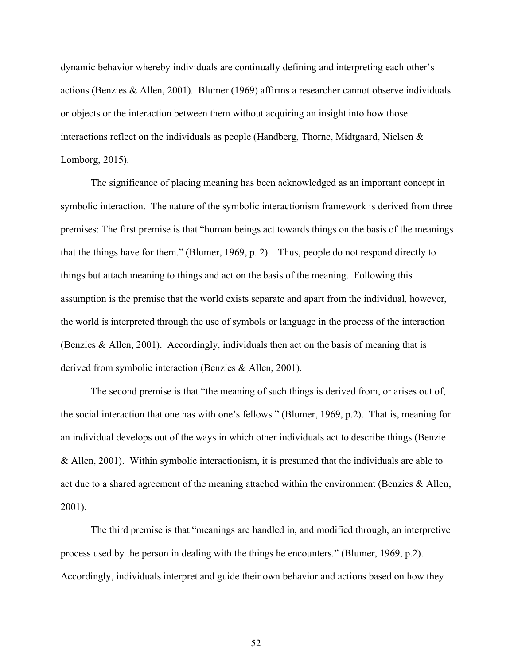dynamic behavior whereby individuals are continually defining and interpreting each other's actions (Benzies & Allen, 2001). Blumer (1969) affirms a researcher cannot observe individuals or objects or the interaction between them without acquiring an insight into how those interactions reflect on the individuals as people (Handberg, Thorne, Midtgaard, Nielsen & Lomborg, 2015).

The significance of placing meaning has been acknowledged as an important concept in symbolic interaction. The nature of the symbolic interactionism framework is derived from three premises: The first premise is that "human beings act towards things on the basis of the meanings that the things have for them." (Blumer, 1969, p. 2). Thus, people do not respond directly to things but attach meaning to things and act on the basis of the meaning. Following this assumption is the premise that the world exists separate and apart from the individual, however, the world is interpreted through the use of symbols or language in the process of the interaction (Benzies & Allen, 2001). Accordingly, individuals then act on the basis of meaning that is derived from symbolic interaction (Benzies & Allen, 2001).

The second premise is that "the meaning of such things is derived from, or arises out of, the social interaction that one has with one's fellows." (Blumer, 1969, p.2). That is, meaning for an individual develops out of the ways in which other individuals act to describe things (Benzie & Allen, 2001). Within symbolic interactionism, it is presumed that the individuals are able to act due to a shared agreement of the meaning attached within the environment (Benzies & Allen, 2001).

The third premise is that "meanings are handled in, and modified through, an interpretive process used by the person in dealing with the things he encounters." (Blumer, 1969, p.2). Accordingly, individuals interpret and guide their own behavior and actions based on how they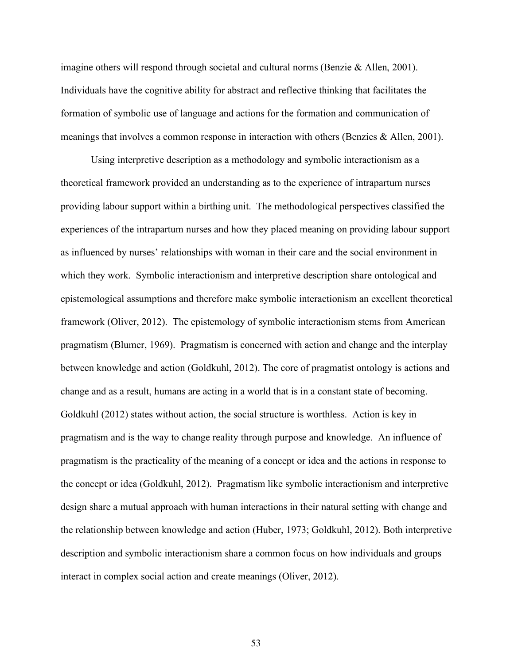imagine others will respond through societal and cultural norms (Benzie & Allen, 2001). Individuals have the cognitive ability for abstract and reflective thinking that facilitates the formation of symbolic use of language and actions for the formation and communication of meanings that involves a common response in interaction with others (Benzies & Allen, 2001).

Using interpretive description as a methodology and symbolic interactionism as a theoretical framework provided an understanding as to the experience of intrapartum nurses providing labour support within a birthing unit. The methodological perspectives classified the experiences of the intrapartum nurses and how they placed meaning on providing labour support as influenced by nurses' relationships with woman in their care and the social environment in which they work. Symbolic interactionism and interpretive description share ontological and epistemological assumptions and therefore make symbolic interactionism an excellent theoretical framework (Oliver, 2012). The epistemology of symbolic interactionism stems from American pragmatism (Blumer, 1969). Pragmatism is concerned with action and change and the interplay between knowledge and action (Goldkuhl, 2012). The core of pragmatist ontology is actions and change and as a result, humans are acting in a world that is in a constant state of becoming. Goldkuhl (2012) states without action, the social structure is worthless. Action is key in pragmatism and is the way to change reality through purpose and knowledge. An influence of pragmatism is the practicality of the meaning of a concept or idea and the actions in response to the concept or idea (Goldkuhl, 2012). Pragmatism like symbolic interactionism and interpretive design share a mutual approach with human interactions in their natural setting with change and the relationship between knowledge and action (Huber, 1973; Goldkuhl, 2012). Both interpretive description and symbolic interactionism share a common focus on how individuals and groups interact in complex social action and create meanings (Oliver, 2012).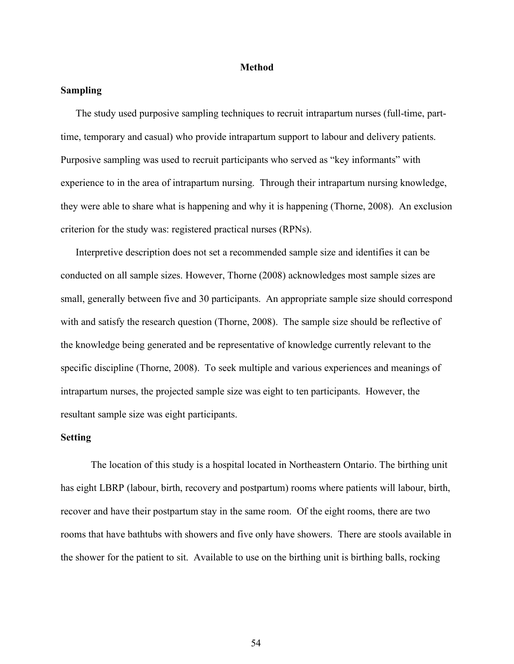### **Method**

## **Sampling**

The study used purposive sampling techniques to recruit intrapartum nurses (full-time, parttime, temporary and casual) who provide intrapartum support to labour and delivery patients. Purposive sampling was used to recruit participants who served as "key informants" with experience to in the area of intrapartum nursing. Through their intrapartum nursing knowledge, they were able to share what is happening and why it is happening (Thorne, 2008). An exclusion criterion for the study was: registered practical nurses (RPNs).

Interpretive description does not set a recommended sample size and identifies it can be conducted on all sample sizes. However, Thorne (2008) acknowledges most sample sizes are small, generally between five and 30 participants. An appropriate sample size should correspond with and satisfy the research question (Thorne, 2008). The sample size should be reflective of the knowledge being generated and be representative of knowledge currently relevant to the specific discipline (Thorne, 2008). To seek multiple and various experiences and meanings of intrapartum nurses, the projected sample size was eight to ten participants. However, the resultant sample size was eight participants.

## **Setting**

The location of this study is a hospital located in Northeastern Ontario. The birthing unit has eight LBRP (labour, birth, recovery and postpartum) rooms where patients will labour, birth, recover and have their postpartum stay in the same room. Of the eight rooms, there are two rooms that have bathtubs with showers and five only have showers. There are stools available in the shower for the patient to sit. Available to use on the birthing unit is birthing balls, rocking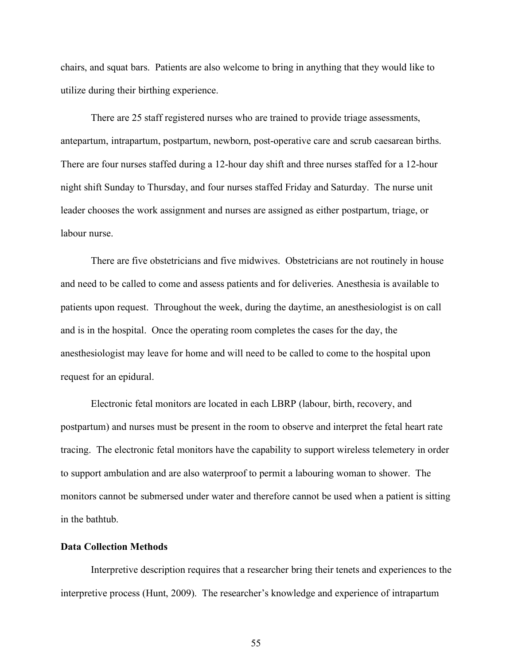chairs, and squat bars. Patients are also welcome to bring in anything that they would like to utilize during their birthing experience.

There are 25 staff registered nurses who are trained to provide triage assessments, antepartum, intrapartum, postpartum, newborn, post-operative care and scrub caesarean births. There are four nurses staffed during a 12-hour day shift and three nurses staffed for a 12-hour night shift Sunday to Thursday, and four nurses staffed Friday and Saturday. The nurse unit leader chooses the work assignment and nurses are assigned as either postpartum, triage, or labour nurse.

There are five obstetricians and five midwives. Obstetricians are not routinely in house and need to be called to come and assess patients and for deliveries. Anesthesia is available to patients upon request. Throughout the week, during the daytime, an anesthesiologist is on call and is in the hospital. Once the operating room completes the cases for the day, the anesthesiologist may leave for home and will need to be called to come to the hospital upon request for an epidural.

Electronic fetal monitors are located in each LBRP (labour, birth, recovery, and postpartum) and nurses must be present in the room to observe and interpret the fetal heart rate tracing. The electronic fetal monitors have the capability to support wireless telemetery in order to support ambulation and are also waterproof to permit a labouring woman to shower. The monitors cannot be submersed under water and therefore cannot be used when a patient is sitting in the bathtub.

## **Data Collection Methods**

Interpretive description requires that a researcher bring their tenets and experiences to the interpretive process (Hunt, 2009). The researcher's knowledge and experience of intrapartum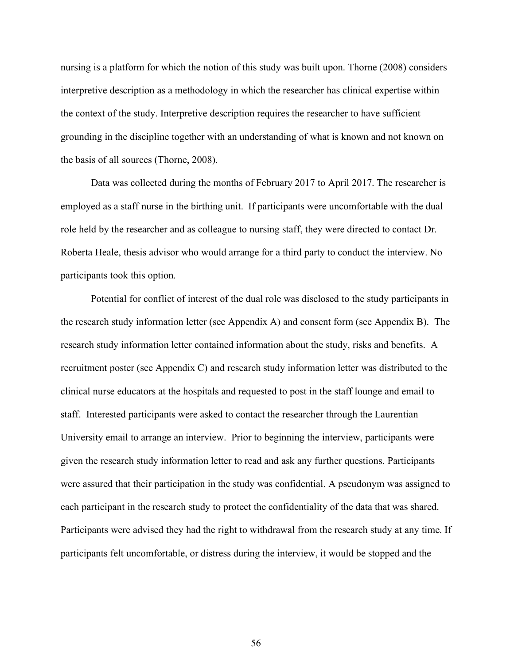nursing is a platform for which the notion of this study was built upon. Thorne (2008) considers interpretive description as a methodology in which the researcher has clinical expertise within the context of the study. Interpretive description requires the researcher to have sufficient grounding in the discipline together with an understanding of what is known and not known on the basis of all sources (Thorne, 2008).

Data was collected during the months of February 2017 to April 2017. The researcher is employed as a staff nurse in the birthing unit. If participants were uncomfortable with the dual role held by the researcher and as colleague to nursing staff, they were directed to contact Dr. Roberta Heale, thesis advisor who would arrange for a third party to conduct the interview. No participants took this option.

Potential for conflict of interest of the dual role was disclosed to the study participants in the research study information letter (see Appendix A) and consent form (see Appendix B). The research study information letter contained information about the study, risks and benefits. A recruitment poster (see Appendix C) and research study information letter was distributed to the clinical nurse educators at the hospitals and requested to post in the staff lounge and email to staff. Interested participants were asked to contact the researcher through the Laurentian University email to arrange an interview. Prior to beginning the interview, participants were given the research study information letter to read and ask any further questions. Participants were assured that their participation in the study was confidential. A pseudonym was assigned to each participant in the research study to protect the confidentiality of the data that was shared. Participants were advised they had the right to withdrawal from the research study at any time. If participants felt uncomfortable, or distress during the interview, it would be stopped and the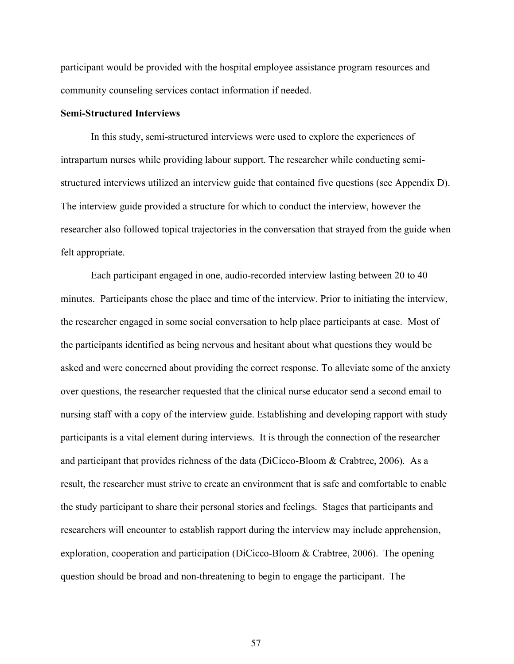participant would be provided with the hospital employee assistance program resources and community counseling services contact information if needed.

#### **Semi-Structured Interviews**

In this study, semi-structured interviews were used to explore the experiences of intrapartum nurses while providing labour support. The researcher while conducting semistructured interviews utilized an interview guide that contained five questions (see Appendix D). The interview guide provided a structure for which to conduct the interview, however the researcher also followed topical trajectories in the conversation that strayed from the guide when felt appropriate.

Each participant engaged in one, audio-recorded interview lasting between 20 to 40 minutes. Participants chose the place and time of the interview. Prior to initiating the interview, the researcher engaged in some social conversation to help place participants at ease. Most of the participants identified as being nervous and hesitant about what questions they would be asked and were concerned about providing the correct response. To alleviate some of the anxiety over questions, the researcher requested that the clinical nurse educator send a second email to nursing staff with a copy of the interview guide. Establishing and developing rapport with study participants is a vital element during interviews. It is through the connection of the researcher and participant that provides richness of the data (DiCicco-Bloom & Crabtree, 2006). As a result, the researcher must strive to create an environment that is safe and comfortable to enable the study participant to share their personal stories and feelings. Stages that participants and researchers will encounter to establish rapport during the interview may include apprehension, exploration, cooperation and participation (DiCicco-Bloom & Crabtree, 2006). The opening question should be broad and non-threatening to begin to engage the participant. The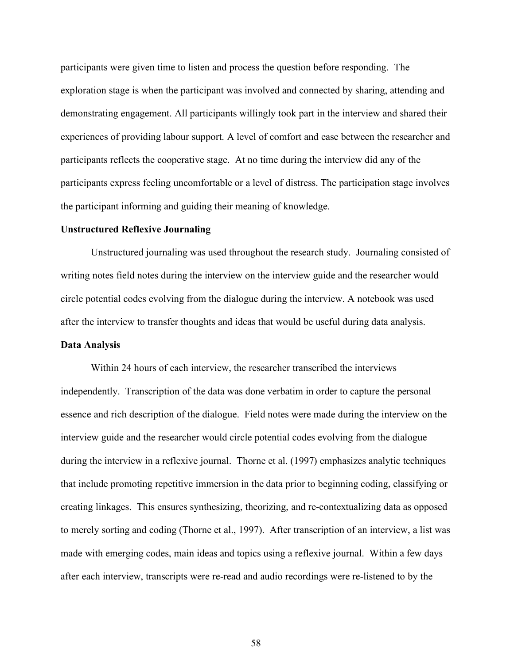participants were given time to listen and process the question before responding. The exploration stage is when the participant was involved and connected by sharing, attending and demonstrating engagement. All participants willingly took part in the interview and shared their experiences of providing labour support. A level of comfort and ease between the researcher and participants reflects the cooperative stage. At no time during the interview did any of the participants express feeling uncomfortable or a level of distress. The participation stage involves the participant informing and guiding their meaning of knowledge.

### **Unstructured Reflexive Journaling**

Unstructured journaling was used throughout the research study. Journaling consisted of writing notes field notes during the interview on the interview guide and the researcher would circle potential codes evolving from the dialogue during the interview. A notebook was used after the interview to transfer thoughts and ideas that would be useful during data analysis.

## **Data Analysis**

Within 24 hours of each interview, the researcher transcribed the interviews independently. Transcription of the data was done verbatim in order to capture the personal essence and rich description of the dialogue. Field notes were made during the interview on the interview guide and the researcher would circle potential codes evolving from the dialogue during the interview in a reflexive journal. Thorne et al. (1997) emphasizes analytic techniques that include promoting repetitive immersion in the data prior to beginning coding, classifying or creating linkages. This ensures synthesizing, theorizing, and re-contextualizing data as opposed to merely sorting and coding (Thorne et al., 1997). After transcription of an interview, a list was made with emerging codes, main ideas and topics using a reflexive journal. Within a few days after each interview, transcripts were re-read and audio recordings were re-listened to by the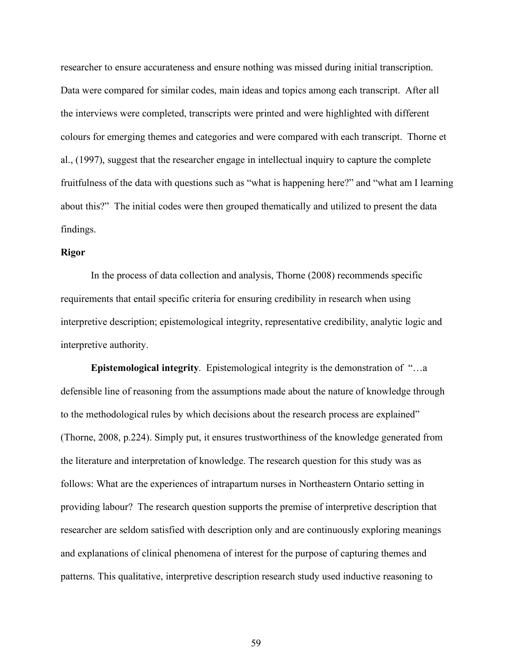researcher to ensure accurateness and ensure nothing was missed during initial transcription. Data were compared for similar codes, main ideas and topics among each transcript. After all the interviews were completed, transcripts were printed and were highlighted with different colours for emerging themes and categories and were compared with each transcript. Thorne et al., (1997), suggest that the researcher engage in intellectual inquiry to capture the complete fruitfulness of the data with questions such as "what is happening here?" and "what am I learning about this?" The initial codes were then grouped thematically and utilized to present the data findings.

## **Rigor**

In the process of data collection and analysis, Thorne (2008) recommends specific requirements that entail specific criteria for ensuring credibility in research when using interpretive description; epistemological integrity, representative credibility, analytic logic and interpretive authority.

**Epistemological integrity**. Epistemological integrity is the demonstration of "…a defensible line of reasoning from the assumptions made about the nature of knowledge through to the methodological rules by which decisions about the research process are explained" (Thorne, 2008, p.224). Simply put, it ensures trustworthiness of the knowledge generated from the literature and interpretation of knowledge. The research question for this study was as follows: What are the experiences of intrapartum nurses in Northeastern Ontario setting in providing labour? The research question supports the premise of interpretive description that researcher are seldom satisfied with description only and are continuously exploring meanings and explanations of clinical phenomena of interest for the purpose of capturing themes and patterns. This qualitative, interpretive description research study used inductive reasoning to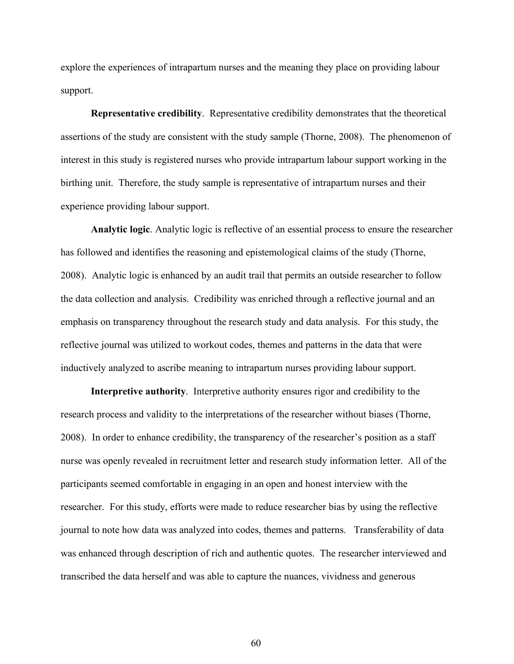explore the experiences of intrapartum nurses and the meaning they place on providing labour support.

**Representative credibility**. Representative credibility demonstrates that the theoretical assertions of the study are consistent with the study sample (Thorne, 2008). The phenomenon of interest in this study is registered nurses who provide intrapartum labour support working in the birthing unit. Therefore, the study sample is representative of intrapartum nurses and their experience providing labour support.

**Analytic logic**. Analytic logic is reflective of an essential process to ensure the researcher has followed and identifies the reasoning and epistemological claims of the study (Thorne, 2008). Analytic logic is enhanced by an audit trail that permits an outside researcher to follow the data collection and analysis. Credibility was enriched through a reflective journal and an emphasis on transparency throughout the research study and data analysis. For this study, the reflective journal was utilized to workout codes, themes and patterns in the data that were inductively analyzed to ascribe meaning to intrapartum nurses providing labour support.

**Interpretive authority**. Interpretive authority ensures rigor and credibility to the research process and validity to the interpretations of the researcher without biases (Thorne, 2008). In order to enhance credibility, the transparency of the researcher's position as a staff nurse was openly revealed in recruitment letter and research study information letter. All of the participants seemed comfortable in engaging in an open and honest interview with the researcher. For this study, efforts were made to reduce researcher bias by using the reflective journal to note how data was analyzed into codes, themes and patterns. Transferability of data was enhanced through description of rich and authentic quotes. The researcher interviewed and transcribed the data herself and was able to capture the nuances, vividness and generous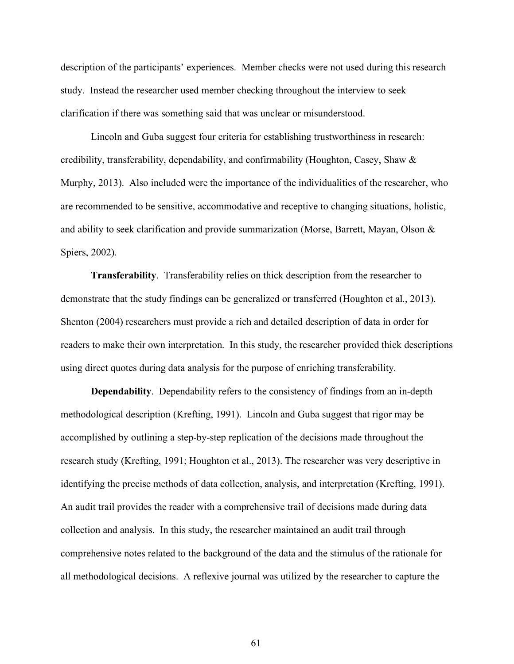description of the participants' experiences. Member checks were not used during this research study. Instead the researcher used member checking throughout the interview to seek clarification if there was something said that was unclear or misunderstood.

Lincoln and Guba suggest four criteria for establishing trustworthiness in research: credibility, transferability, dependability, and confirmability (Houghton, Casey, Shaw & Murphy, 2013). Also included were the importance of the individualities of the researcher, who are recommended to be sensitive, accommodative and receptive to changing situations, holistic, and ability to seek clarification and provide summarization (Morse, Barrett, Mayan, Olson & Spiers, 2002).

**Transferability**. Transferability relies on thick description from the researcher to demonstrate that the study findings can be generalized or transferred (Houghton et al., 2013). Shenton (2004) researchers must provide a rich and detailed description of data in order for readers to make their own interpretation. In this study, the researcher provided thick descriptions using direct quotes during data analysis for the purpose of enriching transferability.

**Dependability**. Dependability refers to the consistency of findings from an in-depth methodological description (Krefting, 1991). Lincoln and Guba suggest that rigor may be accomplished by outlining a step-by-step replication of the decisions made throughout the research study (Krefting, 1991; Houghton et al., 2013). The researcher was very descriptive in identifying the precise methods of data collection, analysis, and interpretation (Krefting, 1991). An audit trail provides the reader with a comprehensive trail of decisions made during data collection and analysis. In this study, the researcher maintained an audit trail through comprehensive notes related to the background of the data and the stimulus of the rationale for all methodological decisions. A reflexive journal was utilized by the researcher to capture the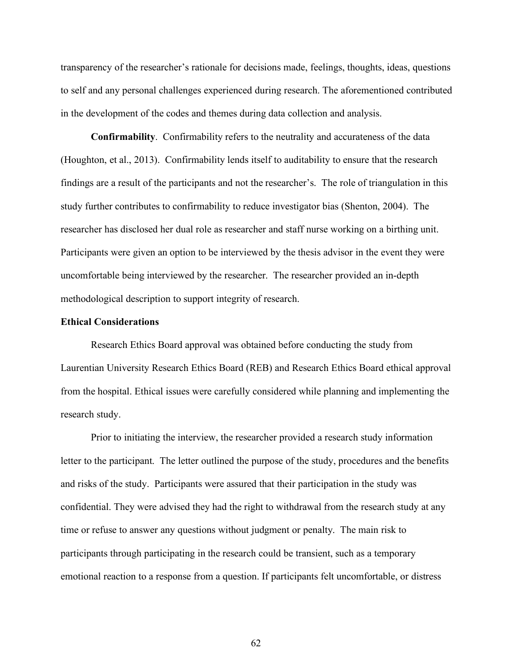transparency of the researcher's rationale for decisions made, feelings, thoughts, ideas, questions to self and any personal challenges experienced during research. The aforementioned contributed in the development of the codes and themes during data collection and analysis.

**Confirmability**. Confirmability refers to the neutrality and accurateness of the data (Houghton, et al., 2013). Confirmability lends itself to auditability to ensure that the research findings are a result of the participants and not the researcher's. The role of triangulation in this study further contributes to confirmability to reduce investigator bias (Shenton, 2004). The researcher has disclosed her dual role as researcher and staff nurse working on a birthing unit. Participants were given an option to be interviewed by the thesis advisor in the event they were uncomfortable being interviewed by the researcher. The researcher provided an in-depth methodological description to support integrity of research.

### **Ethical Considerations**

Research Ethics Board approval was obtained before conducting the study from Laurentian University Research Ethics Board (REB) and Research Ethics Board ethical approval from the hospital. Ethical issues were carefully considered while planning and implementing the research study.

Prior to initiating the interview, the researcher provided a research study information letter to the participant. The letter outlined the purpose of the study, procedures and the benefits and risks of the study. Participants were assured that their participation in the study was confidential. They were advised they had the right to withdrawal from the research study at any time or refuse to answer any questions without judgment or penalty. The main risk to participants through participating in the research could be transient, such as a temporary emotional reaction to a response from a question. If participants felt uncomfortable, or distress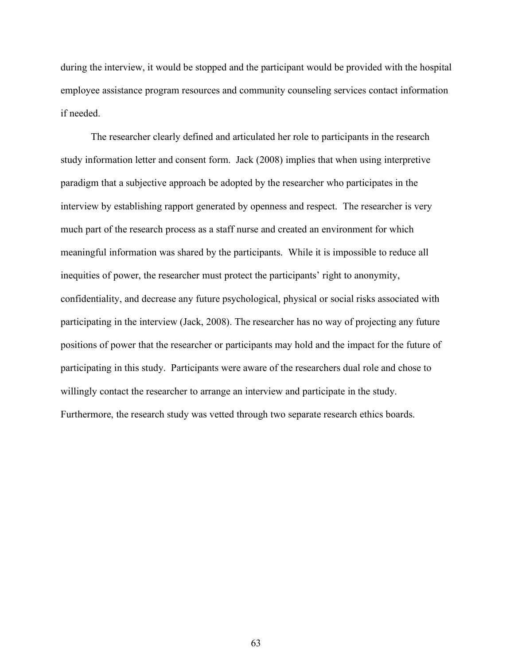during the interview, it would be stopped and the participant would be provided with the hospital employee assistance program resources and community counseling services contact information if needed.

The researcher clearly defined and articulated her role to participants in the research study information letter and consent form. Jack (2008) implies that when using interpretive paradigm that a subjective approach be adopted by the researcher who participates in the interview by establishing rapport generated by openness and respect. The researcher is very much part of the research process as a staff nurse and created an environment for which meaningful information was shared by the participants. While it is impossible to reduce all inequities of power, the researcher must protect the participants' right to anonymity, confidentiality, and decrease any future psychological, physical or social risks associated with participating in the interview (Jack, 2008). The researcher has no way of projecting any future positions of power that the researcher or participants may hold and the impact for the future of participating in this study. Participants were aware of the researchers dual role and chose to willingly contact the researcher to arrange an interview and participate in the study. Furthermore, the research study was vetted through two separate research ethics boards.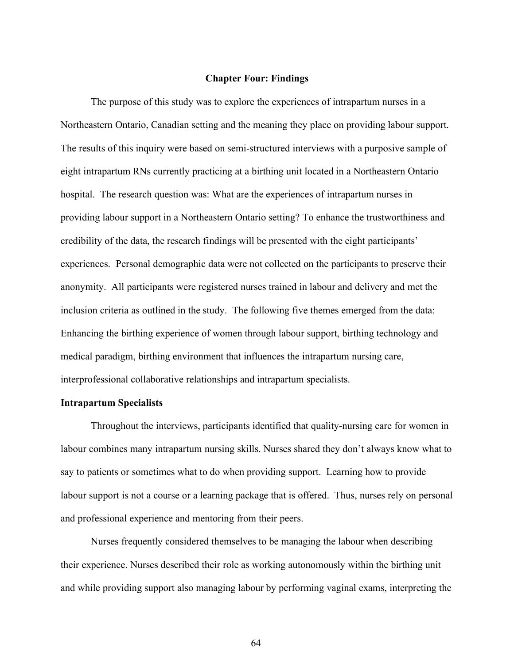## **Chapter Four: Findings**

The purpose of this study was to explore the experiences of intrapartum nurses in a Northeastern Ontario, Canadian setting and the meaning they place on providing labour support. The results of this inquiry were based on semi-structured interviews with a purposive sample of eight intrapartum RNs currently practicing at a birthing unit located in a Northeastern Ontario hospital. The research question was: What are the experiences of intrapartum nurses in providing labour support in a Northeastern Ontario setting? To enhance the trustworthiness and credibility of the data, the research findings will be presented with the eight participants' experiences. Personal demographic data were not collected on the participants to preserve their anonymity. All participants were registered nurses trained in labour and delivery and met the inclusion criteria as outlined in the study. The following five themes emerged from the data: Enhancing the birthing experience of women through labour support, birthing technology and medical paradigm, birthing environment that influences the intrapartum nursing care, interprofessional collaborative relationships and intrapartum specialists.

## **Intrapartum Specialists**

Throughout the interviews, participants identified that quality-nursing care for women in labour combines many intrapartum nursing skills. Nurses shared they don't always know what to say to patients or sometimes what to do when providing support. Learning how to provide labour support is not a course or a learning package that is offered. Thus, nurses rely on personal and professional experience and mentoring from their peers.

Nurses frequently considered themselves to be managing the labour when describing their experience. Nurses described their role as working autonomously within the birthing unit and while providing support also managing labour by performing vaginal exams, interpreting the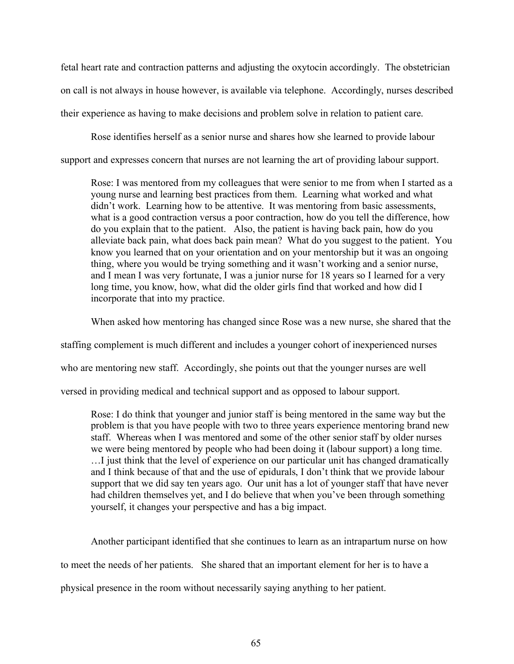fetal heart rate and contraction patterns and adjusting the oxytocin accordingly. The obstetrician on call is not always in house however, is available via telephone. Accordingly, nurses described their experience as having to make decisions and problem solve in relation to patient care.

Rose identifies herself as a senior nurse and shares how she learned to provide labour support and expresses concern that nurses are not learning the art of providing labour support.

Rose: I was mentored from my colleagues that were senior to me from when I started as a young nurse and learning best practices from them. Learning what worked and what didn't work. Learning how to be attentive. It was mentoring from basic assessments, what is a good contraction versus a poor contraction, how do you tell the difference, how do you explain that to the patient. Also, the patient is having back pain, how do you alleviate back pain, what does back pain mean? What do you suggest to the patient. You know you learned that on your orientation and on your mentorship but it was an ongoing thing, where you would be trying something and it wasn't working and a senior nurse, and I mean I was very fortunate, I was a junior nurse for 18 years so I learned for a very long time, you know, how, what did the older girls find that worked and how did I incorporate that into my practice.

When asked how mentoring has changed since Rose was a new nurse, she shared that the

staffing complement is much different and includes a younger cohort of inexperienced nurses

who are mentoring new staff. Accordingly, she points out that the younger nurses are well

versed in providing medical and technical support and as opposed to labour support.

Rose: I do think that younger and junior staff is being mentored in the same way but the problem is that you have people with two to three years experience mentoring brand new staff. Whereas when I was mentored and some of the other senior staff by older nurses we were being mentored by people who had been doing it (labour support) a long time. …I just think that the level of experience on our particular unit has changed dramatically and I think because of that and the use of epidurals, I don't think that we provide labour support that we did say ten years ago. Our unit has a lot of younger staff that have never had children themselves yet, and I do believe that when you've been through something yourself, it changes your perspective and has a big impact.

Another participant identified that she continues to learn as an intrapartum nurse on how

to meet the needs of her patients. She shared that an important element for her is to have a

physical presence in the room without necessarily saying anything to her patient.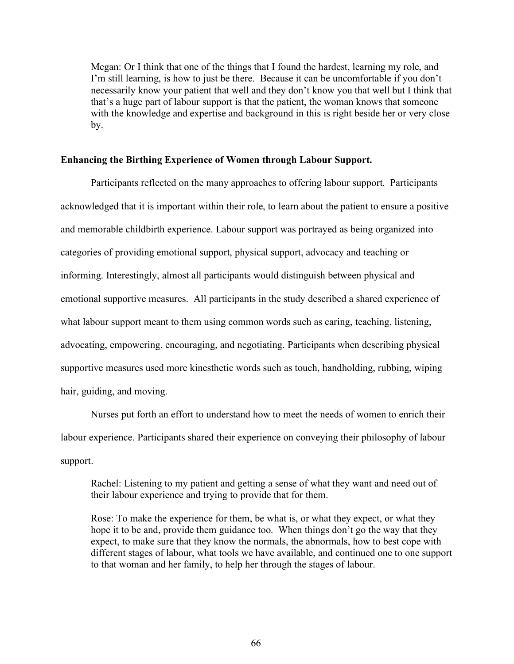Megan: Or I think that one of the things that I found the hardest, learning my role, and I'm still learning, is how to just be there. Because it can be uncomfortable if you don't necessarily know your patient that well and they don't know you that well but I think that that's a huge part of labour support is that the patient, the woman knows that someone with the knowledge and expertise and background in this is right beside her or very close by.

## **Enhancing the Birthing Experience of Women through Labour Support.**

Participants reflected on the many approaches to offering labour support. Participants acknowledged that it is important within their role, to learn about the patient to ensure a positive and memorable childbirth experience. Labour support was portrayed as being organized into categories of providing emotional support, physical support, advocacy and teaching or informing. Interestingly, almost all participants would distinguish between physical and emotional supportive measures. All participants in the study described a shared experience of what labour support meant to them using common words such as caring, teaching, listening, advocating, empowering, encouraging, and negotiating. Participants when describing physical supportive measures used more kinesthetic words such as touch, handholding, rubbing, wiping hair, guiding, and moving.

Nurses put forth an effort to understand how to meet the needs of women to enrich their labour experience. Participants shared their experience on conveying their philosophy of labour support.

Rachel: Listening to my patient and getting a sense of what they want and need out of their labour experience and trying to provide that for them.

Rose: To make the experience for them, be what is, or what they expect, or what they hope it to be and, provide them guidance too. When things don't go the way that they expect, to make sure that they know the normals, the abnormals, how to best cope with different stages of labour, what tools we have available, and continued one to one support to that woman and her family, to help her through the stages of labour.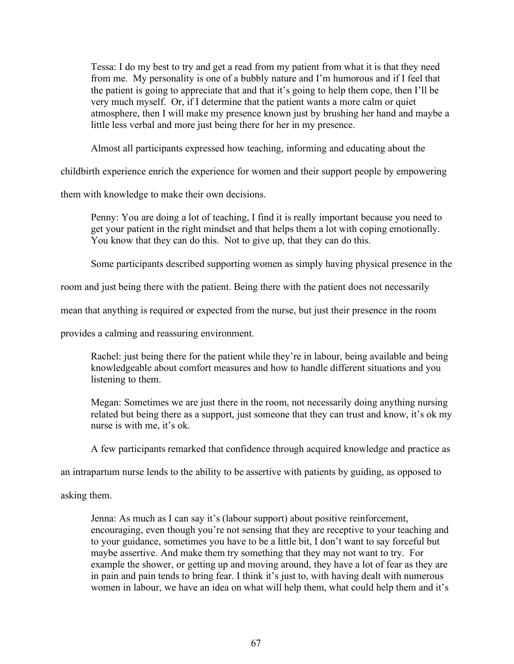Tessa: I do my best to try and get a read from my patient from what it is that they need from me. My personality is one of a bubbly nature and I'm humorous and if I feel that the patient is going to appreciate that and that it's going to help them cope, then I'll be very much myself. Or, if I determine that the patient wants a more calm or quiet atmosphere, then I will make my presence known just by brushing her hand and maybe a little less verbal and more just being there for her in my presence.

Almost all participants expressed how teaching, informing and educating about the

childbirth experience enrich the experience for women and their support people by empowering

them with knowledge to make their own decisions.

Penny: You are doing a lot of teaching, I find it is really important because you need to get your patient in the right mindset and that helps them a lot with coping emotionally. You know that they can do this. Not to give up, that they can do this.

Some participants described supporting women as simply having physical presence in the

room and just being there with the patient. Being there with the patient does not necessarily

mean that anything is required or expected from the nurse, but just their presence in the room

provides a calming and reassuring environment.

Rachel: just being there for the patient while they're in labour, being available and being knowledgeable about comfort measures and how to handle different situations and you listening to them.

Megan: Sometimes we are just there in the room, not necessarily doing anything nursing related but being there as a support, just someone that they can trust and know, it's ok my nurse is with me, it's ok.

A few participants remarked that confidence through acquired knowledge and practice as

an intrapartum nurse lends to the ability to be assertive with patients by guiding, as opposed to

asking them.

Jenna: As much as I can say it's (labour support) about positive reinforcement, encouraging, even though you're not sensing that they are receptive to your teaching and to your guidance, sometimes you have to be a little bit, I don't want to say forceful but maybe assertive. And make them try something that they may not want to try. For example the shower, or getting up and moving around, they have a lot of fear as they are in pain and pain tends to bring fear. I think it's just to, with having dealt with numerous women in labour, we have an idea on what will help them, what could help them and it's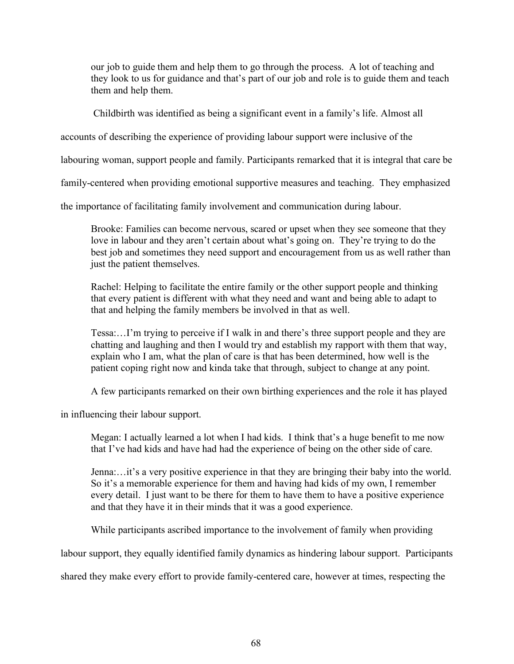our job to guide them and help them to go through the process. A lot of teaching and they look to us for guidance and that's part of our job and role is to guide them and teach them and help them.

Childbirth was identified as being a significant event in a family's life. Almost all

accounts of describing the experience of providing labour support were inclusive of the

labouring woman, support people and family. Participants remarked that it is integral that care be

family-centered when providing emotional supportive measures and teaching. They emphasized

the importance of facilitating family involvement and communication during labour.

Brooke: Families can become nervous, scared or upset when they see someone that they love in labour and they aren't certain about what's going on. They're trying to do the best job and sometimes they need support and encouragement from us as well rather than just the patient themselves.

Rachel: Helping to facilitate the entire family or the other support people and thinking that every patient is different with what they need and want and being able to adapt to that and helping the family members be involved in that as well.

Tessa:…I'm trying to perceive if I walk in and there's three support people and they are chatting and laughing and then I would try and establish my rapport with them that way, explain who I am, what the plan of care is that has been determined, how well is the patient coping right now and kinda take that through, subject to change at any point.

A few participants remarked on their own birthing experiences and the role it has played

in influencing their labour support.

Megan: I actually learned a lot when I had kids. I think that's a huge benefit to me now that I've had kids and have had had the experience of being on the other side of care.

Jenna:…it's a very positive experience in that they are bringing their baby into the world. So it's a memorable experience for them and having had kids of my own, I remember every detail. I just want to be there for them to have them to have a positive experience and that they have it in their minds that it was a good experience.

While participants ascribed importance to the involvement of family when providing

labour support, they equally identified family dynamics as hindering labour support. Participants

shared they make every effort to provide family-centered care, however at times, respecting the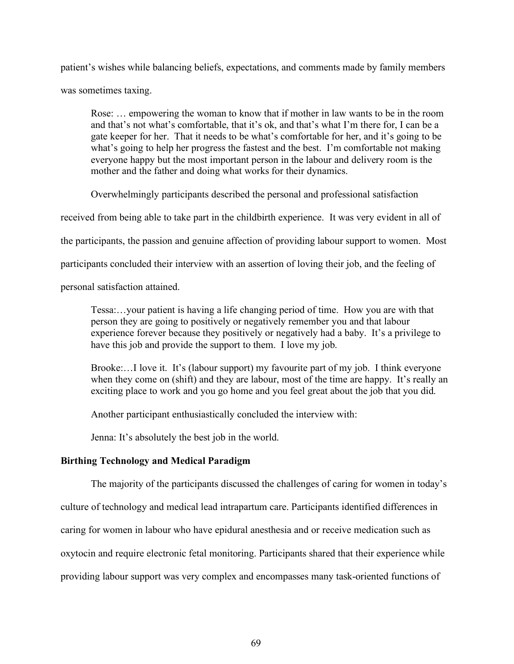patient's wishes while balancing beliefs, expectations, and comments made by family members was sometimes taxing.

Rose: … empowering the woman to know that if mother in law wants to be in the room and that's not what's comfortable, that it's ok, and that's what I'm there for, I can be a gate keeper for her. That it needs to be what's comfortable for her, and it's going to be what's going to help her progress the fastest and the best. I'm comfortable not making everyone happy but the most important person in the labour and delivery room is the mother and the father and doing what works for their dynamics.

Overwhelmingly participants described the personal and professional satisfaction

received from being able to take part in the childbirth experience. It was very evident in all of

the participants, the passion and genuine affection of providing labour support to women. Most

participants concluded their interview with an assertion of loving their job, and the feeling of

personal satisfaction attained.

Tessa:…your patient is having a life changing period of time. How you are with that person they are going to positively or negatively remember you and that labour experience forever because they positively or negatively had a baby. It's a privilege to have this job and provide the support to them. I love my job.

Brooke:…I love it. It's (labour support) my favourite part of my job. I think everyone when they come on (shift) and they are labour, most of the time are happy. It's really an exciting place to work and you go home and you feel great about the job that you did.

Another participant enthusiastically concluded the interview with:

Jenna: It's absolutely the best job in the world.

# **Birthing Technology and Medical Paradigm**

The majority of the participants discussed the challenges of caring for women in today's

culture of technology and medical lead intrapartum care. Participants identified differences in

caring for women in labour who have epidural anesthesia and or receive medication such as

oxytocin and require electronic fetal monitoring. Participants shared that their experience while

providing labour support was very complex and encompasses many task-oriented functions of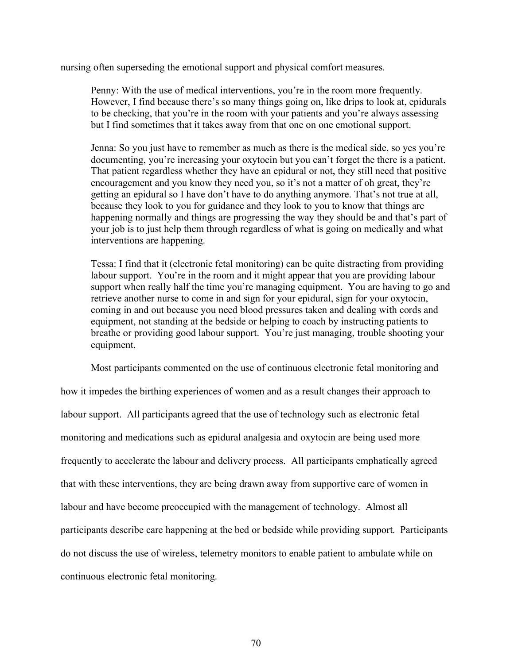nursing often superseding the emotional support and physical comfort measures.

Penny: With the use of medical interventions, you're in the room more frequently. However, I find because there's so many things going on, like drips to look at, epidurals to be checking, that you're in the room with your patients and you're always assessing but I find sometimes that it takes away from that one on one emotional support.

Jenna: So you just have to remember as much as there is the medical side, so yes you're documenting, you're increasing your oxytocin but you can't forget the there is a patient. That patient regardless whether they have an epidural or not, they still need that positive encouragement and you know they need you, so it's not a matter of oh great, they're getting an epidural so I have don't have to do anything anymore. That's not true at all, because they look to you for guidance and they look to you to know that things are happening normally and things are progressing the way they should be and that's part of your job is to just help them through regardless of what is going on medically and what interventions are happening.

Tessa: I find that it (electronic fetal monitoring) can be quite distracting from providing labour support. You're in the room and it might appear that you are providing labour support when really half the time you're managing equipment. You are having to go and retrieve another nurse to come in and sign for your epidural, sign for your oxytocin, coming in and out because you need blood pressures taken and dealing with cords and equipment, not standing at the bedside or helping to coach by instructing patients to breathe or providing good labour support. You're just managing, trouble shooting your equipment.

Most participants commented on the use of continuous electronic fetal monitoring and how it impedes the birthing experiences of women and as a result changes their approach to labour support. All participants agreed that the use of technology such as electronic fetal monitoring and medications such as epidural analgesia and oxytocin are being used more frequently to accelerate the labour and delivery process. All participants emphatically agreed that with these interventions, they are being drawn away from supportive care of women in labour and have become preoccupied with the management of technology. Almost all participants describe care happening at the bed or bedside while providing support. Participants do not discuss the use of wireless, telemetry monitors to enable patient to ambulate while on continuous electronic fetal monitoring.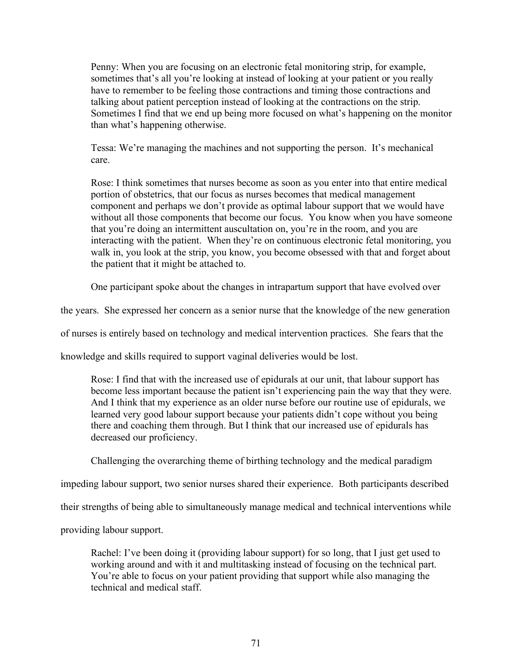Penny: When you are focusing on an electronic fetal monitoring strip, for example, sometimes that's all you're looking at instead of looking at your patient or you really have to remember to be feeling those contractions and timing those contractions and talking about patient perception instead of looking at the contractions on the strip. Sometimes I find that we end up being more focused on what's happening on the monitor than what's happening otherwise.

Tessa: We're managing the machines and not supporting the person. It's mechanical care.

Rose: I think sometimes that nurses become as soon as you enter into that entire medical portion of obstetrics, that our focus as nurses becomes that medical management component and perhaps we don't provide as optimal labour support that we would have without all those components that become our focus. You know when you have someone that you're doing an intermittent auscultation on, you're in the room, and you are interacting with the patient. When they're on continuous electronic fetal monitoring, you walk in, you look at the strip, you know, you become obsessed with that and forget about the patient that it might be attached to.

One participant spoke about the changes in intrapartum support that have evolved over

the years. She expressed her concern as a senior nurse that the knowledge of the new generation

of nurses is entirely based on technology and medical intervention practices. She fears that the

knowledge and skills required to support vaginal deliveries would be lost.

Rose: I find that with the increased use of epidurals at our unit, that labour support has become less important because the patient isn't experiencing pain the way that they were. And I think that my experience as an older nurse before our routine use of epidurals, we learned very good labour support because your patients didn't cope without you being there and coaching them through. But I think that our increased use of epidurals has decreased our proficiency.

Challenging the overarching theme of birthing technology and the medical paradigm

impeding labour support, two senior nurses shared their experience. Both participants described

their strengths of being able to simultaneously manage medical and technical interventions while

providing labour support.

Rachel: I've been doing it (providing labour support) for so long, that I just get used to working around and with it and multitasking instead of focusing on the technical part. You're able to focus on your patient providing that support while also managing the technical and medical staff.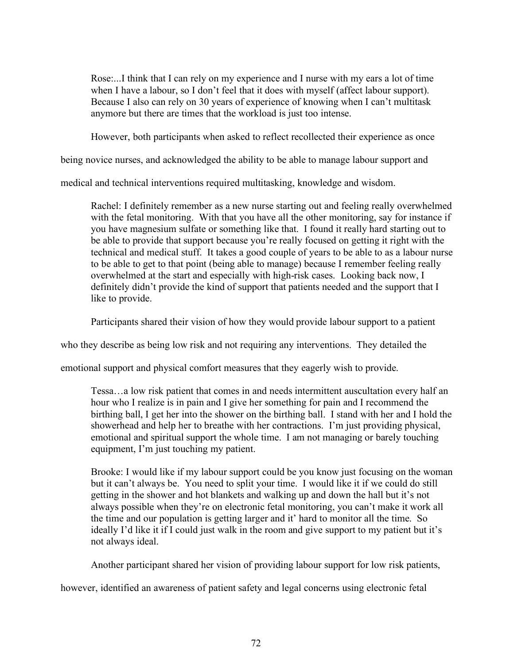Rose:...I think that I can rely on my experience and I nurse with my ears a lot of time when I have a labour, so I don't feel that it does with myself (affect labour support). Because I also can rely on 30 years of experience of knowing when I can't multitask anymore but there are times that the workload is just too intense.

However, both participants when asked to reflect recollected their experience as once

being novice nurses, and acknowledged the ability to be able to manage labour support and

medical and technical interventions required multitasking, knowledge and wisdom.

Rachel: I definitely remember as a new nurse starting out and feeling really overwhelmed with the fetal monitoring. With that you have all the other monitoring, say for instance if you have magnesium sulfate or something like that. I found it really hard starting out to be able to provide that support because you're really focused on getting it right with the technical and medical stuff. It takes a good couple of years to be able to as a labour nurse to be able to get to that point (being able to manage) because I remember feeling really overwhelmed at the start and especially with high-risk cases. Looking back now, I definitely didn't provide the kind of support that patients needed and the support that I like to provide.

Participants shared their vision of how they would provide labour support to a patient

who they describe as being low risk and not requiring any interventions. They detailed the

emotional support and physical comfort measures that they eagerly wish to provide.

Tessa…a low risk patient that comes in and needs intermittent auscultation every half an hour who I realize is in pain and I give her something for pain and I recommend the birthing ball, I get her into the shower on the birthing ball. I stand with her and I hold the showerhead and help her to breathe with her contractions. I'm just providing physical, emotional and spiritual support the whole time. I am not managing or barely touching equipment, I'm just touching my patient.

Brooke: I would like if my labour support could be you know just focusing on the woman but it can't always be. You need to split your time. I would like it if we could do still getting in the shower and hot blankets and walking up and down the hall but it's not always possible when they're on electronic fetal monitoring, you can't make it work all the time and our population is getting larger and it' hard to monitor all the time. So ideally I'd like it if I could just walk in the room and give support to my patient but it's not always ideal.

Another participant shared her vision of providing labour support for low risk patients,

however, identified an awareness of patient safety and legal concerns using electronic fetal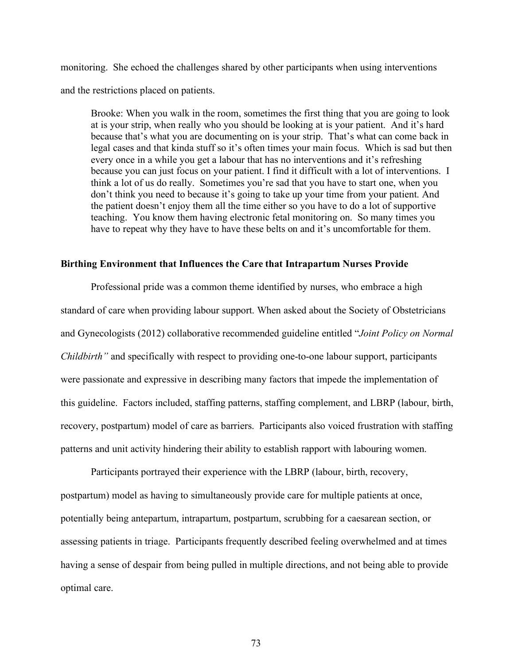monitoring. She echoed the challenges shared by other participants when using interventions and the restrictions placed on patients.

Brooke: When you walk in the room, sometimes the first thing that you are going to look at is your strip, when really who you should be looking at is your patient. And it's hard because that's what you are documenting on is your strip. That's what can come back in legal cases and that kinda stuff so it's often times your main focus. Which is sad but then every once in a while you get a labour that has no interventions and it's refreshing because you can just focus on your patient. I find it difficult with a lot of interventions. I think a lot of us do really. Sometimes you're sad that you have to start one, when you don't think you need to because it's going to take up your time from your patient. And the patient doesn't enjoy them all the time either so you have to do a lot of supportive teaching. You know them having electronic fetal monitoring on. So many times you have to repeat why they have to have these belts on and it's uncomfortable for them.

#### **Birthing Environment that Influences the Care that Intrapartum Nurses Provide**

Professional pride was a common theme identified by nurses, who embrace a high standard of care when providing labour support. When asked about the Society of Obstetricians and Gynecologists (2012) collaborative recommended guideline entitled "*Joint Policy on Normal Childbirth"* and specifically with respect to providing one-to-one labour support, participants were passionate and expressive in describing many factors that impede the implementation of this guideline. Factors included, staffing patterns, staffing complement, and LBRP (labour, birth, recovery, postpartum) model of care as barriers. Participants also voiced frustration with staffing patterns and unit activity hindering their ability to establish rapport with labouring women.

Participants portrayed their experience with the LBRP (labour, birth, recovery, postpartum) model as having to simultaneously provide care for multiple patients at once, potentially being antepartum, intrapartum, postpartum, scrubbing for a caesarean section, or assessing patients in triage. Participants frequently described feeling overwhelmed and at times having a sense of despair from being pulled in multiple directions, and not being able to provide optimal care.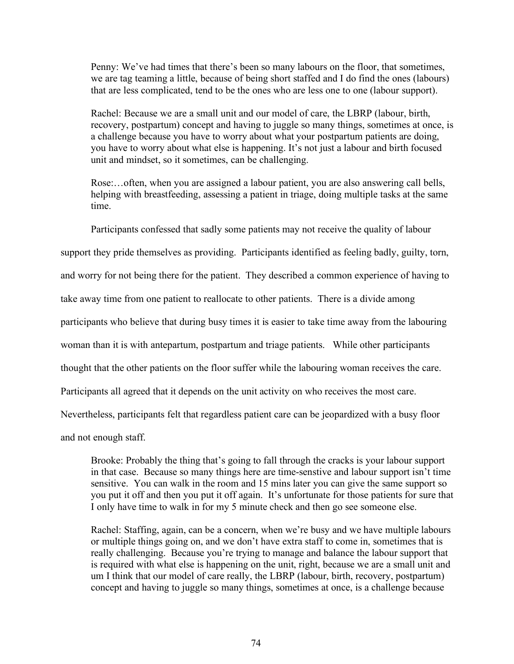Penny: We've had times that there's been so many labours on the floor, that sometimes, we are tag teaming a little, because of being short staffed and I do find the ones (labours) that are less complicated, tend to be the ones who are less one to one (labour support).

Rachel: Because we are a small unit and our model of care, the LBRP (labour, birth, recovery, postpartum) concept and having to juggle so many things, sometimes at once, is a challenge because you have to worry about what your postpartum patients are doing, you have to worry about what else is happening. It's not just a labour and birth focused unit and mindset, so it sometimes, can be challenging.

Rose:…often, when you are assigned a labour patient, you are also answering call bells, helping with breastfeeding, assessing a patient in triage, doing multiple tasks at the same time.

Participants confessed that sadly some patients may not receive the quality of labour

support they pride themselves as providing. Participants identified as feeling badly, guilty, torn,

and worry for not being there for the patient. They described a common experience of having to

take away time from one patient to reallocate to other patients. There is a divide among

participants who believe that during busy times it is easier to take time away from the labouring

woman than it is with antepartum, postpartum and triage patients. While other participants

thought that the other patients on the floor suffer while the labouring woman receives the care.

Participants all agreed that it depends on the unit activity on who receives the most care.

Nevertheless, participants felt that regardless patient care can be jeopardized with a busy floor

and not enough staff.

Brooke: Probably the thing that's going to fall through the cracks is your labour support in that case. Because so many things here are time-senstive and labour support isn't time sensitive. You can walk in the room and 15 mins later you can give the same support so you put it off and then you put it off again. It's unfortunate for those patients for sure that I only have time to walk in for my 5 minute check and then go see someone else.

Rachel: Staffing, again, can be a concern, when we're busy and we have multiple labours or multiple things going on, and we don't have extra staff to come in, sometimes that is really challenging. Because you're trying to manage and balance the labour support that is required with what else is happening on the unit, right, because we are a small unit and um I think that our model of care really, the LBRP (labour, birth, recovery, postpartum) concept and having to juggle so many things, sometimes at once, is a challenge because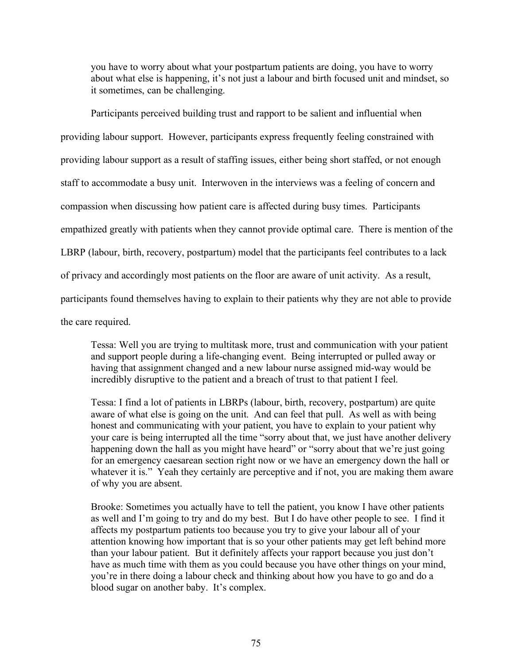you have to worry about what your postpartum patients are doing, you have to worry about what else is happening, it's not just a labour and birth focused unit and mindset, so it sometimes, can be challenging.

Participants perceived building trust and rapport to be salient and influential when providing labour support. However, participants express frequently feeling constrained with providing labour support as a result of staffing issues, either being short staffed, or not enough staff to accommodate a busy unit. Interwoven in the interviews was a feeling of concern and compassion when discussing how patient care is affected during busy times. Participants empathized greatly with patients when they cannot provide optimal care. There is mention of the LBRP (labour, birth, recovery, postpartum) model that the participants feel contributes to a lack of privacy and accordingly most patients on the floor are aware of unit activity. As a result, participants found themselves having to explain to their patients why they are not able to provide the care required.

Tessa: Well you are trying to multitask more, trust and communication with your patient and support people during a life-changing event. Being interrupted or pulled away or having that assignment changed and a new labour nurse assigned mid-way would be incredibly disruptive to the patient and a breach of trust to that patient I feel.

Tessa: I find a lot of patients in LBRPs (labour, birth, recovery, postpartum) are quite aware of what else is going on the unit. And can feel that pull. As well as with being honest and communicating with your patient, you have to explain to your patient why your care is being interrupted all the time "sorry about that, we just have another delivery happening down the hall as you might have heard" or "sorry about that we're just going for an emergency caesarean section right now or we have an emergency down the hall or whatever it is." Yeah they certainly are perceptive and if not, you are making them aware of why you are absent.

Brooke: Sometimes you actually have to tell the patient, you know I have other patients as well and I'm going to try and do my best. But I do have other people to see. I find it affects my postpartum patients too because you try to give your labour all of your attention knowing how important that is so your other patients may get left behind more than your labour patient. But it definitely affects your rapport because you just don't have as much time with them as you could because you have other things on your mind, you're in there doing a labour check and thinking about how you have to go and do a blood sugar on another baby. It's complex.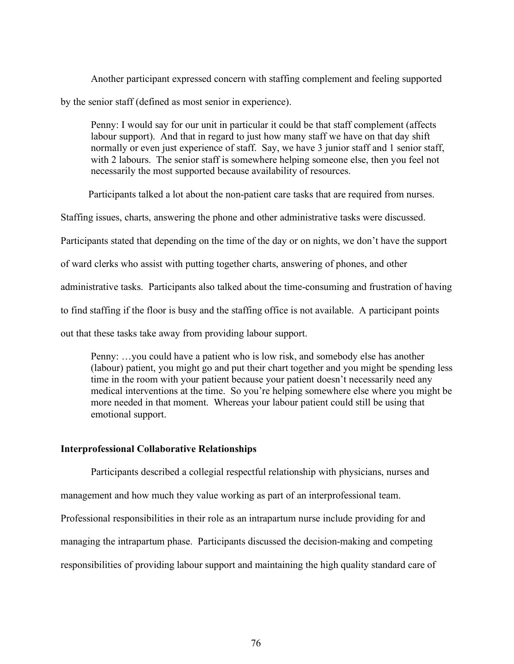Another participant expressed concern with staffing complement and feeling supported by the senior staff (defined as most senior in experience).

Penny: I would say for our unit in particular it could be that staff complement (affects labour support). And that in regard to just how many staff we have on that day shift normally or even just experience of staff. Say, we have 3 junior staff and 1 senior staff, with 2 labours. The senior staff is somewhere helping someone else, then you feel not necessarily the most supported because availability of resources.

Participants talked a lot about the non-patient care tasks that are required from nurses.

Staffing issues, charts, answering the phone and other administrative tasks were discussed.

Participants stated that depending on the time of the day or on nights, we don't have the support

of ward clerks who assist with putting together charts, answering of phones, and other

administrative tasks. Participants also talked about the time-consuming and frustration of having

to find staffing if the floor is busy and the staffing office is not available. A participant points

out that these tasks take away from providing labour support.

Penny: …you could have a patient who is low risk, and somebody else has another (labour) patient, you might go and put their chart together and you might be spending less time in the room with your patient because your patient doesn't necessarily need any medical interventions at the time. So you're helping somewhere else where you might be more needed in that moment. Whereas your labour patient could still be using that emotional support.

## **Interprofessional Collaborative Relationships**

Participants described a collegial respectful relationship with physicians, nurses and management and how much they value working as part of an interprofessional team. Professional responsibilities in their role as an intrapartum nurse include providing for and managing the intrapartum phase. Participants discussed the decision-making and competing responsibilities of providing labour support and maintaining the high quality standard care of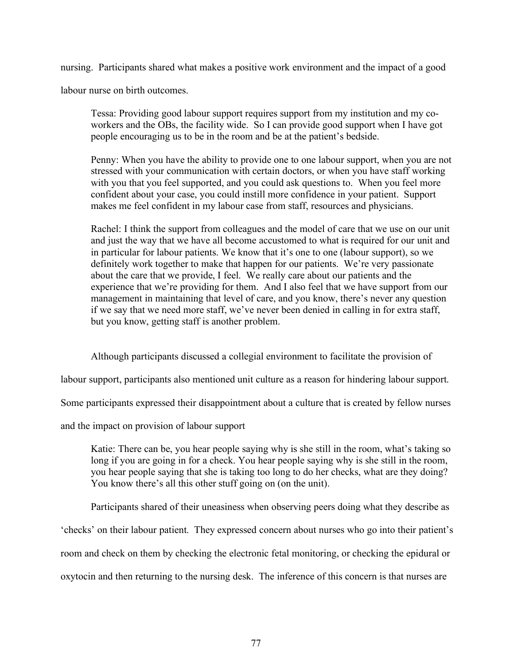nursing. Participants shared what makes a positive work environment and the impact of a good

labour nurse on birth outcomes.

Tessa: Providing good labour support requires support from my institution and my coworkers and the OBs, the facility wide. So I can provide good support when I have got people encouraging us to be in the room and be at the patient's bedside.

Penny: When you have the ability to provide one to one labour support, when you are not stressed with your communication with certain doctors, or when you have staff working with you that you feel supported, and you could ask questions to. When you feel more confident about your case, you could instill more confidence in your patient. Support makes me feel confident in my labour case from staff, resources and physicians.

Rachel: I think the support from colleagues and the model of care that we use on our unit and just the way that we have all become accustomed to what is required for our unit and in particular for labour patients. We know that it's one to one (labour support), so we definitely work together to make that happen for our patients. We're very passionate about the care that we provide, I feel. We really care about our patients and the experience that we're providing for them. And I also feel that we have support from our management in maintaining that level of care, and you know, there's never any question if we say that we need more staff, we've never been denied in calling in for extra staff, but you know, getting staff is another problem.

Although participants discussed a collegial environment to facilitate the provision of

labour support, participants also mentioned unit culture as a reason for hindering labour support.

Some participants expressed their disappointment about a culture that is created by fellow nurses

and the impact on provision of labour support

Katie: There can be, you hear people saying why is she still in the room, what's taking so long if you are going in for a check. You hear people saying why is she still in the room, you hear people saying that she is taking too long to do her checks, what are they doing? You know there's all this other stuff going on (on the unit).

Participants shared of their uneasiness when observing peers doing what they describe as

'checks' on their labour patient. They expressed concern about nurses who go into their patient's

room and check on them by checking the electronic fetal monitoring, or checking the epidural or

oxytocin and then returning to the nursing desk. The inference of this concern is that nurses are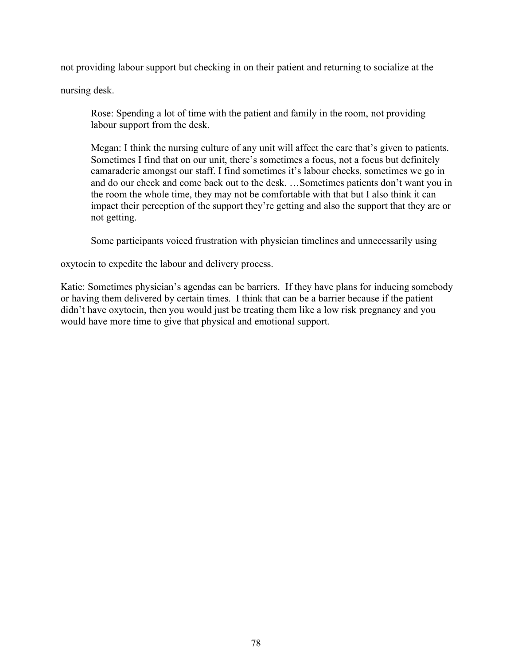not providing labour support but checking in on their patient and returning to socialize at the

nursing desk.

Rose: Spending a lot of time with the patient and family in the room, not providing labour support from the desk.

Megan: I think the nursing culture of any unit will affect the care that's given to patients. Sometimes I find that on our unit, there's sometimes a focus, not a focus but definitely camaraderie amongst our staff. I find sometimes it's labour checks, sometimes we go in and do our check and come back out to the desk. …Sometimes patients don't want you in the room the whole time, they may not be comfortable with that but I also think it can impact their perception of the support they're getting and also the support that they are or not getting.

Some participants voiced frustration with physician timelines and unnecessarily using

oxytocin to expedite the labour and delivery process.

Katie: Sometimes physician's agendas can be barriers. If they have plans for inducing somebody or having them delivered by certain times. I think that can be a barrier because if the patient didn't have oxytocin, then you would just be treating them like a low risk pregnancy and you would have more time to give that physical and emotional support.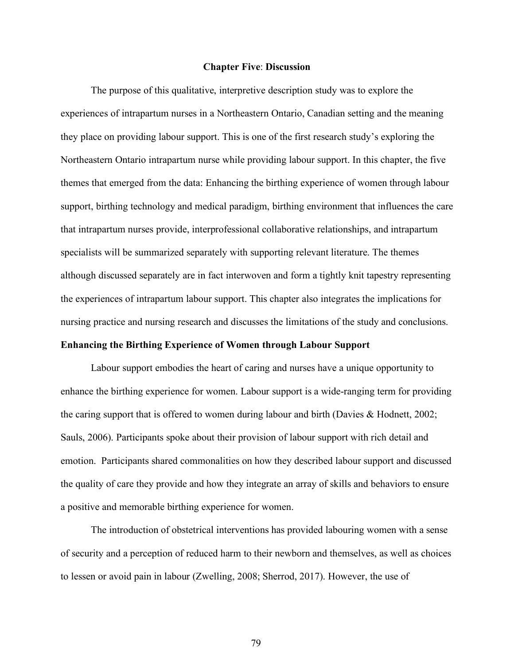#### **Chapter Five**: **Discussion**

The purpose of this qualitative, interpretive description study was to explore the experiences of intrapartum nurses in a Northeastern Ontario, Canadian setting and the meaning they place on providing labour support. This is one of the first research study's exploring the Northeastern Ontario intrapartum nurse while providing labour support. In this chapter, the five themes that emerged from the data: Enhancing the birthing experience of women through labour support, birthing technology and medical paradigm, birthing environment that influences the care that intrapartum nurses provide, interprofessional collaborative relationships, and intrapartum specialists will be summarized separately with supporting relevant literature. The themes although discussed separately are in fact interwoven and form a tightly knit tapestry representing the experiences of intrapartum labour support. This chapter also integrates the implications for nursing practice and nursing research and discusses the limitations of the study and conclusions.

# **Enhancing the Birthing Experience of Women through Labour Support**

Labour support embodies the heart of caring and nurses have a unique opportunity to enhance the birthing experience for women. Labour support is a wide-ranging term for providing the caring support that is offered to women during labour and birth (Davies & Hodnett, 2002; Sauls, 2006). Participants spoke about their provision of labour support with rich detail and emotion. Participants shared commonalities on how they described labour support and discussed the quality of care they provide and how they integrate an array of skills and behaviors to ensure a positive and memorable birthing experience for women.

The introduction of obstetrical interventions has provided labouring women with a sense of security and a perception of reduced harm to their newborn and themselves, as well as choices to lessen or avoid pain in labour (Zwelling, 2008; Sherrod, 2017). However, the use of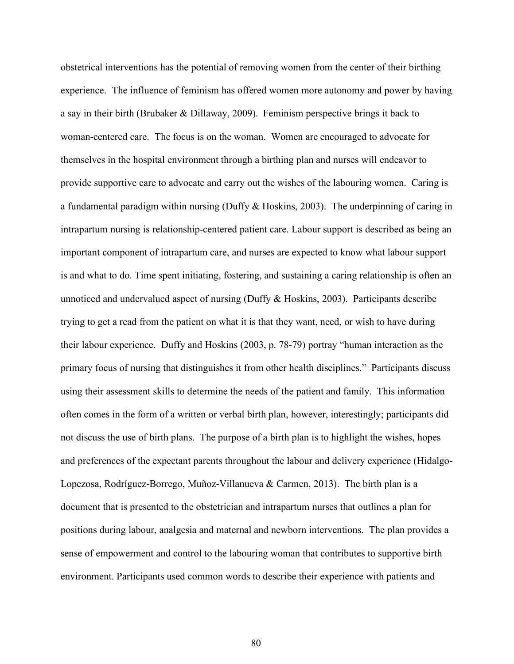obstetrical interventions has the potential of removing women from the center of their birthing experience. The influence of feminism has offered women more autonomy and power by having a say in their birth (Brubaker & Dillaway, 2009). Feminism perspective brings it back to woman-centered care. The focus is on the woman. Women are encouraged to advocate for themselves in the hospital environment through a birthing plan and nurses will endeavor to provide supportive care to advocate and carry out the wishes of the labouring women. Caring is a fundamental paradigm within nursing (Duffy & Hoskins, 2003). The underpinning of caring in intrapartum nursing is relationship-centered patient care. Labour support is described as being an important component of intrapartum care, and nurses are expected to know what labour support is and what to do. Time spent initiating, fostering, and sustaining a caring relationship is often an unnoticed and undervalued aspect of nursing (Duffy & Hoskins, 2003). Participants describe trying to get a read from the patient on what it is that they want, need, or wish to have during their labour experience. Duffy and Hoskins (2003, p. 78-79) portray "human interaction as the primary focus of nursing that distinguishes it from other health disciplines." Participants discuss using their assessment skills to determine the needs of the patient and family. This information often comes in the form of a written or verbal birth plan, however, interestingly; participants did not discuss the use of birth plans. The purpose of a birth plan is to highlight the wishes, hopes and preferences of the expectant parents throughout the labour and delivery experience (Hidalgo-Lopezosa, Rodríguez-Borrego, Muñoz-Villanueva & Carmen, 2013). The birth plan is a document that is presented to the obstetrician and intrapartum nurses that outlines a plan for positions during labour, analgesia and maternal and newborn interventions. The plan provides a sense of empowerment and control to the labouring woman that contributes to supportive birth environment. Participants used common words to describe their experience with patients and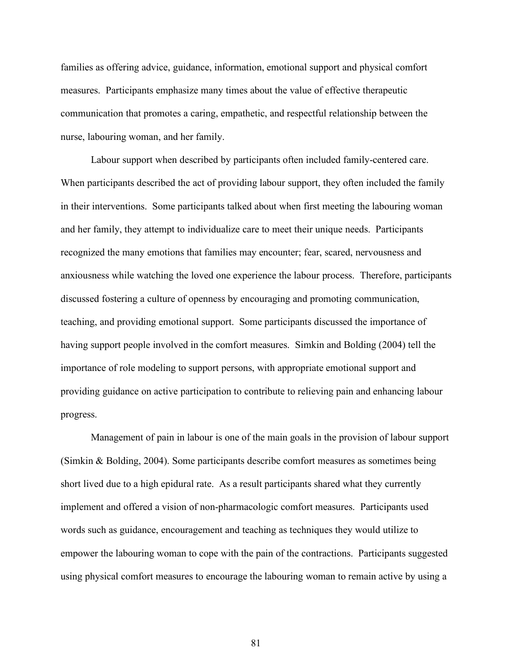families as offering advice, guidance, information, emotional support and physical comfort measures. Participants emphasize many times about the value of effective therapeutic communication that promotes a caring, empathetic, and respectful relationship between the nurse, labouring woman, and her family.

Labour support when described by participants often included family-centered care. When participants described the act of providing labour support, they often included the family in their interventions. Some participants talked about when first meeting the labouring woman and her family, they attempt to individualize care to meet their unique needs. Participants recognized the many emotions that families may encounter; fear, scared, nervousness and anxiousness while watching the loved one experience the labour process. Therefore, participants discussed fostering a culture of openness by encouraging and promoting communication, teaching, and providing emotional support. Some participants discussed the importance of having support people involved in the comfort measures. Simkin and Bolding (2004) tell the importance of role modeling to support persons, with appropriate emotional support and providing guidance on active participation to contribute to relieving pain and enhancing labour progress.

Management of pain in labour is one of the main goals in the provision of labour support (Simkin & Bolding, 2004). Some participants describe comfort measures as sometimes being short lived due to a high epidural rate. As a result participants shared what they currently implement and offered a vision of non-pharmacologic comfort measures. Participants used words such as guidance, encouragement and teaching as techniques they would utilize to empower the labouring woman to cope with the pain of the contractions. Participants suggested using physical comfort measures to encourage the labouring woman to remain active by using a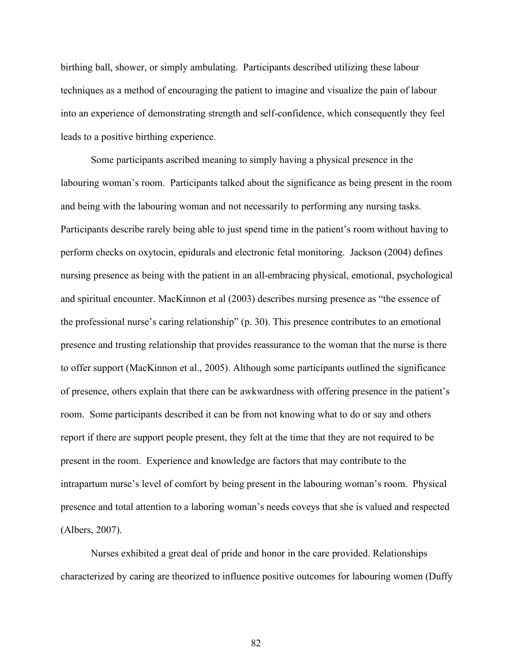birthing ball, shower, or simply ambulating. Participants described utilizing these labour techniques as a method of encouraging the patient to imagine and visualize the pain of labour into an experience of demonstrating strength and self-confidence, which consequently they feel leads to a positive birthing experience.

Some participants ascribed meaning to simply having a physical presence in the labouring woman's room. Participants talked about the significance as being present in the room and being with the labouring woman and not necessarily to performing any nursing tasks. Participants describe rarely being able to just spend time in the patient's room without having to perform checks on oxytocin, epidurals and electronic fetal monitoring. Jackson (2004) defines nursing presence as being with the patient in an all-embracing physical, emotional, psychological and spiritual encounter. MacKinnon et al (2003) describes nursing presence as "the essence of the professional nurse's caring relationship" (p. 30). This presence contributes to an emotional presence and trusting relationship that provides reassurance to the woman that the nurse is there to offer support (MacKinnon et al., 2005). Although some participants outlined the significance of presence, others explain that there can be awkwardness with offering presence in the patient's room. Some participants described it can be from not knowing what to do or say and others report if there are support people present, they felt at the time that they are not required to be present in the room. Experience and knowledge are factors that may contribute to the intrapartum nurse's level of comfort by being present in the labouring woman's room. Physical presence and total attention to a laboring woman's needs coveys that she is valued and respected (Albers, 2007).

Nurses exhibited a great deal of pride and honor in the care provided. Relationships characterized by caring are theorized to influence positive outcomes for labouring women (Duffy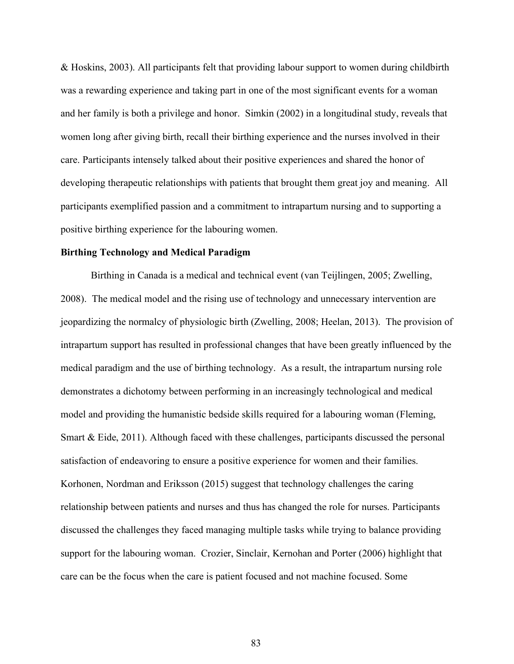& Hoskins, 2003). All participants felt that providing labour support to women during childbirth was a rewarding experience and taking part in one of the most significant events for a woman and her family is both a privilege and honor. Simkin (2002) in a longitudinal study, reveals that women long after giving birth, recall their birthing experience and the nurses involved in their care. Participants intensely talked about their positive experiences and shared the honor of developing therapeutic relationships with patients that brought them great joy and meaning. All participants exemplified passion and a commitment to intrapartum nursing and to supporting a positive birthing experience for the labouring women.

## **Birthing Technology and Medical Paradigm**

Birthing in Canada is a medical and technical event (van Teijlingen, 2005; Zwelling, 2008). The medical model and the rising use of technology and unnecessary intervention are jeopardizing the normalcy of physiologic birth (Zwelling, 2008; Heelan, 2013). The provision of intrapartum support has resulted in professional changes that have been greatly influenced by the medical paradigm and the use of birthing technology. As a result, the intrapartum nursing role demonstrates a dichotomy between performing in an increasingly technological and medical model and providing the humanistic bedside skills required for a labouring woman (Fleming, Smart & Eide, 2011). Although faced with these challenges, participants discussed the personal satisfaction of endeavoring to ensure a positive experience for women and their families. Korhonen, Nordman and Eriksson (2015) suggest that technology challenges the caring relationship between patients and nurses and thus has changed the role for nurses. Participants discussed the challenges they faced managing multiple tasks while trying to balance providing support for the labouring woman. Crozier, Sinclair, Kernohan and Porter (2006) highlight that care can be the focus when the care is patient focused and not machine focused. Some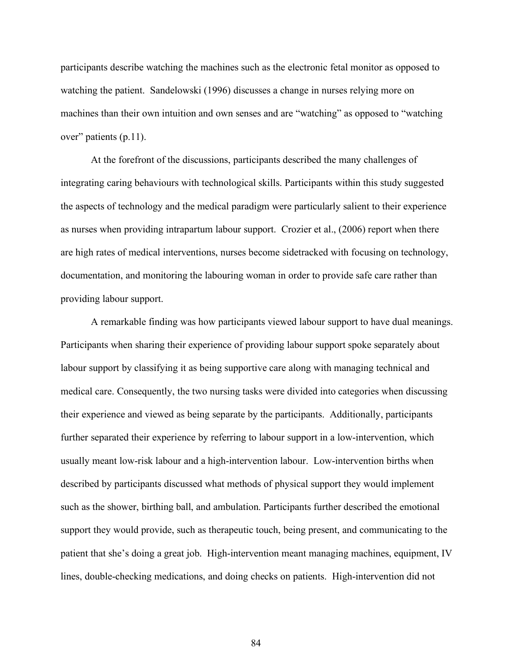participants describe watching the machines such as the electronic fetal monitor as opposed to watching the patient. Sandelowski (1996) discusses a change in nurses relying more on machines than their own intuition and own senses and are "watching" as opposed to "watching over" patients (p.11).

At the forefront of the discussions, participants described the many challenges of integrating caring behaviours with technological skills. Participants within this study suggested the aspects of technology and the medical paradigm were particularly salient to their experience as nurses when providing intrapartum labour support. Crozier et al., (2006) report when there are high rates of medical interventions, nurses become sidetracked with focusing on technology, documentation, and monitoring the labouring woman in order to provide safe care rather than providing labour support.

A remarkable finding was how participants viewed labour support to have dual meanings. Participants when sharing their experience of providing labour support spoke separately about labour support by classifying it as being supportive care along with managing technical and medical care. Consequently, the two nursing tasks were divided into categories when discussing their experience and viewed as being separate by the participants. Additionally, participants further separated their experience by referring to labour support in a low-intervention, which usually meant low-risk labour and a high-intervention labour. Low-intervention births when described by participants discussed what methods of physical support they would implement such as the shower, birthing ball, and ambulation. Participants further described the emotional support they would provide, such as therapeutic touch, being present, and communicating to the patient that she's doing a great job. High-intervention meant managing machines, equipment, IV lines, double-checking medications, and doing checks on patients. High-intervention did not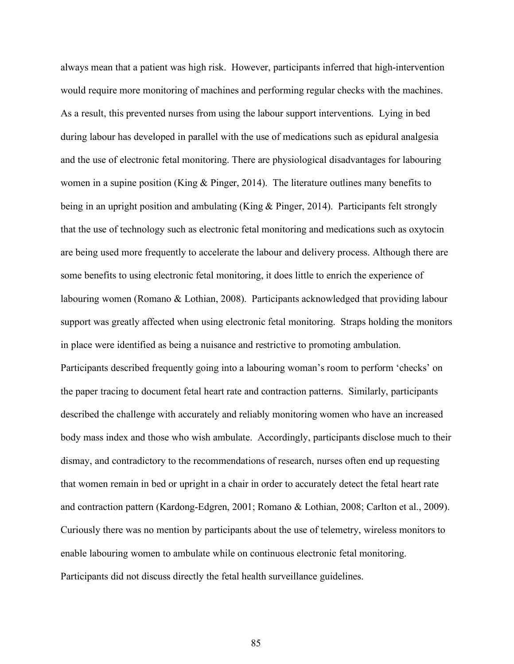always mean that a patient was high risk. However, participants inferred that high-intervention would require more monitoring of machines and performing regular checks with the machines. As a result, this prevented nurses from using the labour support interventions. Lying in bed during labour has developed in parallel with the use of medications such as epidural analgesia and the use of electronic fetal monitoring. There are physiological disadvantages for labouring women in a supine position (King & Pinger, 2014). The literature outlines many benefits to being in an upright position and ambulating (King & Pinger, 2014). Participants felt strongly that the use of technology such as electronic fetal monitoring and medications such as oxytocin are being used more frequently to accelerate the labour and delivery process. Although there are some benefits to using electronic fetal monitoring, it does little to enrich the experience of labouring women (Romano & Lothian, 2008). Participants acknowledged that providing labour support was greatly affected when using electronic fetal monitoring. Straps holding the monitors in place were identified as being a nuisance and restrictive to promoting ambulation. Participants described frequently going into a labouring woman's room to perform 'checks' on the paper tracing to document fetal heart rate and contraction patterns. Similarly, participants described the challenge with accurately and reliably monitoring women who have an increased body mass index and those who wish ambulate. Accordingly, participants disclose much to their dismay, and contradictory to the recommendations of research, nurses often end up requesting that women remain in bed or upright in a chair in order to accurately detect the fetal heart rate and contraction pattern (Kardong-Edgren, 2001; Romano & Lothian, 2008; Carlton et al., 2009). Curiously there was no mention by participants about the use of telemetry, wireless monitors to enable labouring women to ambulate while on continuous electronic fetal monitoring. Participants did not discuss directly the fetal health surveillance guidelines.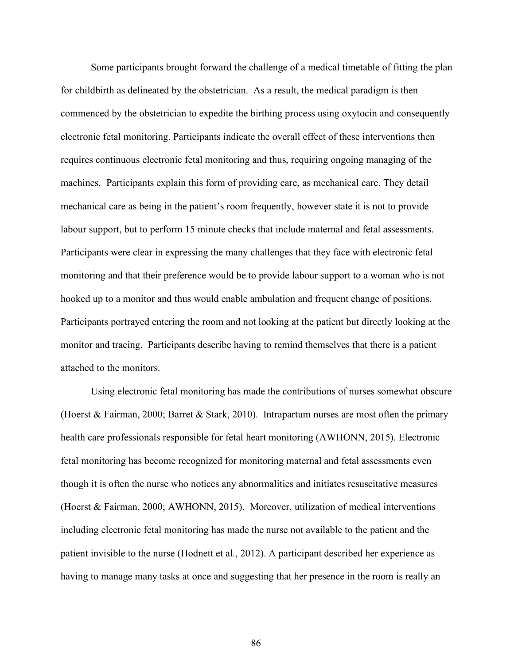Some participants brought forward the challenge of a medical timetable of fitting the plan for childbirth as delineated by the obstetrician. As a result, the medical paradigm is then commenced by the obstetrician to expedite the birthing process using oxytocin and consequently electronic fetal monitoring. Participants indicate the overall effect of these interventions then requires continuous electronic fetal monitoring and thus, requiring ongoing managing of the machines. Participants explain this form of providing care, as mechanical care. They detail mechanical care as being in the patient's room frequently, however state it is not to provide labour support, but to perform 15 minute checks that include maternal and fetal assessments. Participants were clear in expressing the many challenges that they face with electronic fetal monitoring and that their preference would be to provide labour support to a woman who is not hooked up to a monitor and thus would enable ambulation and frequent change of positions. Participants portrayed entering the room and not looking at the patient but directly looking at the monitor and tracing. Participants describe having to remind themselves that there is a patient attached to the monitors.

Using electronic fetal monitoring has made the contributions of nurses somewhat obscure (Hoerst & Fairman, 2000; Barret & Stark, 2010). Intrapartum nurses are most often the primary health care professionals responsible for fetal heart monitoring (AWHONN, 2015). Electronic fetal monitoring has become recognized for monitoring maternal and fetal assessments even though it is often the nurse who notices any abnormalities and initiates resuscitative measures (Hoerst & Fairman, 2000; AWHONN, 2015). Moreover, utilization of medical interventions including electronic fetal monitoring has made the nurse not available to the patient and the patient invisible to the nurse (Hodnett et al., 2012). A participant described her experience as having to manage many tasks at once and suggesting that her presence in the room is really an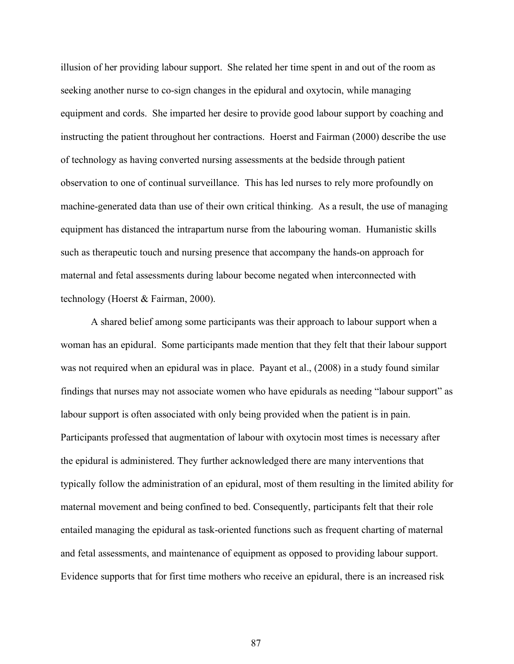illusion of her providing labour support. She related her time spent in and out of the room as seeking another nurse to co-sign changes in the epidural and oxytocin, while managing equipment and cords. She imparted her desire to provide good labour support by coaching and instructing the patient throughout her contractions. Hoerst and Fairman (2000) describe the use of technology as having converted nursing assessments at the bedside through patient observation to one of continual surveillance. This has led nurses to rely more profoundly on machine-generated data than use of their own critical thinking. As a result, the use of managing equipment has distanced the intrapartum nurse from the labouring woman. Humanistic skills such as therapeutic touch and nursing presence that accompany the hands-on approach for maternal and fetal assessments during labour become negated when interconnected with technology (Hoerst & Fairman, 2000).

A shared belief among some participants was their approach to labour support when a woman has an epidural. Some participants made mention that they felt that their labour support was not required when an epidural was in place. Payant et al., (2008) in a study found similar findings that nurses may not associate women who have epidurals as needing "labour support" as labour support is often associated with only being provided when the patient is in pain. Participants professed that augmentation of labour with oxytocin most times is necessary after the epidural is administered. They further acknowledged there are many interventions that typically follow the administration of an epidural, most of them resulting in the limited ability for maternal movement and being confined to bed. Consequently, participants felt that their role entailed managing the epidural as task-oriented functions such as frequent charting of maternal and fetal assessments, and maintenance of equipment as opposed to providing labour support. Evidence supports that for first time mothers who receive an epidural, there is an increased risk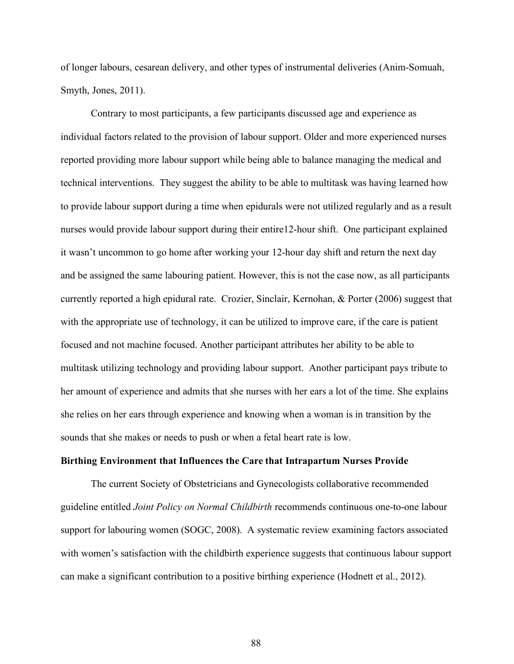of longer labours, cesarean delivery, and other types of instrumental deliveries (Anim-Somuah, Smyth, Jones, 2011).

Contrary to most participants, a few participants discussed age and experience as individual factors related to the provision of labour support. Older and more experienced nurses reported providing more labour support while being able to balance managing the medical and technical interventions. They suggest the ability to be able to multitask was having learned how to provide labour support during a time when epidurals were not utilized regularly and as a result nurses would provide labour support during their entire12-hour shift. One participant explained it wasn't uncommon to go home after working your 12-hour day shift and return the next day and be assigned the same labouring patient. However, this is not the case now, as all participants currently reported a high epidural rate. Crozier, Sinclair, Kernohan, & Porter (2006) suggest that with the appropriate use of technology, it can be utilized to improve care, if the care is patient focused and not machine focused. Another participant attributes her ability to be able to multitask utilizing technology and providing labour support. Another participant pays tribute to her amount of experience and admits that she nurses with her ears a lot of the time. She explains she relies on her ears through experience and knowing when a woman is in transition by the sounds that she makes or needs to push or when a fetal heart rate is low.

## **Birthing Environment that Influences the Care that Intrapartum Nurses Provide**

The current Society of Obstetricians and Gynecologists collaborative recommended guideline entitled *Joint Policy on Normal Childbirth* recommends continuous one-to-one labour support for labouring women (SOGC, 2008). A systematic review examining factors associated with women's satisfaction with the childbirth experience suggests that continuous labour support can make a significant contribution to a positive birthing experience (Hodnett et al., 2012).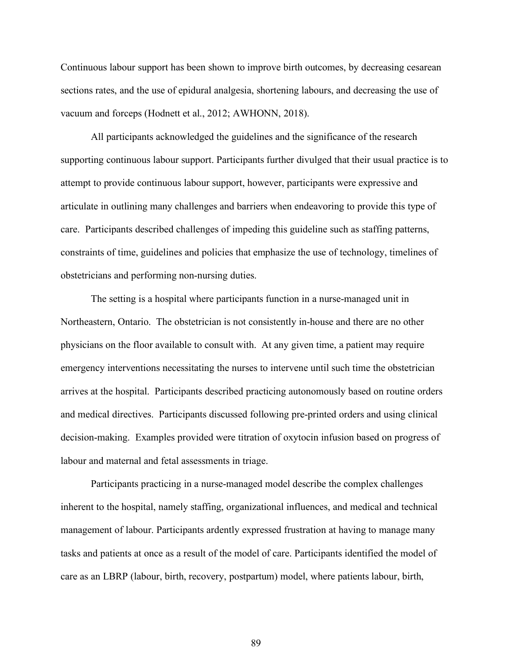Continuous labour support has been shown to improve birth outcomes, by decreasing cesarean sections rates, and the use of epidural analgesia, shortening labours, and decreasing the use of vacuum and forceps (Hodnett et al., 2012; AWHONN, 2018).

All participants acknowledged the guidelines and the significance of the research supporting continuous labour support. Participants further divulged that their usual practice is to attempt to provide continuous labour support, however, participants were expressive and articulate in outlining many challenges and barriers when endeavoring to provide this type of care. Participants described challenges of impeding this guideline such as staffing patterns, constraints of time, guidelines and policies that emphasize the use of technology, timelines of obstetricians and performing non-nursing duties.

The setting is a hospital where participants function in a nurse-managed unit in Northeastern, Ontario. The obstetrician is not consistently in-house and there are no other physicians on the floor available to consult with. At any given time, a patient may require emergency interventions necessitating the nurses to intervene until such time the obstetrician arrives at the hospital. Participants described practicing autonomously based on routine orders and medical directives. Participants discussed following pre-printed orders and using clinical decision-making. Examples provided were titration of oxytocin infusion based on progress of labour and maternal and fetal assessments in triage.

Participants practicing in a nurse-managed model describe the complex challenges inherent to the hospital, namely staffing, organizational influences, and medical and technical management of labour. Participants ardently expressed frustration at having to manage many tasks and patients at once as a result of the model of care. Participants identified the model of care as an LBRP (labour, birth, recovery, postpartum) model, where patients labour, birth,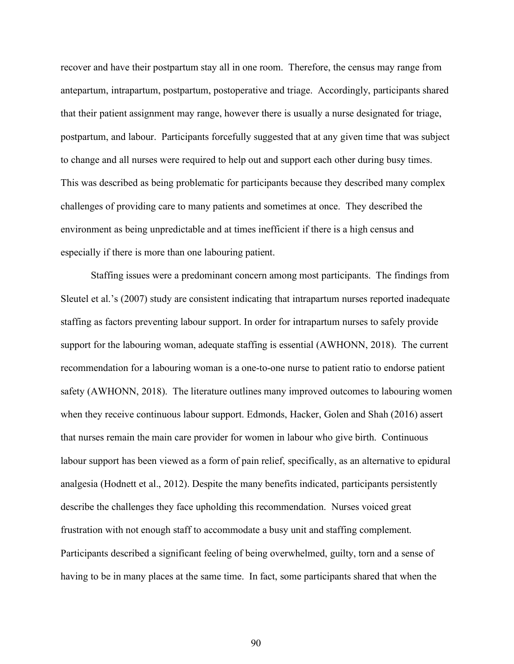recover and have their postpartum stay all in one room. Therefore, the census may range from antepartum, intrapartum, postpartum, postoperative and triage. Accordingly, participants shared that their patient assignment may range, however there is usually a nurse designated for triage, postpartum, and labour. Participants forcefully suggested that at any given time that was subject to change and all nurses were required to help out and support each other during busy times. This was described as being problematic for participants because they described many complex challenges of providing care to many patients and sometimes at once. They described the environment as being unpredictable and at times inefficient if there is a high census and especially if there is more than one labouring patient.

Staffing issues were a predominant concern among most participants. The findings from Sleutel et al.'s (2007) study are consistent indicating that intrapartum nurses reported inadequate staffing as factors preventing labour support. In order for intrapartum nurses to safely provide support for the labouring woman, adequate staffing is essential (AWHONN, 2018). The current recommendation for a labouring woman is a one-to-one nurse to patient ratio to endorse patient safety (AWHONN, 2018). The literature outlines many improved outcomes to labouring women when they receive continuous labour support. Edmonds, Hacker, Golen and Shah (2016) assert that nurses remain the main care provider for women in labour who give birth. Continuous labour support has been viewed as a form of pain relief, specifically, as an alternative to epidural analgesia (Hodnett et al., 2012). Despite the many benefits indicated, participants persistently describe the challenges they face upholding this recommendation. Nurses voiced great frustration with not enough staff to accommodate a busy unit and staffing complement. Participants described a significant feeling of being overwhelmed, guilty, torn and a sense of having to be in many places at the same time. In fact, some participants shared that when the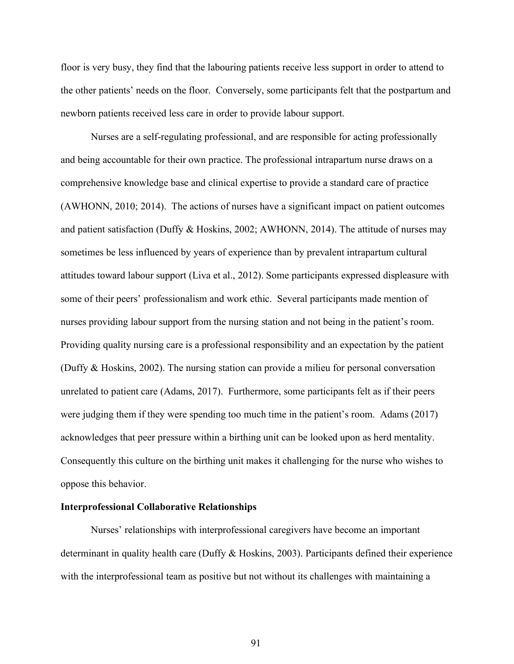floor is very busy, they find that the labouring patients receive less support in order to attend to the other patients' needs on the floor. Conversely, some participants felt that the postpartum and newborn patients received less care in order to provide labour support.

Nurses are a self-regulating professional, and are responsible for acting professionally and being accountable for their own practice. The professional intrapartum nurse draws on a comprehensive knowledge base and clinical expertise to provide a standard care of practice (AWHONN, 2010; 2014). The actions of nurses have a significant impact on patient outcomes and patient satisfaction (Duffy & Hoskins, 2002; AWHONN, 2014). The attitude of nurses may sometimes be less influenced by years of experience than by prevalent intrapartum cultural attitudes toward labour support (Liva et al., 2012). Some participants expressed displeasure with some of their peers' professionalism and work ethic. Several participants made mention of nurses providing labour support from the nursing station and not being in the patient's room. Providing quality nursing care is a professional responsibility and an expectation by the patient (Duffy & Hoskins, 2002). The nursing station can provide a milieu for personal conversation unrelated to patient care (Adams, 2017). Furthermore, some participants felt as if their peers were judging them if they were spending too much time in the patient's room. Adams (2017) acknowledges that peer pressure within a birthing unit can be looked upon as herd mentality. Consequently this culture on the birthing unit makes it challenging for the nurse who wishes to oppose this behavior.

## **Interprofessional Collaborative Relationships**

Nurses' relationships with interprofessional caregivers have become an important determinant in quality health care (Duffy & Hoskins, 2003). Participants defined their experience with the interprofessional team as positive but not without its challenges with maintaining a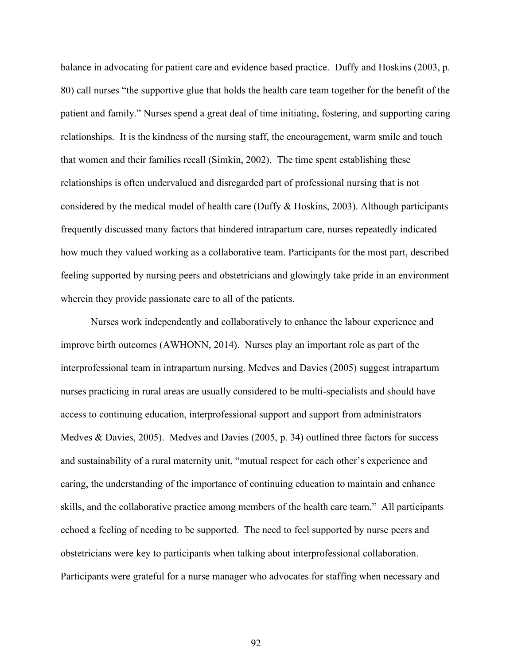balance in advocating for patient care and evidence based practice. Duffy and Hoskins (2003, p. 80) call nurses "the supportive glue that holds the health care team together for the benefit of the patient and family." Nurses spend a great deal of time initiating, fostering, and supporting caring relationships. It is the kindness of the nursing staff, the encouragement, warm smile and touch that women and their families recall (Simkin, 2002). The time spent establishing these relationships is often undervalued and disregarded part of professional nursing that is not considered by the medical model of health care (Duffy & Hoskins, 2003). Although participants frequently discussed many factors that hindered intrapartum care, nurses repeatedly indicated how much they valued working as a collaborative team. Participants for the most part, described feeling supported by nursing peers and obstetricians and glowingly take pride in an environment wherein they provide passionate care to all of the patients.

Nurses work independently and collaboratively to enhance the labour experience and improve birth outcomes (AWHONN, 2014). Nurses play an important role as part of the interprofessional team in intrapartum nursing. Medves and Davies (2005) suggest intrapartum nurses practicing in rural areas are usually considered to be multi-specialists and should have access to continuing education, interprofessional support and support from administrators Medves & Davies, 2005). Medves and Davies (2005, p. 34) outlined three factors for success and sustainability of a rural maternity unit, "mutual respect for each other's experience and caring, the understanding of the importance of continuing education to maintain and enhance skills, and the collaborative practice among members of the health care team." All participants echoed a feeling of needing to be supported. The need to feel supported by nurse peers and obstetricians were key to participants when talking about interprofessional collaboration. Participants were grateful for a nurse manager who advocates for staffing when necessary and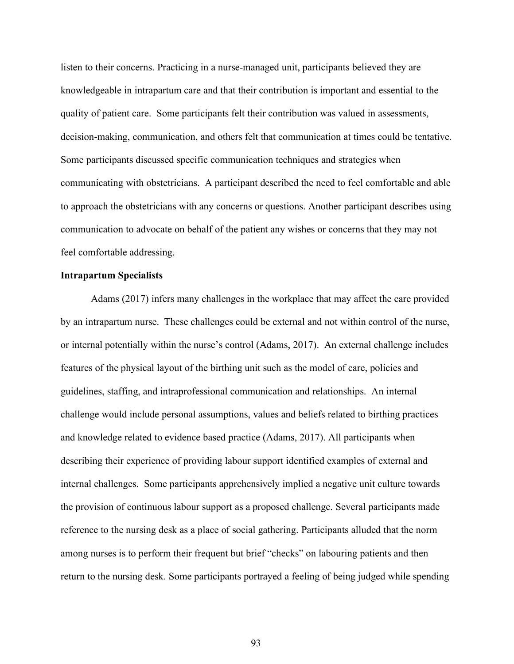listen to their concerns. Practicing in a nurse-managed unit, participants believed they are knowledgeable in intrapartum care and that their contribution is important and essential to the quality of patient care. Some participants felt their contribution was valued in assessments, decision-making, communication, and others felt that communication at times could be tentative. Some participants discussed specific communication techniques and strategies when communicating with obstetricians. A participant described the need to feel comfortable and able to approach the obstetricians with any concerns or questions. Another participant describes using communication to advocate on behalf of the patient any wishes or concerns that they may not feel comfortable addressing.

## **Intrapartum Specialists**

Adams (2017) infers many challenges in the workplace that may affect the care provided by an intrapartum nurse. These challenges could be external and not within control of the nurse, or internal potentially within the nurse's control (Adams, 2017). An external challenge includes features of the physical layout of the birthing unit such as the model of care, policies and guidelines, staffing, and intraprofessional communication and relationships. An internal challenge would include personal assumptions, values and beliefs related to birthing practices and knowledge related to evidence based practice (Adams, 2017). All participants when describing their experience of providing labour support identified examples of external and internal challenges. Some participants apprehensively implied a negative unit culture towards the provision of continuous labour support as a proposed challenge. Several participants made reference to the nursing desk as a place of social gathering. Participants alluded that the norm among nurses is to perform their frequent but brief "checks" on labouring patients and then return to the nursing desk. Some participants portrayed a feeling of being judged while spending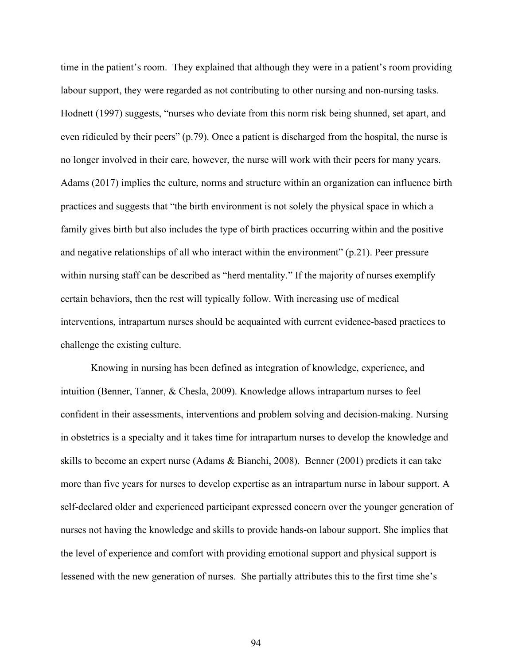time in the patient's room. They explained that although they were in a patient's room providing labour support, they were regarded as not contributing to other nursing and non-nursing tasks. Hodnett (1997) suggests, "nurses who deviate from this norm risk being shunned, set apart, and even ridiculed by their peers" (p.79). Once a patient is discharged from the hospital, the nurse is no longer involved in their care, however, the nurse will work with their peers for many years. Adams (2017) implies the culture, norms and structure within an organization can influence birth practices and suggests that "the birth environment is not solely the physical space in which a family gives birth but also includes the type of birth practices occurring within and the positive and negative relationships of all who interact within the environment" (p.21). Peer pressure within nursing staff can be described as "herd mentality." If the majority of nurses exemplify certain behaviors, then the rest will typically follow. With increasing use of medical interventions, intrapartum nurses should be acquainted with current evidence-based practices to challenge the existing culture.

Knowing in nursing has been defined as integration of knowledge, experience, and intuition (Benner, Tanner, & Chesla, 2009). Knowledge allows intrapartum nurses to feel confident in their assessments, interventions and problem solving and decision-making. Nursing in obstetrics is a specialty and it takes time for intrapartum nurses to develop the knowledge and skills to become an expert nurse (Adams & Bianchi, 2008). Benner (2001) predicts it can take more than five years for nurses to develop expertise as an intrapartum nurse in labour support. A self-declared older and experienced participant expressed concern over the younger generation of nurses not having the knowledge and skills to provide hands-on labour support. She implies that the level of experience and comfort with providing emotional support and physical support is lessened with the new generation of nurses. She partially attributes this to the first time she's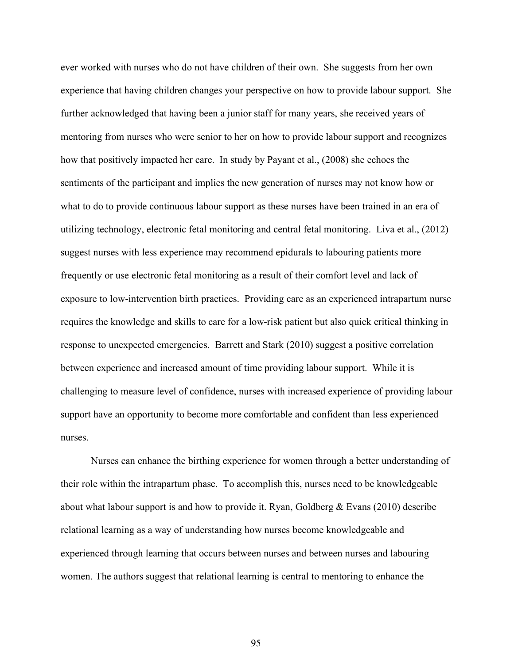ever worked with nurses who do not have children of their own. She suggests from her own experience that having children changes your perspective on how to provide labour support. She further acknowledged that having been a junior staff for many years, she received years of mentoring from nurses who were senior to her on how to provide labour support and recognizes how that positively impacted her care. In study by Payant et al., (2008) she echoes the sentiments of the participant and implies the new generation of nurses may not know how or what to do to provide continuous labour support as these nurses have been trained in an era of utilizing technology, electronic fetal monitoring and central fetal monitoring. Liva et al., (2012) suggest nurses with less experience may recommend epidurals to labouring patients more frequently or use electronic fetal monitoring as a result of their comfort level and lack of exposure to low-intervention birth practices. Providing care as an experienced intrapartum nurse requires the knowledge and skills to care for a low-risk patient but also quick critical thinking in response to unexpected emergencies. Barrett and Stark (2010) suggest a positive correlation between experience and increased amount of time providing labour support. While it is challenging to measure level of confidence, nurses with increased experience of providing labour support have an opportunity to become more comfortable and confident than less experienced nurses.

Nurses can enhance the birthing experience for women through a better understanding of their role within the intrapartum phase. To accomplish this, nurses need to be knowledgeable about what labour support is and how to provide it. Ryan, Goldberg & Evans (2010) describe relational learning as a way of understanding how nurses become knowledgeable and experienced through learning that occurs between nurses and between nurses and labouring women. The authors suggest that relational learning is central to mentoring to enhance the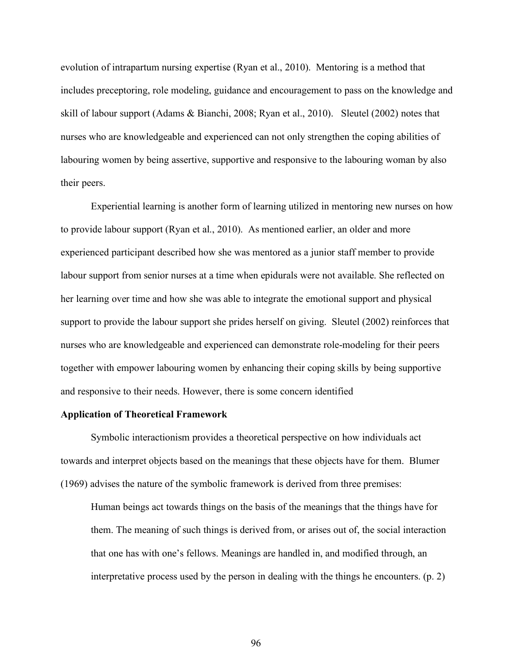evolution of intrapartum nursing expertise (Ryan et al., 2010). Mentoring is a method that includes preceptoring, role modeling, guidance and encouragement to pass on the knowledge and skill of labour support (Adams & Bianchi, 2008; Ryan et al., 2010). Sleutel (2002) notes that nurses who are knowledgeable and experienced can not only strengthen the coping abilities of labouring women by being assertive, supportive and responsive to the labouring woman by also their peers.

Experiential learning is another form of learning utilized in mentoring new nurses on how to provide labour support (Ryan et al., 2010). As mentioned earlier, an older and more experienced participant described how she was mentored as a junior staff member to provide labour support from senior nurses at a time when epidurals were not available. She reflected on her learning over time and how she was able to integrate the emotional support and physical support to provide the labour support she prides herself on giving. Sleutel (2002) reinforces that nurses who are knowledgeable and experienced can demonstrate role-modeling for their peers together with empower labouring women by enhancing their coping skills by being supportive and responsive to their needs. However, there is some concern identified

## **Application of Theoretical Framework**

Symbolic interactionism provides a theoretical perspective on how individuals act towards and interpret objects based on the meanings that these objects have for them. Blumer (1969) advises the nature of the symbolic framework is derived from three premises:

Human beings act towards things on the basis of the meanings that the things have for them. The meaning of such things is derived from, or arises out of, the social interaction that one has with one's fellows. Meanings are handled in, and modified through, an interpretative process used by the person in dealing with the things he encounters. (p. 2)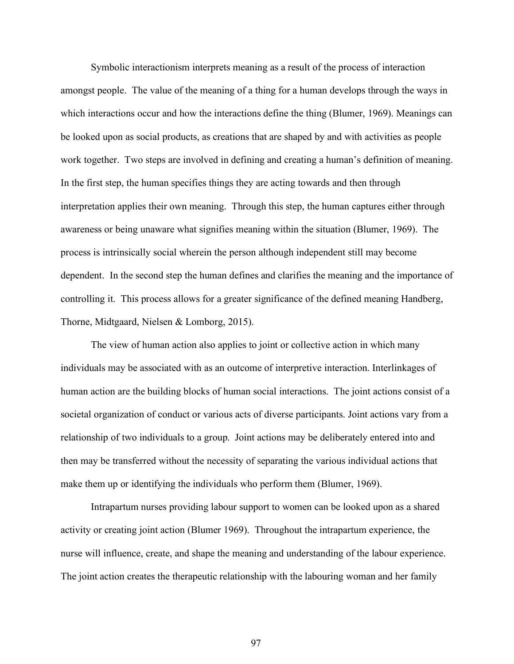Symbolic interactionism interprets meaning as a result of the process of interaction amongst people. The value of the meaning of a thing for a human develops through the ways in which interactions occur and how the interactions define the thing (Blumer, 1969). Meanings can be looked upon as social products, as creations that are shaped by and with activities as people work together. Two steps are involved in defining and creating a human's definition of meaning. In the first step, the human specifies things they are acting towards and then through interpretation applies their own meaning. Through this step, the human captures either through awareness or being unaware what signifies meaning within the situation (Blumer, 1969). The process is intrinsically social wherein the person although independent still may become dependent. In the second step the human defines and clarifies the meaning and the importance of controlling it. This process allows for a greater significance of the defined meaning Handberg, Thorne, Midtgaard, Nielsen & Lomborg, 2015).

The view of human action also applies to joint or collective action in which many individuals may be associated with as an outcome of interpretive interaction. Interlinkages of human action are the building blocks of human social interactions. The joint actions consist of a societal organization of conduct or various acts of diverse participants. Joint actions vary from a relationship of two individuals to a group. Joint actions may be deliberately entered into and then may be transferred without the necessity of separating the various individual actions that make them up or identifying the individuals who perform them (Blumer, 1969).

Intrapartum nurses providing labour support to women can be looked upon as a shared activity or creating joint action (Blumer 1969). Throughout the intrapartum experience, the nurse will influence, create, and shape the meaning and understanding of the labour experience. The joint action creates the therapeutic relationship with the labouring woman and her family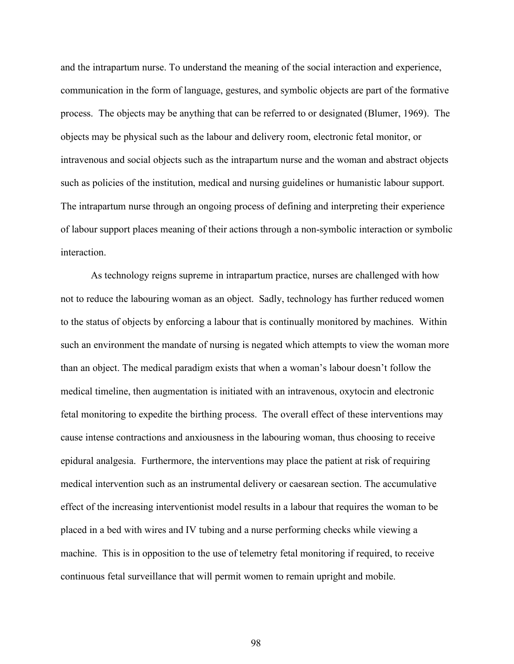and the intrapartum nurse. To understand the meaning of the social interaction and experience, communication in the form of language, gestures, and symbolic objects are part of the formative process. The objects may be anything that can be referred to or designated (Blumer, 1969). The objects may be physical such as the labour and delivery room, electronic fetal monitor, or intravenous and social objects such as the intrapartum nurse and the woman and abstract objects such as policies of the institution, medical and nursing guidelines or humanistic labour support. The intrapartum nurse through an ongoing process of defining and interpreting their experience of labour support places meaning of their actions through a non-symbolic interaction or symbolic interaction.

As technology reigns supreme in intrapartum practice, nurses are challenged with how not to reduce the labouring woman as an object. Sadly, technology has further reduced women to the status of objects by enforcing a labour that is continually monitored by machines. Within such an environment the mandate of nursing is negated which attempts to view the woman more than an object. The medical paradigm exists that when a woman's labour doesn't follow the medical timeline, then augmentation is initiated with an intravenous, oxytocin and electronic fetal monitoring to expedite the birthing process. The overall effect of these interventions may cause intense contractions and anxiousness in the labouring woman, thus choosing to receive epidural analgesia. Furthermore, the interventions may place the patient at risk of requiring medical intervention such as an instrumental delivery or caesarean section. The accumulative effect of the increasing interventionist model results in a labour that requires the woman to be placed in a bed with wires and IV tubing and a nurse performing checks while viewing a machine. This is in opposition to the use of telemetry fetal monitoring if required, to receive continuous fetal surveillance that will permit women to remain upright and mobile.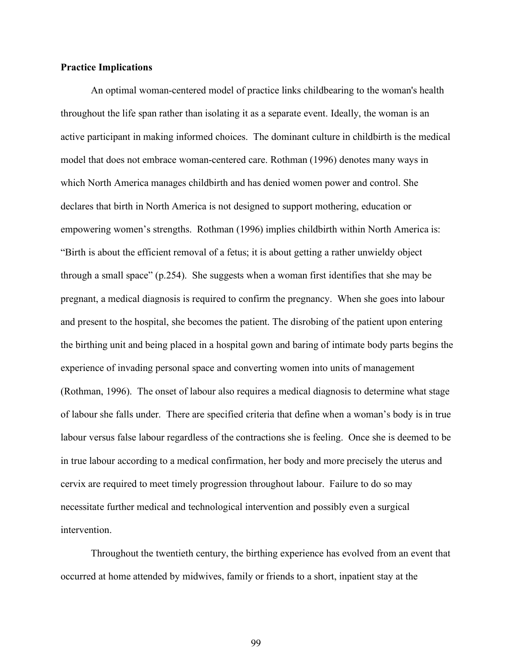## **Practice Implications**

An optimal woman-centered model of practice links childbearing to the woman's health throughout the life span rather than isolating it as a separate event. Ideally, the woman is an active participant in making informed choices. The dominant culture in childbirth is the medical model that does not embrace woman-centered care. Rothman (1996) denotes many ways in which North America manages childbirth and has denied women power and control. She declares that birth in North America is not designed to support mothering, education or empowering women's strengths. Rothman (1996) implies childbirth within North America is: "Birth is about the efficient removal of a fetus; it is about getting a rather unwieldy object through a small space" (p.254). She suggests when a woman first identifies that she may be pregnant, a medical diagnosis is required to confirm the pregnancy. When she goes into labour and present to the hospital, she becomes the patient. The disrobing of the patient upon entering the birthing unit and being placed in a hospital gown and baring of intimate body parts begins the experience of invading personal space and converting women into units of management (Rothman, 1996). The onset of labour also requires a medical diagnosis to determine what stage of labour she falls under. There are specified criteria that define when a woman's body is in true labour versus false labour regardless of the contractions she is feeling. Once she is deemed to be in true labour according to a medical confirmation, her body and more precisely the uterus and cervix are required to meet timely progression throughout labour. Failure to do so may necessitate further medical and technological intervention and possibly even a surgical intervention.

Throughout the twentieth century, the birthing experience has evolved from an event that occurred at home attended by midwives, family or friends to a short, inpatient stay at the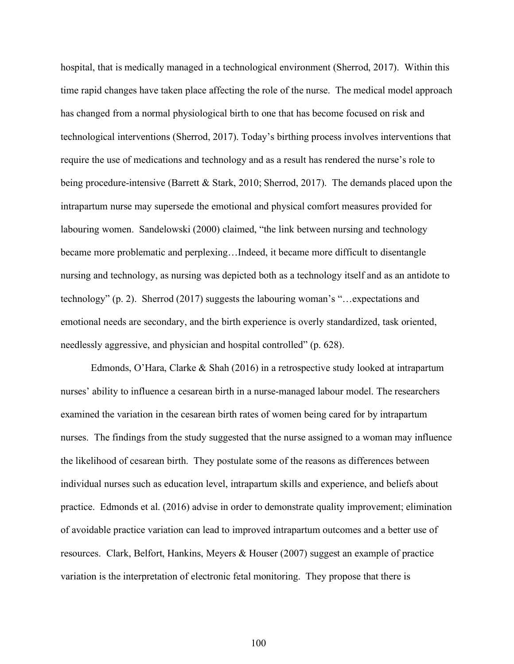hospital, that is medically managed in a technological environment (Sherrod, 2017). Within this time rapid changes have taken place affecting the role of the nurse. The medical model approach has changed from a normal physiological birth to one that has become focused on risk and technological interventions (Sherrod, 2017). Today's birthing process involves interventions that require the use of medications and technology and as a result has rendered the nurse's role to being procedure-intensive (Barrett & Stark, 2010; Sherrod, 2017). The demands placed upon the intrapartum nurse may supersede the emotional and physical comfort measures provided for labouring women. Sandelowski (2000) claimed, "the link between nursing and technology became more problematic and perplexing…Indeed, it became more difficult to disentangle nursing and technology, as nursing was depicted both as a technology itself and as an antidote to technology" (p. 2). Sherrod (2017) suggests the labouring woman's "…expectations and emotional needs are secondary, and the birth experience is overly standardized, task oriented, needlessly aggressive, and physician and hospital controlled" (p. 628).

Edmonds, O'Hara, Clarke & Shah (2016) in a retrospective study looked at intrapartum nurses' ability to influence a cesarean birth in a nurse-managed labour model. The researchers examined the variation in the cesarean birth rates of women being cared for by intrapartum nurses. The findings from the study suggested that the nurse assigned to a woman may influence the likelihood of cesarean birth. They postulate some of the reasons as differences between individual nurses such as education level, intrapartum skills and experience, and beliefs about practice. Edmonds et al. (2016) advise in order to demonstrate quality improvement; elimination of avoidable practice variation can lead to improved intrapartum outcomes and a better use of resources. Clark, Belfort, Hankins, Meyers & Houser (2007) suggest an example of practice variation is the interpretation of electronic fetal monitoring. They propose that there is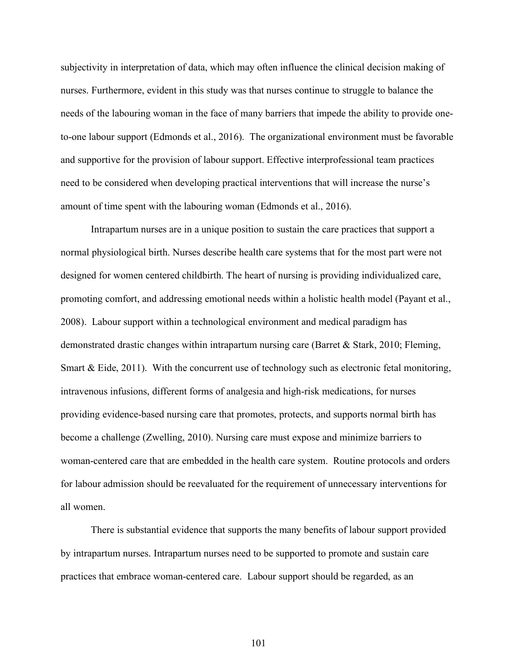subjectivity in interpretation of data, which may often influence the clinical decision making of nurses. Furthermore, evident in this study was that nurses continue to struggle to balance the needs of the labouring woman in the face of many barriers that impede the ability to provide oneto-one labour support (Edmonds et al., 2016). The organizational environment must be favorable and supportive for the provision of labour support. Effective interprofessional team practices need to be considered when developing practical interventions that will increase the nurse's amount of time spent with the labouring woman (Edmonds et al., 2016).

Intrapartum nurses are in a unique position to sustain the care practices that support a normal physiological birth. Nurses describe health care systems that for the most part were not designed for women centered childbirth. The heart of nursing is providing individualized care, promoting comfort, and addressing emotional needs within a holistic health model (Payant et al., 2008). Labour support within a technological environment and medical paradigm has demonstrated drastic changes within intrapartum nursing care (Barret & Stark, 2010; Fleming, Smart & Eide, 2011). With the concurrent use of technology such as electronic fetal monitoring, intravenous infusions, different forms of analgesia and high-risk medications, for nurses providing evidence-based nursing care that promotes, protects, and supports normal birth has become a challenge (Zwelling, 2010). Nursing care must expose and minimize barriers to woman-centered care that are embedded in the health care system. Routine protocols and orders for labour admission should be reevaluated for the requirement of unnecessary interventions for all women.

There is substantial evidence that supports the many benefits of labour support provided by intrapartum nurses. Intrapartum nurses need to be supported to promote and sustain care practices that embrace woman-centered care. Labour support should be regarded, as an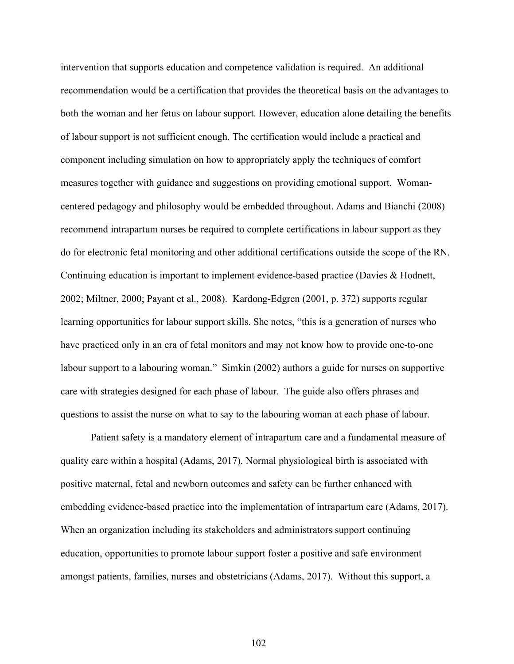intervention that supports education and competence validation is required. An additional recommendation would be a certification that provides the theoretical basis on the advantages to both the woman and her fetus on labour support. However, education alone detailing the benefits of labour support is not sufficient enough. The certification would include a practical and component including simulation on how to appropriately apply the techniques of comfort measures together with guidance and suggestions on providing emotional support. Womancentered pedagogy and philosophy would be embedded throughout. Adams and Bianchi (2008) recommend intrapartum nurses be required to complete certifications in labour support as they do for electronic fetal monitoring and other additional certifications outside the scope of the RN. Continuing education is important to implement evidence-based practice (Davies & Hodnett, 2002; Miltner, 2000; Payant et al., 2008). Kardong-Edgren (2001, p. 372) supports regular learning opportunities for labour support skills. She notes, "this is a generation of nurses who have practiced only in an era of fetal monitors and may not know how to provide one-to-one labour support to a labouring woman." Simkin (2002) authors a guide for nurses on supportive care with strategies designed for each phase of labour. The guide also offers phrases and questions to assist the nurse on what to say to the labouring woman at each phase of labour.

Patient safety is a mandatory element of intrapartum care and a fundamental measure of quality care within a hospital (Adams, 2017). Normal physiological birth is associated with positive maternal, fetal and newborn outcomes and safety can be further enhanced with embedding evidence-based practice into the implementation of intrapartum care (Adams, 2017). When an organization including its stakeholders and administrators support continuing education, opportunities to promote labour support foster a positive and safe environment amongst patients, families, nurses and obstetricians (Adams, 2017). Without this support, a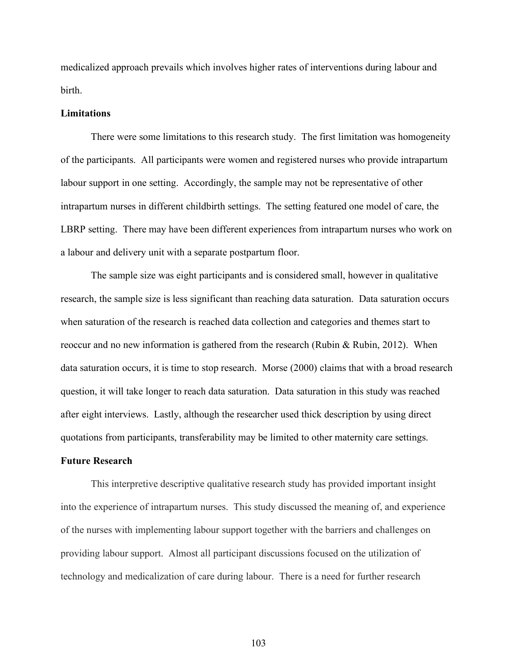medicalized approach prevails which involves higher rates of interventions during labour and birth.

#### **Limitations**

There were some limitations to this research study. The first limitation was homogeneity of the participants. All participants were women and registered nurses who provide intrapartum labour support in one setting. Accordingly, the sample may not be representative of other intrapartum nurses in different childbirth settings. The setting featured one model of care, the LBRP setting. There may have been different experiences from intrapartum nurses who work on a labour and delivery unit with a separate postpartum floor.

The sample size was eight participants and is considered small, however in qualitative research, the sample size is less significant than reaching data saturation. Data saturation occurs when saturation of the research is reached data collection and categories and themes start to reoccur and no new information is gathered from the research (Rubin & Rubin, 2012). When data saturation occurs, it is time to stop research. Morse (2000) claims that with a broad research question, it will take longer to reach data saturation. Data saturation in this study was reached after eight interviews. Lastly, although the researcher used thick description by using direct quotations from participants, transferability may be limited to other maternity care settings.

## **Future Research**

This interpretive descriptive qualitative research study has provided important insight into the experience of intrapartum nurses. This study discussed the meaning of, and experience of the nurses with implementing labour support together with the barriers and challenges on providing labour support. Almost all participant discussions focused on the utilization of technology and medicalization of care during labour. There is a need for further research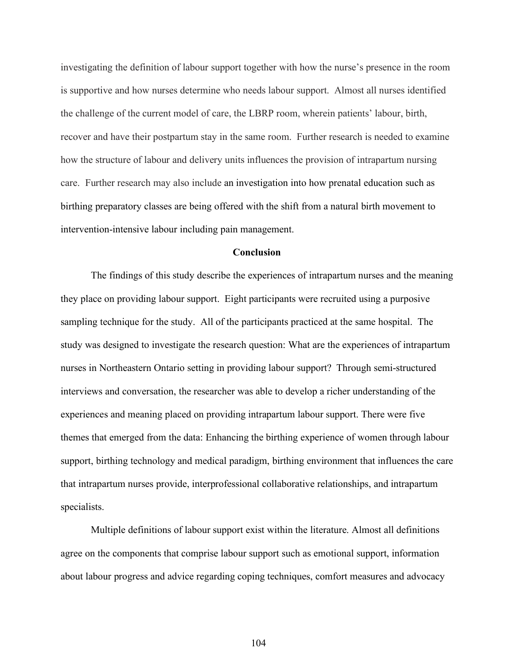investigating the definition of labour support together with how the nurse's presence in the room is supportive and how nurses determine who needs labour support. Almost all nurses identified the challenge of the current model of care, the LBRP room, wherein patients' labour, birth, recover and have their postpartum stay in the same room. Further research is needed to examine how the structure of labour and delivery units influences the provision of intrapartum nursing care. Further research may also include an investigation into how prenatal education such as birthing preparatory classes are being offered with the shift from a natural birth movement to intervention-intensive labour including pain management.

#### **Conclusion**

The findings of this study describe the experiences of intrapartum nurses and the meaning they place on providing labour support. Eight participants were recruited using a purposive sampling technique for the study. All of the participants practiced at the same hospital. The study was designed to investigate the research question: What are the experiences of intrapartum nurses in Northeastern Ontario setting in providing labour support? Through semi-structured interviews and conversation, the researcher was able to develop a richer understanding of the experiences and meaning placed on providing intrapartum labour support. There were five themes that emerged from the data: Enhancing the birthing experience of women through labour support, birthing technology and medical paradigm, birthing environment that influences the care that intrapartum nurses provide, interprofessional collaborative relationships, and intrapartum specialists.

Multiple definitions of labour support exist within the literature. Almost all definitions agree on the components that comprise labour support such as emotional support, information about labour progress and advice regarding coping techniques, comfort measures and advocacy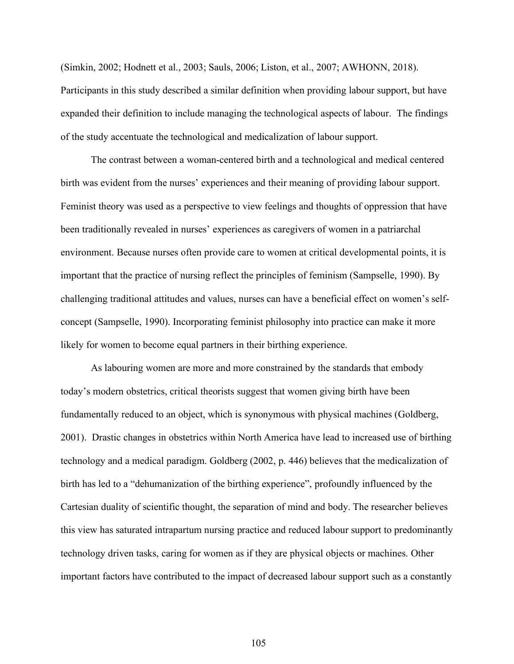(Simkin, 2002; Hodnett et al., 2003; Sauls, 2006; Liston, et al., 2007; AWHONN, 2018).

Participants in this study described a similar definition when providing labour support, but have expanded their definition to include managing the technological aspects of labour. The findings of the study accentuate the technological and medicalization of labour support.

The contrast between a woman-centered birth and a technological and medical centered birth was evident from the nurses' experiences and their meaning of providing labour support. Feminist theory was used as a perspective to view feelings and thoughts of oppression that have been traditionally revealed in nurses' experiences as caregivers of women in a patriarchal environment. Because nurses often provide care to women at critical developmental points, it is important that the practice of nursing reflect the principles of feminism (Sampselle, 1990). By challenging traditional attitudes and values, nurses can have a beneficial effect on women's selfconcept (Sampselle, 1990). Incorporating feminist philosophy into practice can make it more likely for women to become equal partners in their birthing experience.

As labouring women are more and more constrained by the standards that embody today's modern obstetrics, critical theorists suggest that women giving birth have been fundamentally reduced to an object, which is synonymous with physical machines (Goldberg, 2001). Drastic changes in obstetrics within North America have lead to increased use of birthing technology and a medical paradigm. Goldberg (2002, p. 446) believes that the medicalization of birth has led to a "dehumanization of the birthing experience", profoundly influenced by the Cartesian duality of scientific thought, the separation of mind and body. The researcher believes this view has saturated intrapartum nursing practice and reduced labour support to predominantly technology driven tasks, caring for women as if they are physical objects or machines. Other important factors have contributed to the impact of decreased labour support such as a constantly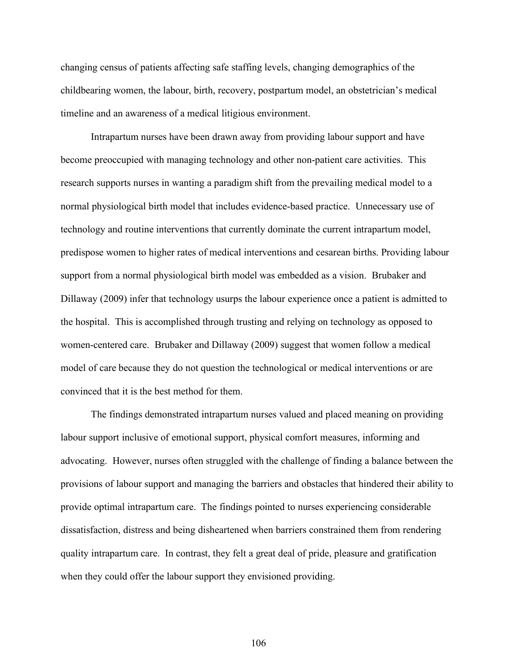changing census of patients affecting safe staffing levels, changing demographics of the childbearing women, the labour, birth, recovery, postpartum model, an obstetrician's medical timeline and an awareness of a medical litigious environment.

Intrapartum nurses have been drawn away from providing labour support and have become preoccupied with managing technology and other non-patient care activities. This research supports nurses in wanting a paradigm shift from the prevailing medical model to a normal physiological birth model that includes evidence-based practice. Unnecessary use of technology and routine interventions that currently dominate the current intrapartum model, predispose women to higher rates of medical interventions and cesarean births. Providing labour support from a normal physiological birth model was embedded as a vision. Brubaker and Dillaway (2009) infer that technology usurps the labour experience once a patient is admitted to the hospital. This is accomplished through trusting and relying on technology as opposed to women-centered care. Brubaker and Dillaway (2009) suggest that women follow a medical model of care because they do not question the technological or medical interventions or are convinced that it is the best method for them.

The findings demonstrated intrapartum nurses valued and placed meaning on providing labour support inclusive of emotional support, physical comfort measures, informing and advocating. However, nurses often struggled with the challenge of finding a balance between the provisions of labour support and managing the barriers and obstacles that hindered their ability to provide optimal intrapartum care. The findings pointed to nurses experiencing considerable dissatisfaction, distress and being disheartened when barriers constrained them from rendering quality intrapartum care. In contrast, they felt a great deal of pride, pleasure and gratification when they could offer the labour support they envisioned providing.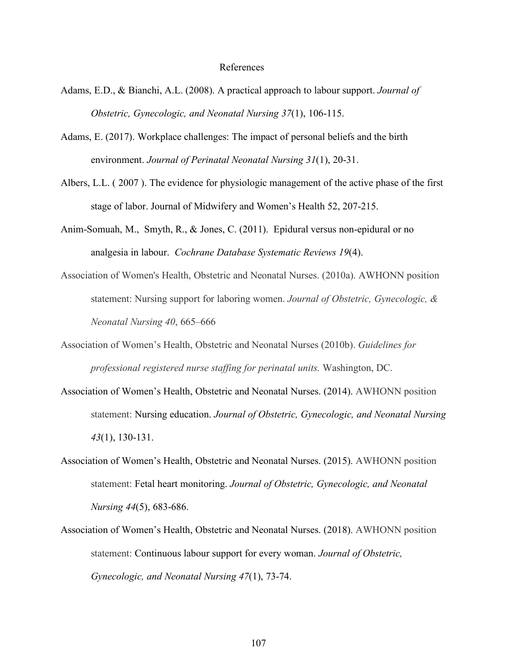#### References

- Adams, E.D., & Bianchi, A.L. (2008). A practical approach to labour support. *Journal of Obstetric, Gynecologic, and Neonatal Nursing 37*(1), 106-115.
- Adams, E. (2017). Workplace challenges: The impact of personal beliefs and the birth environment. *Journal of Perinatal Neonatal Nursing 31*(1), 20-31.
- Albers, L.L. ( 2007 ). The evidence for physiologic management of the active phase of the first stage of labor. Journal of Midwifery and Women's Health 52, 207-215.
- Anim-Somuah, M., Smyth, R., & Jones, C. (2011). Epidural versus non-epidural or no analgesia in labour. *Cochrane Database Systematic Reviews 19*(4).
- Association of Women's Health, Obstetric and Neonatal Nurses. (2010a). AWHONN position statement: Nursing support for laboring women. *Journal of Obstetric, Gynecologic, & Neonatal Nursing 40*, 665–666
- Association of Women's Health, Obstetric and Neonatal Nurses (2010b). *Guidelines for professional registered nurse staffing for perinatal units.* Washington, DC.
- Association of Women's Health, Obstetric and Neonatal Nurses. (2014). AWHONN position statement: Nursing education. *Journal of Obstetric, Gynecologic, and Neonatal Nursing 43*(1), 130-131.
- Association of Women's Health, Obstetric and Neonatal Nurses. (2015). AWHONN position statement: Fetal heart monitoring. *Journal of Obstetric, Gynecologic, and Neonatal Nursing 44*(5), 683-686.
- Association of Women's Health, Obstetric and Neonatal Nurses. (2018). AWHONN position statement: Continuous labour support for every woman. *Journal of Obstetric, Gynecologic, and Neonatal Nursing 47*(1), 73-74.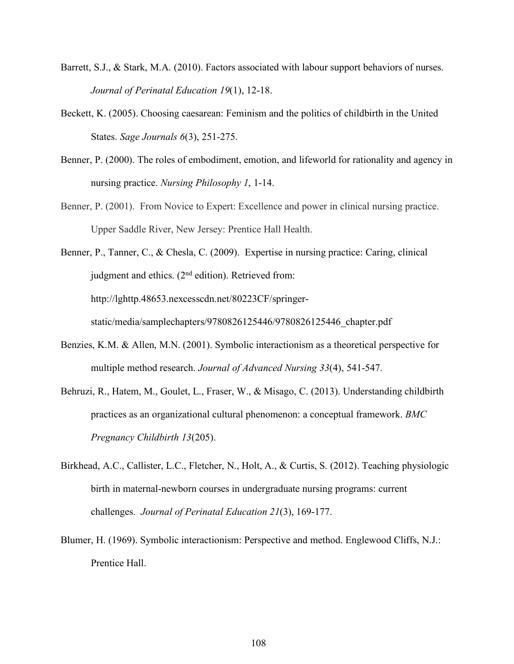- Barrett, S.J., & Stark, M.A. (2010). Factors associated with labour support behaviors of nurses. *Journal of Perinatal Education 19*(1), 12-18.
- Beckett, K. (2005). Choosing caesarean: Feminism and the politics of childbirth in the United States. *Sage Journals 6*(3), 251-275.
- Benner, P. (2000). The roles of embodiment, emotion, and lifeworld for rationality and agency in nursing practice. *Nursing Philosophy 1*, 1-14.
- Benner, P. (2001). From Novice to Expert: Excellence and power in clinical nursing practice. Upper Saddle River, New Jersey: Prentice Hall Health.
- Benner, P., Tanner, C., & Chesla, C. (2009). Expertise in nursing practice: Caring, clinical judgment and ethics. (2<sup>nd</sup> edition). Retrieved from: http://lghttp.48653.nexcesscdn.net/80223CF/springerstatic/media/samplechapters/9780826125446/9780826125446\_chapter.pdf
- Benzies, K.M. & Allen, M.N. (2001). Symbolic interactionism as a theoretical perspective for multiple method research. *Journal of Advanced Nursing 33*(4), 541-547.
- Behruzi, R., Hatem, M., Goulet, L., Fraser, W., & Misago, C. (2013). Understanding childbirth practices as an organizational cultural phenomenon: a conceptual framework. *BMC Pregnancy Childbirth 13*(205).
- Birkhead, A.C., Callister, L.C., Fletcher, N., Holt, A., & Curtis, S. (2012). Teaching physiologic birth in maternal-newborn courses in undergraduate nursing programs: current challenges. *Journal of Perinatal Education 21*(3), 169-177.
- Blumer, H. (1969). Symbolic interactionism: Perspective and method. Englewood Cliffs, N.J.: Prentice Hall.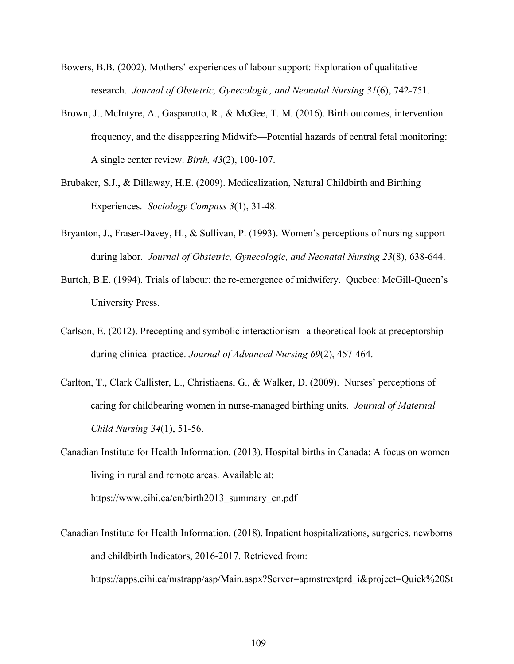- Bowers, B.B. (2002). Mothers' experiences of labour support: Exploration of qualitative research. *Journal of Obstetric, Gynecologic, and Neonatal Nursing 31*(6), 742-751.
- Brown, J., McIntyre, A., Gasparotto, R., & McGee, T. M. (2016). Birth outcomes, intervention frequency, and the disappearing Midwife—Potential hazards of central fetal monitoring: A single center review. *Birth, 43*(2), 100-107.
- Brubaker, S.J., & Dillaway, H.E. (2009). Medicalization, Natural Childbirth and Birthing Experiences. *Sociology Compass 3*(1), 31-48.
- Bryanton, J., Fraser-Davey, H., & Sullivan, P. (1993). Women's perceptions of nursing support during labor. *Journal of Obstetric, Gynecologic, and Neonatal Nursing 23*(8), 638-644.
- Burtch, B.E. (1994). Trials of labour: the re-emergence of midwifery. Quebec: McGill-Queen's University Press.
- Carlson, E. (2012). Precepting and symbolic interactionism--a theoretical look at preceptorship during clinical practice. *Journal of Advanced Nursing 69*(2), 457-464.
- Carlton, T., Clark Callister, L., Christiaens, G., & Walker, D. (2009). Nurses' perceptions of caring for childbearing women in nurse-managed birthing units. *Journal of Maternal Child Nursing 34*(1), 51-56.
- Canadian Institute for Health Information. (2013). Hospital births in Canada: A focus on women living in rural and remote areas. Available at:

https://www.cihi.ca/en/birth2013\_summary\_en.pdf

Canadian Institute for Health Information. (2018). Inpatient hospitalizations, surgeries, newborns and childbirth Indicators, 2016-2017. Retrieved from:

https://apps.cihi.ca/mstrapp/asp/Main.aspx?Server=apmstrextprd\_i&project=Quick%20St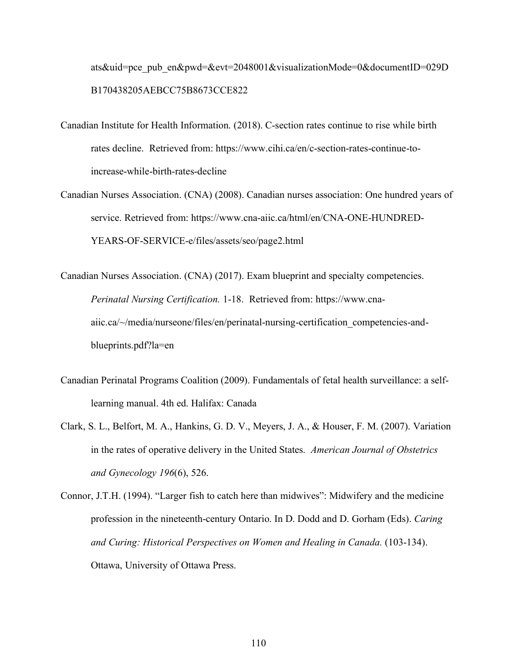ats&uid=pce\_pub\_en&pwd=&evt=2048001&visualizationMode=0&documentID=029D B170438205AEBCC75B8673CCE822

- Canadian Institute for Health Information. (2018). C-section rates continue to rise while birth rates decline. Retrieved from: https://www.cihi.ca/en/c-section-rates-continue-toincrease-while-birth-rates-decline
- Canadian Nurses Association. (CNA) (2008). Canadian nurses association: One hundred years of service. Retrieved from: https://www.cna-aiic.ca/html/en/CNA-ONE-HUNDRED-YEARS-OF-SERVICE-e/files/assets/seo/page2.html
- Canadian Nurses Association. (CNA) (2017). Exam blueprint and specialty competencies. *Perinatal Nursing Certification.* 1-18. Retrieved from: https://www.cnaaiic.ca/~/media/nurseone/files/en/perinatal-nursing-certification\_competencies-andblueprints.pdf?la=en
- Canadian Perinatal Programs Coalition (2009). Fundamentals of fetal health surveillance: a selflearning manual. 4th ed. Halifax: Canada
- Clark, S. L., Belfort, M. A., Hankins, G. D. V., Meyers, J. A., & Houser, F. M. (2007). Variation in the rates of operative delivery in the United States. *American Journal of Obstetrics and Gynecology 196*(6), 526.
- Connor, J.T.H. (1994). "Larger fish to catch here than midwives": Midwifery and the medicine profession in the nineteenth-century Ontario. In D. Dodd and D. Gorham (Eds). *Caring and Curing: Historical Perspectives on Women and Healing in Canada.* (103-134). Ottawa, University of Ottawa Press.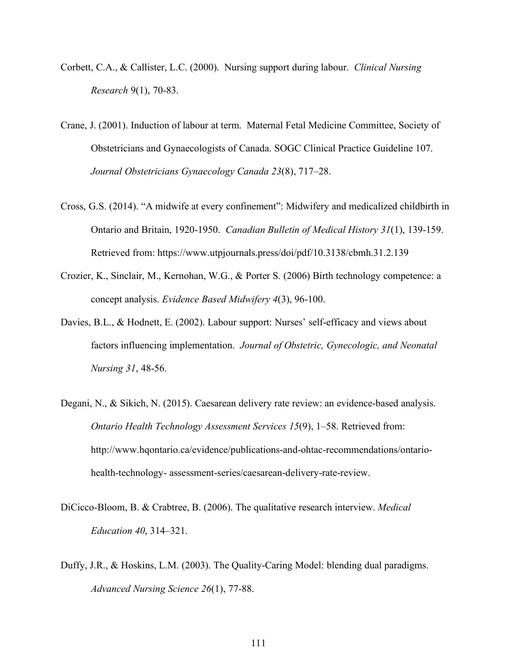- Corbett, C.A., & Callister, L.C. (2000). Nursing support during labour. *Clinical Nursing Research* 9(1), 70-83.
- Crane, J. (2001). Induction of labour at term. Maternal Fetal Medicine Committee, Society of Obstetricians and Gynaecologists of Canada. SOGC Clinical Practice Guideline 107. *Journal Obstetricians Gynaecology Canada 23*(8), 717–28.
- Cross, G.S. (2014). "A midwife at every confinement": Midwifery and medicalized childbirth in Ontario and Britain, 1920-1950. *Canadian Bulletin of Medical History 31*(1), 139-159. Retrieved from: https://www.utpjournals.press/doi/pdf/10.3138/cbmh.31.2.139
- Crozier, K., Sinclair, M., Kernohan, W.G., & Porter S. (2006) Birth technology competence: a concept analysis. *Evidence Based Midwifery 4*(3), 96-100.
- Davies, B.L., & Hodnett, E. (2002). Labour support: Nurses' self-efficacy and views about factors influencing implementation. *Journal of Obstetric, Gynecologic, and Neonatal Nursing 31*, 48-56.
- Degani, N., & Sikich, N. (2015). Caesarean delivery rate review: an evidence-based analysis. *Ontario Health Technology Assessment Services 15*(9), 1–58. Retrieved from: http://www.hqontario.ca/evidence/publications-and-ohtac-recommendations/ontariohealth-technology- assessment-series/caesarean-delivery-rate-review.
- DiCicco-Bloom, B. & Crabtree, B. (2006). The qualitative research interview. *Medical Education 40*, 314–321.
- Duffy, J.R., & Hoskins, L.M. (2003). The Quality-Caring Model: blending dual paradigms. *Advanced Nursing Science 26*(1), 77-88.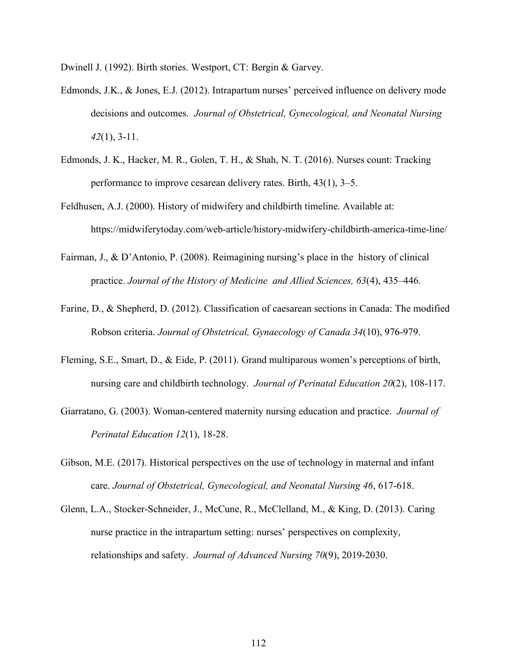Dwinell J. (1992). Birth stories. Westport, CT: Bergin & Garvey.

- Edmonds, J.K., & Jones, E.J. (2012). Intrapartum nurses' perceived influence on delivery mode decisions and outcomes. *Journal of Obstetrical, Gynecological, and Neonatal Nursing 42*(1), 3-11.
- Edmonds, J. K., Hacker, M. R., Golen, T. H., & Shah, N. T. (2016). Nurses count: Tracking performance to improve cesarean delivery rates. Birth, 43(1), 3–5.
- Feldhusen, A.J. (2000). History of midwifery and childbirth timeline. Available at: https://midwiferytoday.com/web-article/history-midwifery-childbirth-america-time-line/
- Fairman, J., & D'Antonio, P. (2008). Reimagining nursing's place in the history of clinical practice. *Journal of the History of Medicine and Allied Sciences, 63*(4), 435–446.
- Farine, D., & Shepherd, D. (2012). Classification of caesarean sections in Canada: The modified Robson criteria. *Journal of Obstetrical, Gynaecology of Canada 34*(10), 976-979.
- Fleming, S.E., Smart, D., & Eide, P. (2011). Grand multiparous women's perceptions of birth, nursing care and childbirth technology. *Journal of Perinatal Education 20*(2), 108-117.
- Giarratano, G. (2003). Woman-centered maternity nursing education and practice. *Journal of Perinatal Education 12*(1), 18-28.
- Gibson, M.E. (2017). Historical perspectives on the use of technology in maternal and infant care. *Journal of Obstetrical, Gynecological, and Neonatal Nursing 46*, 617-618.
- Glenn, L.A., Stocker-Schneider, J., McCune, R., McClelland, M., & King, D. (2013). Caring nurse practice in the intrapartum setting: nurses' perspectives on complexity, relationships and safety. *Journal of Advanced Nursing 70*(9), 2019-2030.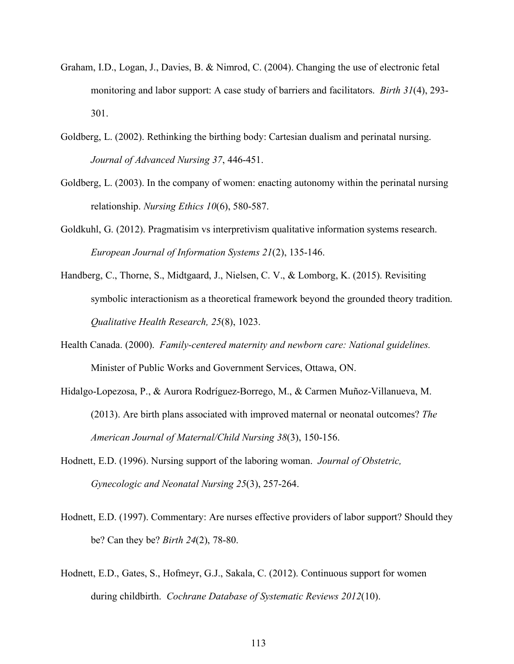- Graham, I.D., Logan, J., Davies, B. & Nimrod, C. (2004). Changing the use of electronic fetal monitoring and labor support: A case study of barriers and facilitators. *Birth 31*(4), 293- 301.
- Goldberg, L. (2002). Rethinking the birthing body: Cartesian dualism and perinatal nursing. *Journal of Advanced Nursing 37*, 446-451.
- Goldberg, L. (2003). In the company of women: enacting autonomy within the perinatal nursing relationship. *Nursing Ethics 10*(6), 580-587.
- Goldkuhl, G. (2012). Pragmatisim vs interpretivism qualitative information systems research. *European Journal of Information Systems 21*(2), 135-146.
- Handberg, C., Thorne, S., Midtgaard, J., Nielsen, C. V., & Lomborg, K. (2015). Revisiting symbolic interactionism as a theoretical framework beyond the grounded theory tradition. *Qualitative Health Research, 25*(8), 1023.
- Health Canada. (2000). *Family-centered maternity and newborn care: National guidelines.* Minister of Public Works and Government Services, Ottawa, ON.
- Hidalgo-Lopezosa, P., & Aurora Rodríguez-Borrego, M., & Carmen Muñoz-Villanueva, M. (2013). Are birth plans associated with improved maternal or neonatal outcomes? *The American Journal of Maternal/Child Nursing 38*(3), 150-156.
- Hodnett, E.D. (1996). Nursing support of the laboring woman. *Journal of Obstetric, Gynecologic and Neonatal Nursing 25*(3), 257-264.
- Hodnett, E.D. (1997). Commentary: Are nurses effective providers of labor support? Should they be? Can they be? *Birth 24*(2), 78-80.
- Hodnett, E.D., Gates, S., Hofmeyr, G.J., Sakala, C. (2012). Continuous support for women during childbirth. *Cochrane Database of Systematic Reviews 2012*(10).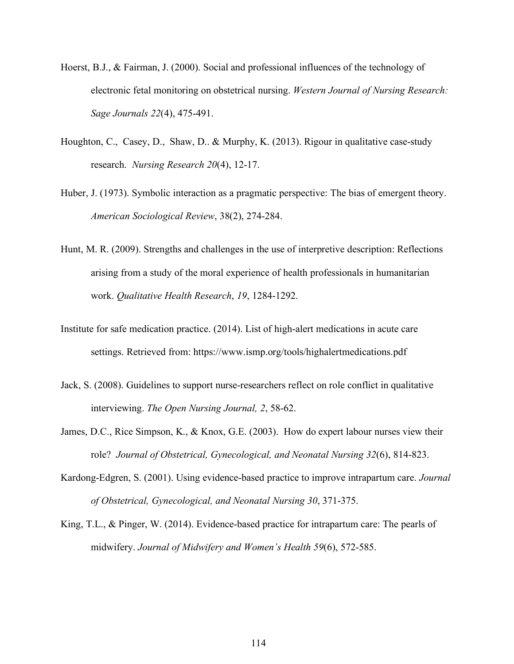- Hoerst, B.J., & Fairman, J. (2000). Social and professional influences of the technology of electronic fetal monitoring on obstetrical nursing. *Western Journal of Nursing Research: Sage Journals 22*(4), 475-491.
- Houghton, C., Casey, D., Shaw, D.. & Murphy, K. (2013). Rigour in qualitative case-study research. *Nursing Research 20*(4), 12-17.
- Huber, J. (1973). Symbolic interaction as a pragmatic perspective: The bias of emergent theory. *American Sociological Review*, 38(2), 274-284.
- Hunt, M. R. (2009). Strengths and challenges in the use of interpretive description: Reflections arising from a study of the moral experience of health professionals in humanitarian work. *Qualitative Health Research*, *19*, 1284-1292.
- Institute for safe medication practice. (2014). List of high-alert medications in acute care settings. Retrieved from: https://www.ismp.org/tools/highalertmedications.pdf
- Jack, S. (2008). Guidelines to support nurse-researchers reflect on role conflict in qualitative interviewing. *The Open Nursing Journal, 2*, 58-62.
- James, D.C., Rice Simpson, K., & Knox, G.E. (2003). How do expert labour nurses view their role? *Journal of Obstetrical, Gynecological, and Neonatal Nursing 32*(6), 814-823.
- Kardong-Edgren, S. (2001). Using evidence-based practice to improve intrapartum care. *Journal of Obstetrical, Gynecological, and Neonatal Nursing 30*, 371-375.
- King, T.L., & Pinger, W. (2014). Evidence-based practice for intrapartum care: The pearls of midwifery. *Journal of Midwifery and Women's Health 59*(6), 572-585.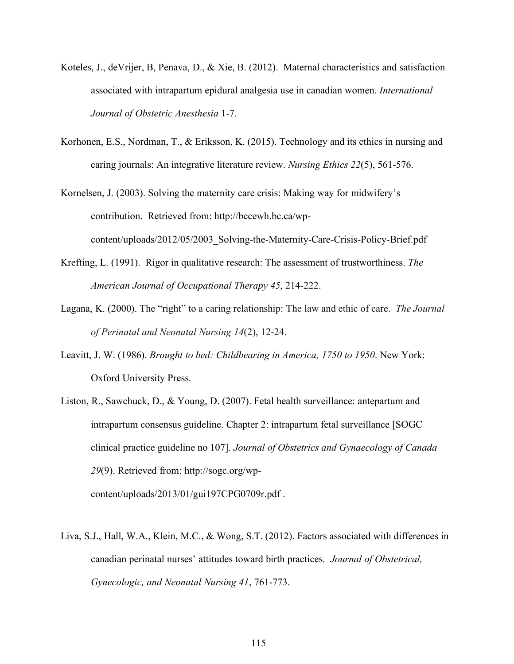- Koteles, J., deVrijer, B, Penava, D., & Xie, B. (2012). Maternal characteristics and satisfaction associated with intrapartum epidural analgesia use in canadian women. *International Journal of Obstetric Anesthesia* 1-7.
- Korhonen, E.S., Nordman, T., & Eriksson, K. (2015). Technology and its ethics in nursing and caring journals: An integrative literature review. *Nursing Ethics 22*(5), 561-576.
- Kornelsen, J. (2003). Solving the maternity care crisis: Making way for midwifery's contribution. Retrieved from: http://bccewh.bc.ca/wpcontent/uploads/2012/05/2003\_Solving-the-Maternity-Care-Crisis-Policy-Brief.pdf
- Krefting, L. (1991). Rigor in qualitative research: The assessment of trustworthiness. *The American Journal of Occupational Therapy 45*, 214-222.
- Lagana, K. (2000). The "right" to a caring relationship: The law and ethic of care. *The Journal of Perinatal and Neonatal Nursing 14*(2), 12-24.
- Leavitt, J. W. (1986). *Brought to bed: Childbearing in America, 1750 to 1950*. New York: Oxford University Press.
- Liston, R., Sawchuck, D., & Young, D. (2007). Fetal health surveillance: antepartum and intrapartum consensus guideline. Chapter 2: intrapartum fetal surveillance [SOGC clinical practice guideline no 107]. *Journal of Obstetrics and Gynaecology of Canada 29*(9). Retrieved from: http://sogc.org/wpcontent/uploads/2013/01/gui197CPG0709r.pdf .
- Liva, S.J., Hall, W.A., Klein, M.C., & Wong, S.T. (2012). Factors associated with differences in canadian perinatal nurses' attitudes toward birth practices. *Journal of Obstetrical, Gynecologic, and Neonatal Nursing 41*, 761-773.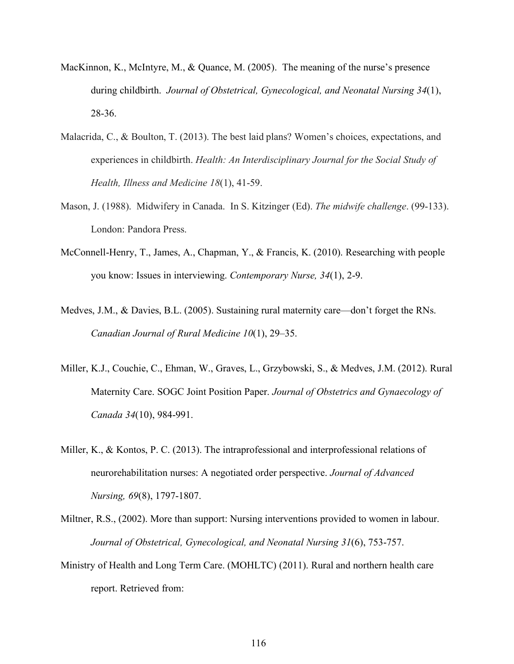- MacKinnon, K., McIntyre, M., & Quance, M. (2005). The meaning of the nurse's presence during childbirth. *Journal of Obstetrical, Gynecological, and Neonatal Nursing 34*(1), 28-36.
- Malacrida, C., & Boulton, T. (2013). The best laid plans? Women's choices, expectations, and experiences in childbirth. *Health: An Interdisciplinary Journal for the Social Study of Health, Illness and Medicine 18*(1), 41-59.
- Mason, J. (1988). Midwifery in Canada. In S. Kitzinger (Ed). *The midwife challenge*. (99-133). London: Pandora Press.
- McConnell-Henry, T., James, A., Chapman, Y., & Francis, K. (2010). Researching with people you know: Issues in interviewing. *Contemporary Nurse, 34*(1), 2-9.
- Medves, J.M., & Davies, B.L. (2005). Sustaining rural maternity care—don't forget the RNs. *Canadian Journal of Rural Medicine 10*(1), 29–35.
- Miller, K.J., Couchie, C., Ehman, W., Graves, L., Grzybowski, S., & Medves, J.M. (2012). Rural Maternity Care. SOGC Joint Position Paper. *Journal of Obstetrics and Gynaecology of Canada 34*(10), 984-991.
- Miller, K., & Kontos, P. C. (2013). The intraprofessional and interprofessional relations of neurorehabilitation nurses: A negotiated order perspective. *Journal of Advanced Nursing, 69*(8), 1797-1807.
- Miltner, R.S., (2002). More than support: Nursing interventions provided to women in labour. *Journal of Obstetrical, Gynecological, and Neonatal Nursing 31*(6), 753-757.
- Ministry of Health and Long Term Care. (MOHLTC) (2011). Rural and northern health care report. Retrieved from: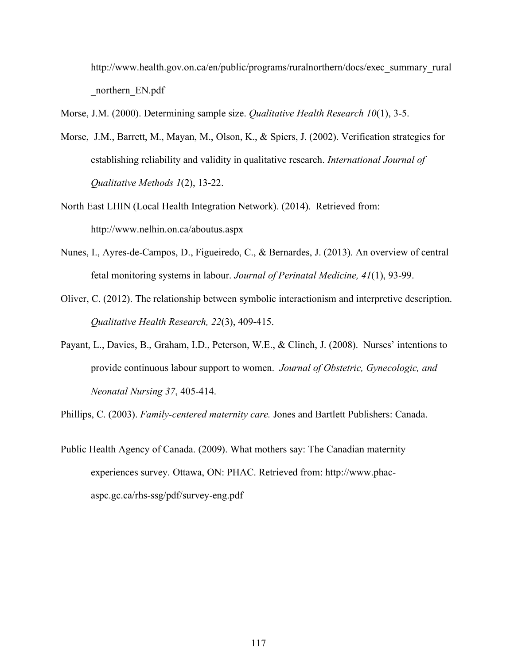http://www.health.gov.on.ca/en/public/programs/ruralnorthern/docs/exec\_summary\_rural northern EN.pdf

Morse, J.M. (2000). Determining sample size. *Qualitative Health Research 10*(1), 3-5.

- Morse, J.M., Barrett, M., Mayan, M., Olson, K., & Spiers, J. (2002). Verification strategies for establishing reliability and validity in qualitative research. *International Journal of Qualitative Methods 1*(2), 13-22.
- North East LHIN (Local Health Integration Network). (2014). Retrieved from: http://www.nelhin.on.ca/aboutus.aspx
- Nunes, I., Ayres-de-Campos, D., Figueiredo, C., & Bernardes, J. (2013). An overview of central fetal monitoring systems in labour. *Journal of Perinatal Medicine, 41*(1), 93-99.
- Oliver, C. (2012). The relationship between symbolic interactionism and interpretive description. *Qualitative Health Research, 22*(3), 409-415.
- Payant, L., Davies, B., Graham, I.D., Peterson, W.E., & Clinch, J. (2008). Nurses' intentions to provide continuous labour support to women. *Journal of Obstetric, Gynecologic, and Neonatal Nursing 37*, 405-414.

Phillips, C. (2003). *Family-centered maternity care.* Jones and Bartlett Publishers: Canada.

Public Health Agency of Canada. (2009). What mothers say: The Canadian maternity experiences survey. Ottawa, ON: PHAC. Retrieved from: http://www.phacaspc.gc.ca/rhs-ssg/pdf/survey-eng.pdf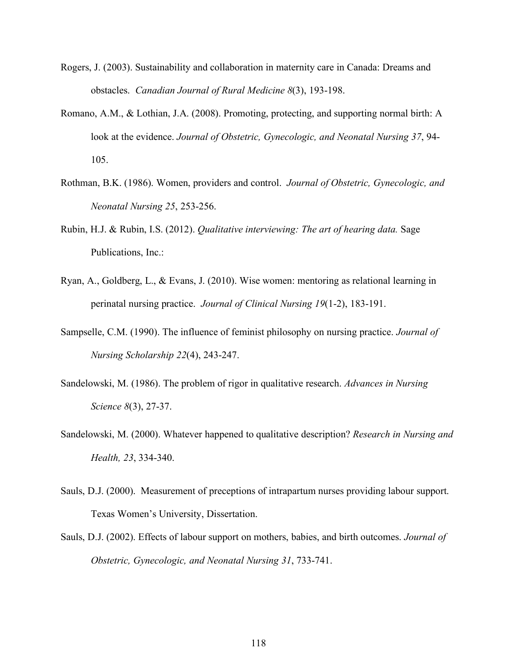- Rogers, J. (2003). Sustainability and collaboration in maternity care in Canada: Dreams and obstacles. *Canadian Journal of Rural Medicine 8*(3), 193-198.
- Romano, A.M., & Lothian, J.A. (2008). Promoting, protecting, and supporting normal birth: A look at the evidence. *Journal of Obstetric, Gynecologic, and Neonatal Nursing 37*, 94- 105.
- Rothman, B.K. (1986). Women, providers and control. *Journal of Obstetric, Gynecologic, and Neonatal Nursing 25*, 253-256.
- Rubin, H.J. & Rubin, I.S. (2012). *Qualitative interviewing: The art of hearing data.* Sage Publications, Inc.:
- Ryan, A., Goldberg, L., & Evans, J. (2010). Wise women: mentoring as relational learning in perinatal nursing practice. *Journal of Clinical Nursing 19*(1-2), 183-191.
- Sampselle, C.M. (1990). The influence of feminist philosophy on nursing practice. *Journal of Nursing Scholarship 22*(4), 243-247.
- Sandelowski, M. (1986). The problem of rigor in qualitative research. *Advances in Nursing Science 8*(3), 27-37.
- Sandelowski, M. (2000). Whatever happened to qualitative description? *Research in Nursing and Health, 23*, 334-340.
- Sauls, D.J. (2000). Measurement of preceptions of intrapartum nurses providing labour support. Texas Women's University, Dissertation.
- Sauls, D.J. (2002). Effects of labour support on mothers, babies, and birth outcomes. *Journal of Obstetric, Gynecologic, and Neonatal Nursing 31*, 733-741.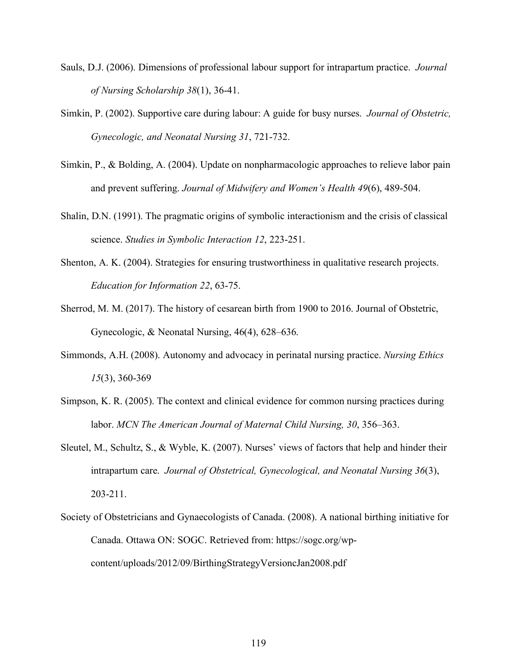- Sauls, D.J. (2006). Dimensions of professional labour support for intrapartum practice. *Journal of Nursing Scholarship 38*(1), 36-41.
- Simkin, P. (2002). Supportive care during labour: A guide for busy nurses. *Journal of Obstetric, Gynecologic, and Neonatal Nursing 31*, 721-732.
- Simkin, P., & Bolding, A. (2004). Update on nonpharmacologic approaches to relieve labor pain and prevent suffering. *Journal of Midwifery and Women's Health 49*(6), 489-504.
- Shalin, D.N. (1991). The pragmatic origins of symbolic interactionism and the crisis of classical science. *Studies in Symbolic Interaction 12*, 223-251.
- Shenton, A. K. (2004). Strategies for ensuring trustworthiness in qualitative research projects. *Education for Information 22*, 63-75.
- Sherrod, M. M. (2017). The history of cesarean birth from 1900 to 2016. Journal of Obstetric, Gynecologic, & Neonatal Nursing, 46(4), 628–636.
- Simmonds, A.H. (2008). Autonomy and advocacy in perinatal nursing practice. *Nursing Ethics 15*(3), 360-369
- Simpson, K. R. (2005). The context and clinical evidence for common nursing practices during labor. *MCN The American Journal of Maternal Child Nursing, 30*, 356–363.
- Sleutel, M., Schultz, S., & Wyble, K. (2007). Nurses' views of factors that help and hinder their intrapartum care. *Journal of Obstetrical, Gynecological, and Neonatal Nursing 36*(3), 203-211.
- Society of Obstetricians and Gynaecologists of Canada. (2008). A national birthing initiative for Canada. Ottawa ON: SOGC. Retrieved from: https://sogc.org/wpcontent/uploads/2012/09/BirthingStrategyVersioncJan2008.pdf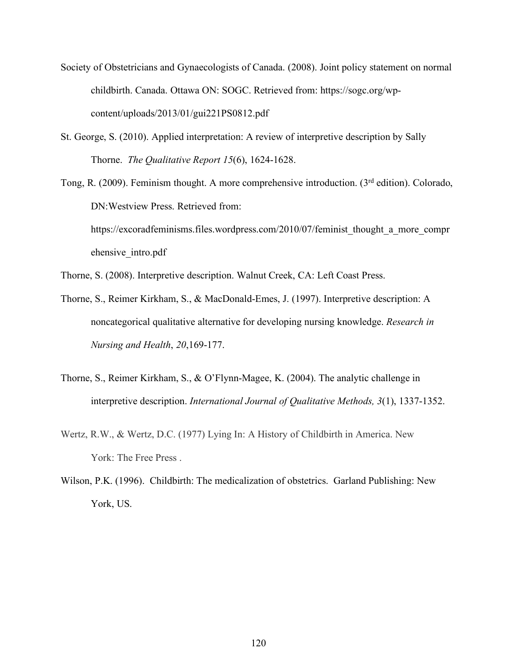- Society of Obstetricians and Gynaecologists of Canada. (2008). Joint policy statement on normal childbirth. Canada. Ottawa ON: SOGC. Retrieved from: https://sogc.org/wpcontent/uploads/2013/01/gui221PS0812.pdf
- St. George, S. (2010). Applied interpretation: A review of interpretive description by Sally Thorne. *The Qualitative Report 15*(6), 1624-1628.
- Tong, R. (2009). Feminism thought. A more comprehensive introduction. (3rd edition). Colorado, DN:Westview Press. Retrieved from: https://excoradfeminisms.files.wordpress.com/2010/07/feminist\_thought\_a\_more\_compr ehensive\_intro.pdf
- Thorne, S. (2008). Interpretive description. Walnut Creek, CA: Left Coast Press.
- Thorne, S., Reimer Kirkham, S., & MacDonald-Emes, J. (1997). Interpretive description: A noncategorical qualitative alternative for developing nursing knowledge. *Research in Nursing and Health*, *20*,169-177.
- Thorne, S., Reimer Kirkham, S., & O'Flynn-Magee, K. (2004). The analytic challenge in interpretive description. *International Journal of Qualitative Methods, 3*(1), 1337-1352.
- Wertz, R.W., & Wertz, D.C. (1977) Lying In: A History of Childbirth in America. New York: The Free Press .
- Wilson, P.K. (1996). Childbirth: The medicalization of obstetrics. Garland Publishing: New York, US.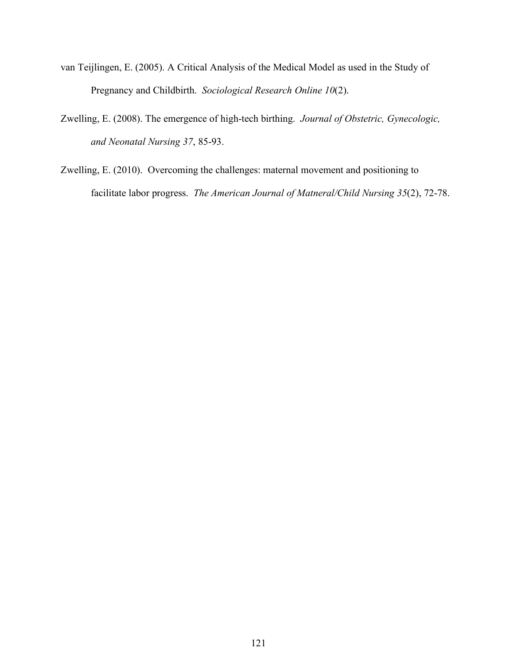- van Teijlingen, E. (2005). A Critical Analysis of the Medical Model as used in the Study of Pregnancy and Childbirth. *Sociological Research Online 10*(2).
- Zwelling, E. (2008). The emergence of high-tech birthing. *Journal of Obstetric, Gynecologic, and Neonatal Nursing 37*, 85-93.
- Zwelling, E. (2010). Overcoming the challenges: maternal movement and positioning to facilitate labor progress. *The American Journal of Matneral/Child Nursing 35*(2), 72-78.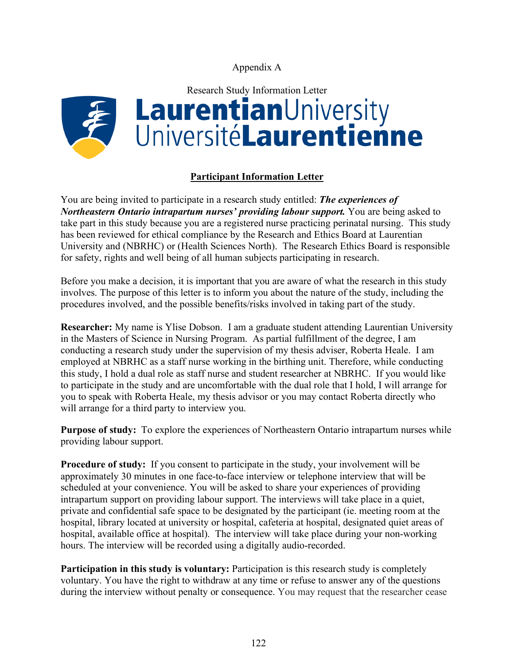Appendix A



### **Participant Information Letter**

You are being invited to participate in a research study entitled: *The experiences of Northeastern Ontario intrapartum nurses' providing labour support. You are being asked to* take part in this study because you are a registered nurse practicing perinatal nursing. This study has been reviewed for ethical compliance by the Research and Ethics Board at Laurentian University and (NBRHC) or (Health Sciences North). The Research Ethics Board is responsible for safety, rights and well being of all human subjects participating in research.

Before you make a decision, it is important that you are aware of what the research in this study involves. The purpose of this letter is to inform you about the nature of the study, including the procedures involved, and the possible benefits/risks involved in taking part of the study.

**Researcher:** My name is Ylise Dobson. I am a graduate student attending Laurentian University in the Masters of Science in Nursing Program. As partial fulfillment of the degree, I am conducting a research study under the supervision of my thesis adviser, Roberta Heale. I am employed at NBRHC as a staff nurse working in the birthing unit. Therefore, while conducting this study, I hold a dual role as staff nurse and student researcher at NBRHC. If you would like to participate in the study and are uncomfortable with the dual role that I hold, I will arrange for you to speak with Roberta Heale, my thesis advisor or you may contact Roberta directly who will arrange for a third party to interview you.

**Purpose of study:** To explore the experiences of Northeastern Ontario intrapartum nurses while providing labour support.

**Procedure of study:** If you consent to participate in the study, your involvement will be approximately 30 minutes in one face-to-face interview or telephone interview that will be scheduled at your convenience. You will be asked to share your experiences of providing intrapartum support on providing labour support. The interviews will take place in a quiet, private and confidential safe space to be designated by the participant (ie. meeting room at the hospital, library located at university or hospital, cafeteria at hospital, designated quiet areas of hospital, available office at hospital). The interview will take place during your non-working hours. The interview will be recorded using a digitally audio-recorded.

**Participation in this study is voluntary:** Participation is this research study is completely voluntary. You have the right to withdraw at any time or refuse to answer any of the questions during the interview without penalty or consequence. You may request that the researcher cease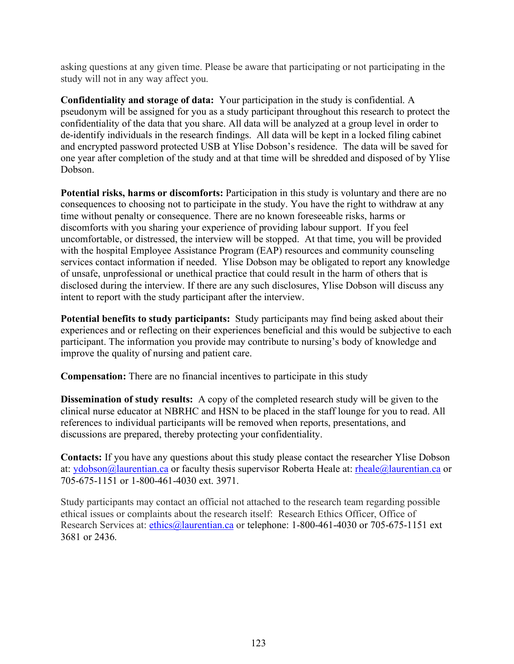asking questions at any given time. Please be aware that participating or not participating in the study will not in any way affect you.

**Confidentiality and storage of data:** Your participation in the study is confidential. A pseudonym will be assigned for you as a study participant throughout this research to protect the confidentiality of the data that you share. All data will be analyzed at a group level in order to de-identify individuals in the research findings. All data will be kept in a locked filing cabinet and encrypted password protected USB at Ylise Dobson's residence. The data will be saved for one year after completion of the study and at that time will be shredded and disposed of by Ylise Dobson.

**Potential risks, harms or discomforts:** Participation in this study is voluntary and there are no consequences to choosing not to participate in the study. You have the right to withdraw at any time without penalty or consequence. There are no known foreseeable risks, harms or discomforts with you sharing your experience of providing labour support. If you feel uncomfortable, or distressed, the interview will be stopped. At that time, you will be provided with the hospital Employee Assistance Program (EAP) resources and community counseling services contact information if needed. Ylise Dobson may be obligated to report any knowledge of unsafe, unprofessional or unethical practice that could result in the harm of others that is disclosed during the interview. If there are any such disclosures, Ylise Dobson will discuss any intent to report with the study participant after the interview.

**Potential benefits to study participants:** Study participants may find being asked about their experiences and or reflecting on their experiences beneficial and this would be subjective to each participant. The information you provide may contribute to nursing's body of knowledge and improve the quality of nursing and patient care.

**Compensation:** There are no financial incentives to participate in this study

**Dissemination of study results:** A copy of the completed research study will be given to the clinical nurse educator at NBRHC and HSN to be placed in the staff lounge for you to read. All references to individual participants will be removed when reports, presentations, and discussions are prepared, thereby protecting your confidentiality.

**Contacts:** If you have any questions about this study please contact the researcher Ylise Dobson at: ydobson@laurentian.ca or faculty thesis supervisor Roberta Heale at: rheale@laurentian.ca or 705-675-1151 or 1-800-461-4030 ext. 3971.

Study participants may contact an official not attached to the research team regarding possible ethical issues or complaints about the research itself: Research Ethics Officer, Office of Research Services at: ethics@laurentian.ca or telephone: 1-800-461-4030 or 705-675-1151 ext 3681 or 2436.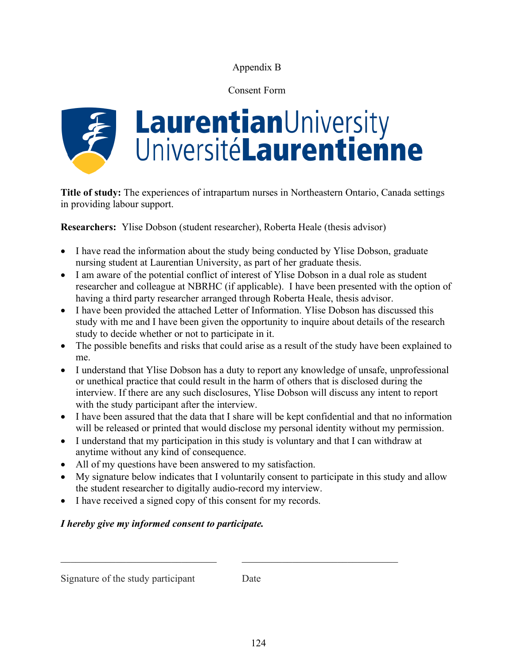# Appendix B

# Consent Form



**Title of study:** The experiences of intrapartum nurses in Northeastern Ontario, Canada settings in providing labour support.

**Researchers:** Ylise Dobson (student researcher), Roberta Heale (thesis advisor)

- I have read the information about the study being conducted by Ylise Dobson, graduate nursing student at Laurentian University, as part of her graduate thesis.
- I am aware of the potential conflict of interest of Ylise Dobson in a dual role as student researcher and colleague at NBRHC (if applicable). I have been presented with the option of having a third party researcher arranged through Roberta Heale, thesis advisor.
- I have been provided the attached Letter of Information. Ylise Dobson has discussed this study with me and I have been given the opportunity to inquire about details of the research study to decide whether or not to participate in it.
- The possible benefits and risks that could arise as a result of the study have been explained to me.
- I understand that Ylise Dobson has a duty to report any knowledge of unsafe, unprofessional or unethical practice that could result in the harm of others that is disclosed during the interview. If there are any such disclosures, Ylise Dobson will discuss any intent to report with the study participant after the interview.
- I have been assured that the data that I share will be kept confidential and that no information will be released or printed that would disclose my personal identity without my permission.
- I understand that my participation in this study is voluntary and that I can withdraw at anytime without any kind of consequence.

 $\_$  , and the contribution of the contribution of  $\mathcal{L}_\mathcal{A}$  , and the contribution of  $\mathcal{L}_\mathcal{A}$ 

- All of my questions have been answered to my satisfaction.
- My signature below indicates that I voluntarily consent to participate in this study and allow the student researcher to digitally audio-record my interview.
- I have received a signed copy of this consent for my records.

# *I hereby give my informed consent to participate.*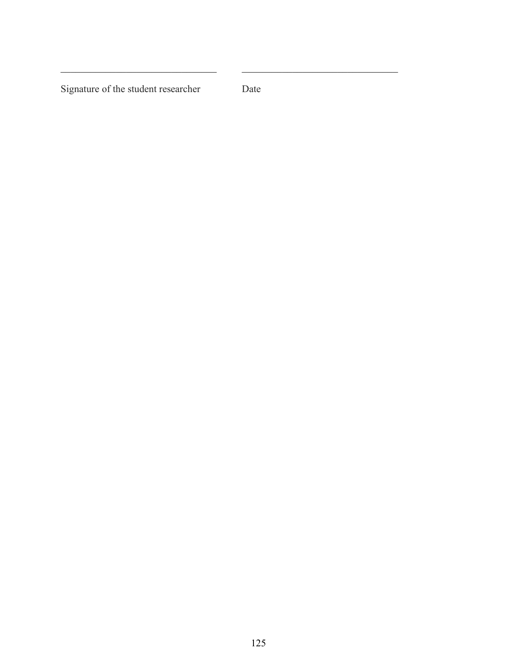Signature of the student researcher Date

 $\_$  , and the contribution of the contribution of  $\mathcal{L}_\mathcal{A}$  , and the contribution of  $\mathcal{L}_\mathcal{A}$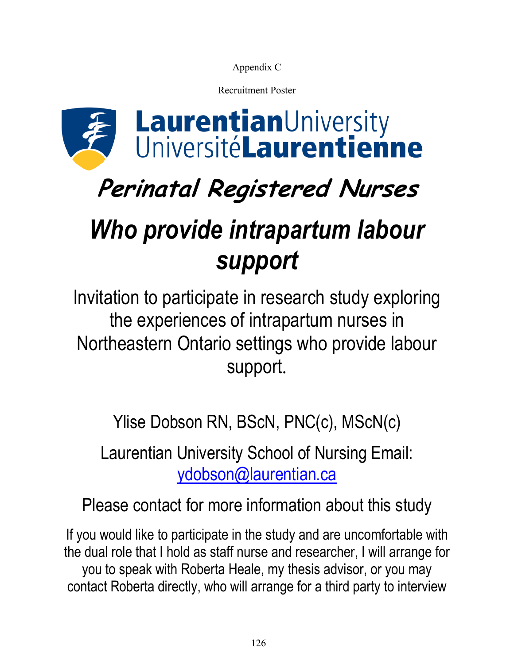Appendix C

Recruitment Poster



# **Perinatal Registered Nurses**

# *Who provide intrapartum labour support*

Invitation to participate in research study exploring the experiences of intrapartum nurses in Northeastern Ontario settings who provide labour support.

Ylise Dobson RN, BScN, PNC(c), MScN(c)

Laurentian University School of Nursing Email: ydobson@laurentian.ca

Please contact for more information about this study

If you would like to participate in the study and are uncomfortable with the dual role that I hold as staff nurse and researcher, I will arrange for you to speak with Roberta Heale, my thesis advisor, or you may contact Roberta directly, who will arrange for a third party to interview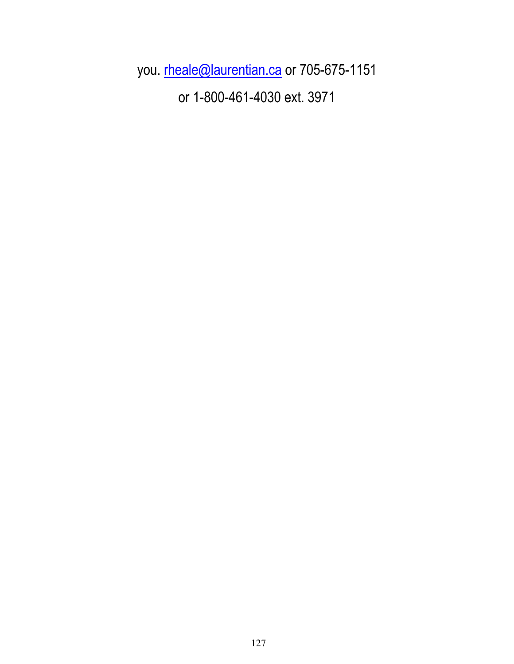you. rheale@laurentian.ca or 705-675-1151 or 1-800-461-4030 ext. 3971